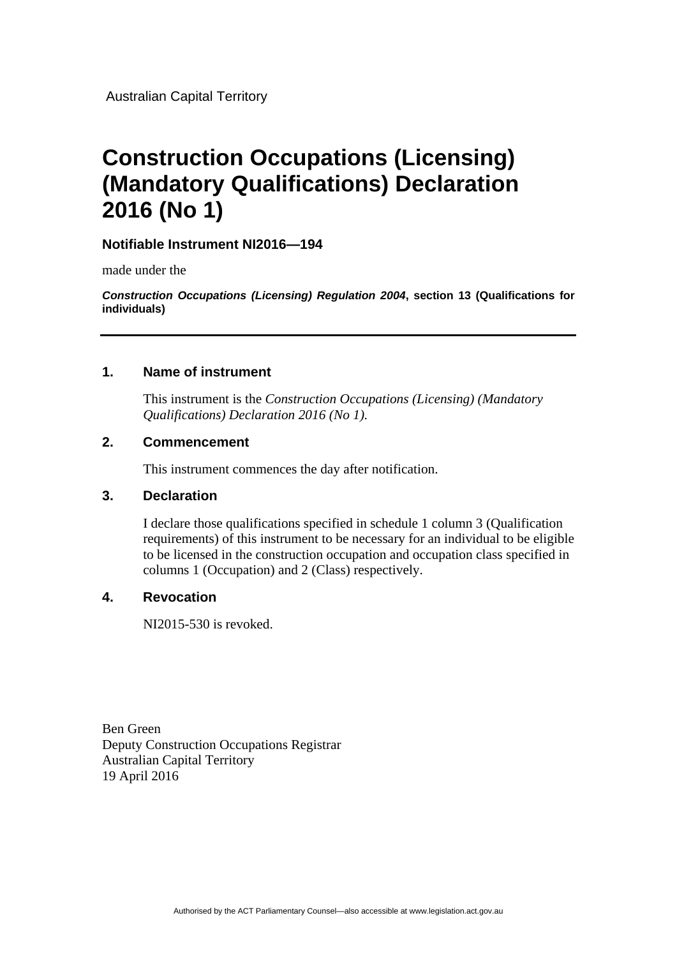Australian Capital Territory

# **Construction Occupations (Licensing) (Mandatory Qualifications) Declaration 2016 (No 1)**

# **Notifiable Instrument NI2016—194**

made under the

*Construction Occupations (Licensing) Regulation 2004***, section 13 (Qualifications for individuals)**

#### **1. Name of instrument**

This instrument is the *Construction Occupations (Licensing) (Mandatory Qualifications) Declaration 2016 (No 1).*

# **2. Commencement**

This instrument commences the day after notification.

# **3. Declaration**

I declare those qualifications specified in schedule 1 column 3 (Qualification requirements) of this instrument to be necessary for an individual to be eligible to be licensed in the construction occupation and occupation class specified in columns 1 (Occupation) and 2 (Class) respectively.

# **4. Revocation**

NI2015-530 is revoked.

Ben Green Deputy Construction Occupations Registrar Australian Capital Territory 19 April 2016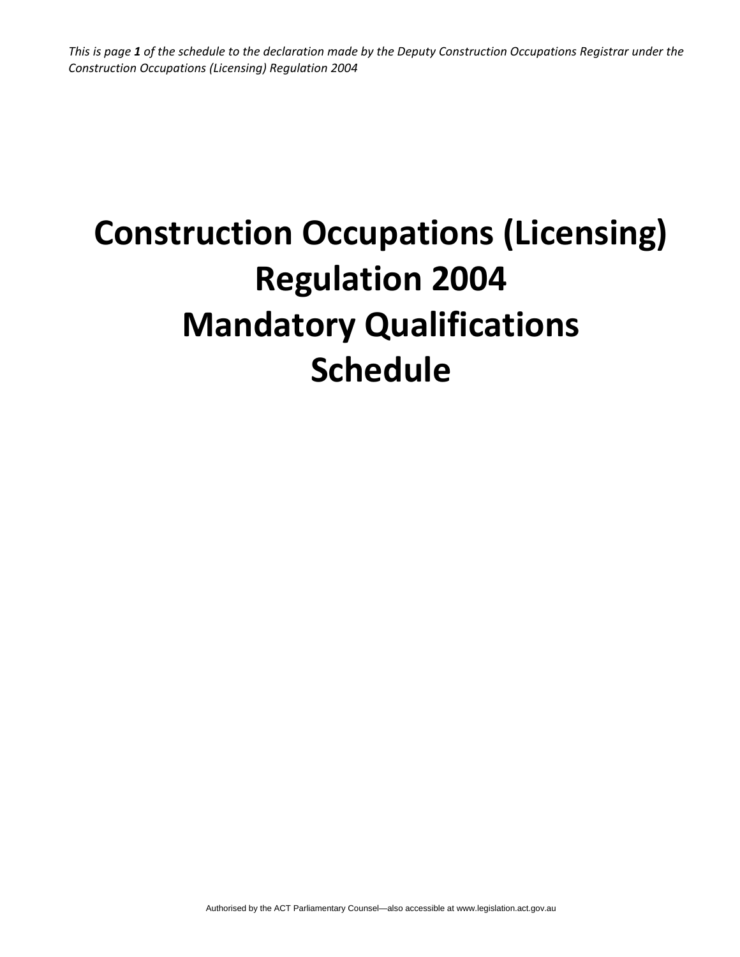This is page 1 of the schedule to the declaration made by the Deputy Construction Occupations Registrar under the *Construction Occupations (Licensing) Regulation 2004*

# **Construction Occupations (Licensing) Regulation 2004 Mandatory Qualifications Schedule**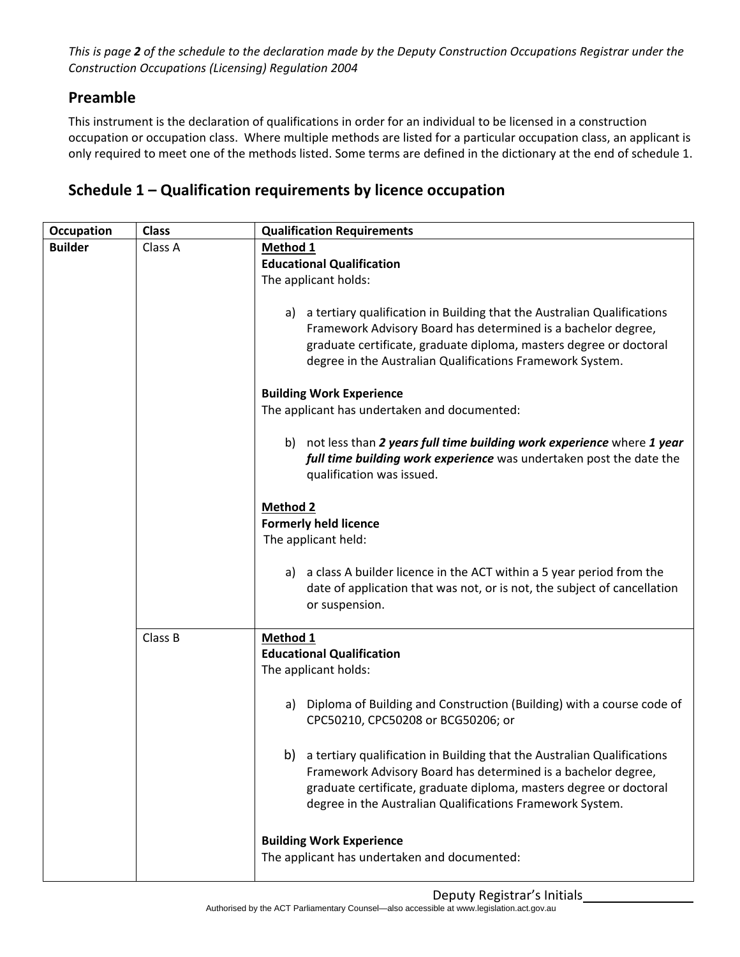This is page 2 of the schedule to the declaration made by the Deputy Construction Occupations Registrar under the *Construction Occupations (Licensing) Regulation 2004*

# **Preamble**

This instrument is the declaration of qualifications in order for an individual to be licensed in a construction occupation or occupation class. Where multiple methods are listed for a particular occupation class, an applicant is only required to meet one of the methods listed. Some terms are defined in the dictionary at the end of schedule 1.

# **Schedule 1 – Qualification requirements by licence occupation**

| Occupation     | <b>Class</b> | <b>Qualification Requirements</b>                                                                                                                                                                                                                                              |
|----------------|--------------|--------------------------------------------------------------------------------------------------------------------------------------------------------------------------------------------------------------------------------------------------------------------------------|
| <b>Builder</b> | Class A      | Method 1                                                                                                                                                                                                                                                                       |
|                |              | <b>Educational Qualification</b>                                                                                                                                                                                                                                               |
|                |              | The applicant holds:                                                                                                                                                                                                                                                           |
|                |              | a) a tertiary qualification in Building that the Australian Qualifications<br>Framework Advisory Board has determined is a bachelor degree,<br>graduate certificate, graduate diploma, masters degree or doctoral<br>degree in the Australian Qualifications Framework System. |
|                |              | <b>Building Work Experience</b>                                                                                                                                                                                                                                                |
|                |              | The applicant has undertaken and documented:                                                                                                                                                                                                                                   |
|                |              | b) not less than 2 years full time building work experience where 1 year<br>full time building work experience was undertaken post the date the<br>qualification was issued.                                                                                                   |
|                |              | <b>Method 2</b><br><b>Formerly held licence</b><br>The applicant held:                                                                                                                                                                                                         |
|                |              | a) a class A builder licence in the ACT within a 5 year period from the<br>date of application that was not, or is not, the subject of cancellation<br>or suspension.                                                                                                          |
|                | Class B      | Method 1                                                                                                                                                                                                                                                                       |
|                |              | <b>Educational Qualification</b>                                                                                                                                                                                                                                               |
|                |              | The applicant holds:                                                                                                                                                                                                                                                           |
|                |              | Diploma of Building and Construction (Building) with a course code of<br>a)<br>CPC50210, CPC50208 or BCG50206; or                                                                                                                                                              |
|                |              | b) a tertiary qualification in Building that the Australian Qualifications<br>Framework Advisory Board has determined is a bachelor degree,<br>graduate certificate, graduate diploma, masters degree or doctoral<br>degree in the Australian Qualifications Framework System. |
|                |              | <b>Building Work Experience</b><br>The applicant has undertaken and documented:                                                                                                                                                                                                |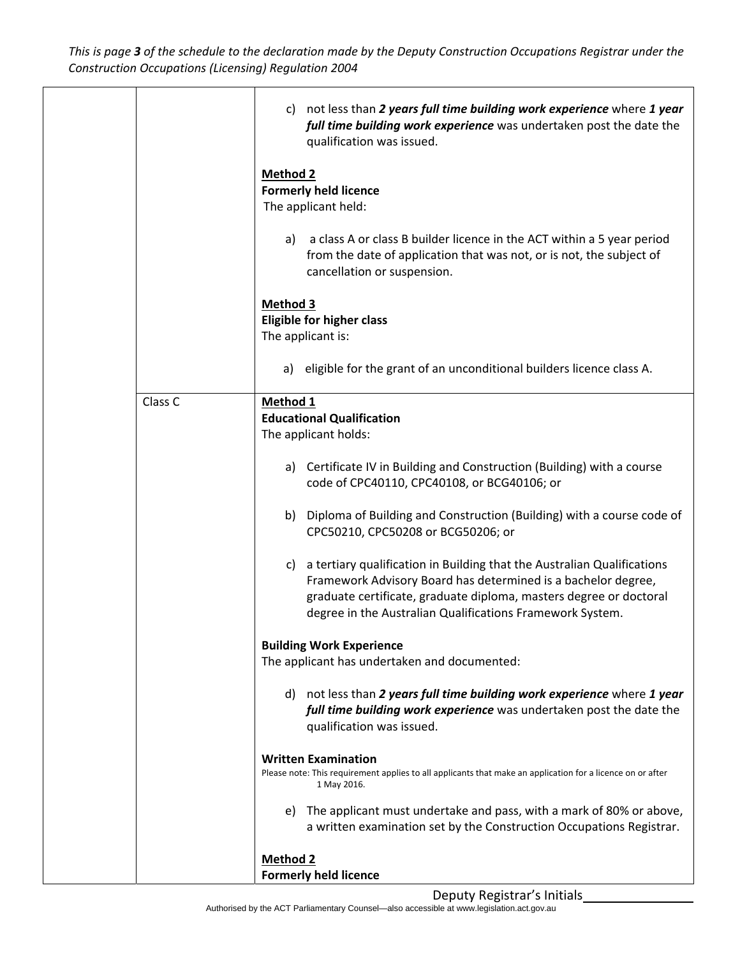This is page 3 of the schedule to the declaration made by the Deputy Construction Occupations Registrar under the *Construction Occupations (Licensing) Regulation 2004*

|         | c) not less than 2 years full time building work experience where 1 year<br>full time building work experience was undertaken post the date the<br>qualification was issued.                                                                                                   |
|---------|--------------------------------------------------------------------------------------------------------------------------------------------------------------------------------------------------------------------------------------------------------------------------------|
|         | Method 2<br><b>Formerly held licence</b><br>The applicant held:                                                                                                                                                                                                                |
|         | a class A or class B builder licence in the ACT within a 5 year period<br>a)<br>from the date of application that was not, or is not, the subject of<br>cancellation or suspension.                                                                                            |
|         | <b>Method 3</b><br><b>Eligible for higher class</b><br>The applicant is:                                                                                                                                                                                                       |
|         | eligible for the grant of an unconditional builders licence class A.<br>a)                                                                                                                                                                                                     |
| Class C | Method 1<br><b>Educational Qualification</b><br>The applicant holds:                                                                                                                                                                                                           |
|         | a) Certificate IV in Building and Construction (Building) with a course<br>code of CPC40110, CPC40108, or BCG40106; or                                                                                                                                                         |
|         | Diploma of Building and Construction (Building) with a course code of<br>b)<br>CPC50210, CPC50208 or BCG50206; or                                                                                                                                                              |
|         | c) a tertiary qualification in Building that the Australian Qualifications<br>Framework Advisory Board has determined is a bachelor degree,<br>graduate certificate, graduate diploma, masters degree or doctoral<br>degree in the Australian Qualifications Framework System. |
|         | <b>Building Work Experience</b><br>The applicant has undertaken and documented:                                                                                                                                                                                                |
|         | d) not less than 2 years full time building work experience where 1 year<br>full time building work experience was undertaken post the date the<br>qualification was issued.                                                                                                   |
|         | <b>Written Examination</b><br>Please note: This requirement applies to all applicants that make an application for a licence on or after<br>1 May 2016.                                                                                                                        |
|         | e) The applicant must undertake and pass, with a mark of 80% or above,<br>a written examination set by the Construction Occupations Registrar.                                                                                                                                 |
|         | <b>Method 2</b><br><b>Formerly held licence</b>                                                                                                                                                                                                                                |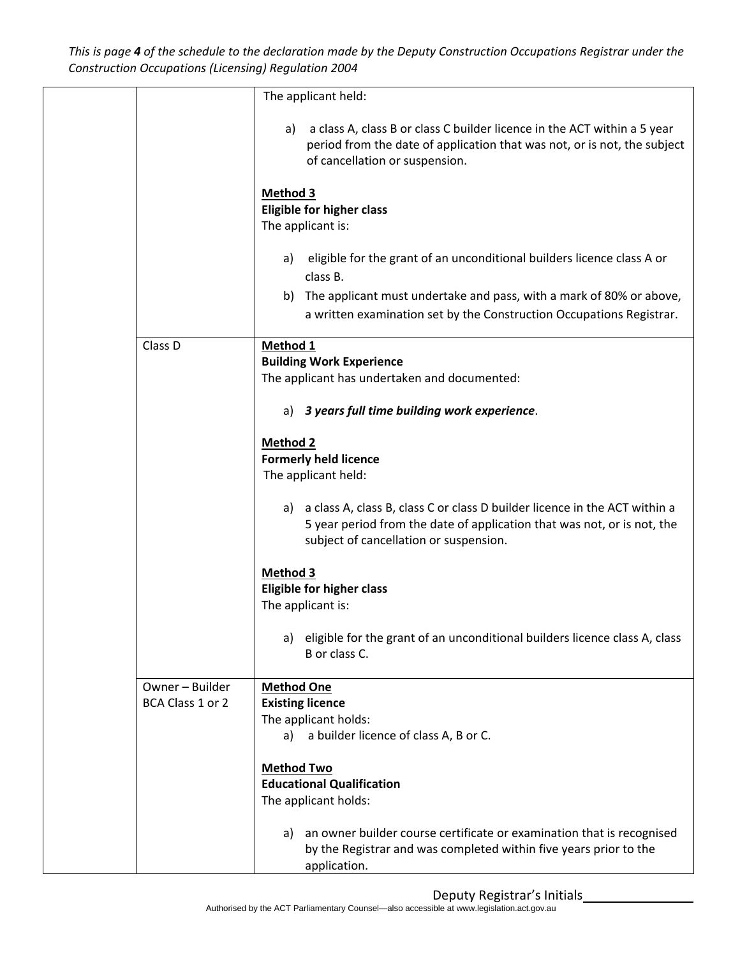This is page 4 of the schedule to the declaration made by the Deputy Construction Occupations Registrar under the *Construction Occupations (Licensing) Regulation 2004*

|                  | The applicant held:                                                                                                                                                                                   |
|------------------|-------------------------------------------------------------------------------------------------------------------------------------------------------------------------------------------------------|
|                  | a class A, class B or class C builder licence in the ACT within a 5 year<br>a)<br>period from the date of application that was not, or is not, the subject<br>of cancellation or suspension.          |
|                  | Method 3<br><b>Eligible for higher class</b><br>The applicant is:                                                                                                                                     |
|                  | eligible for the grant of an unconditional builders licence class A or<br>a)<br>class B.                                                                                                              |
|                  | b) The applicant must undertake and pass, with a mark of 80% or above,<br>a written examination set by the Construction Occupations Registrar.                                                        |
| Class D          | Method 1                                                                                                                                                                                              |
|                  | <b>Building Work Experience</b>                                                                                                                                                                       |
|                  | The applicant has undertaken and documented:                                                                                                                                                          |
|                  | 3 years full time building work experience.<br>a)                                                                                                                                                     |
|                  | <b>Method 2</b>                                                                                                                                                                                       |
|                  | <b>Formerly held licence</b>                                                                                                                                                                          |
|                  | The applicant held:                                                                                                                                                                                   |
|                  | a class A, class B, class C or class D builder licence in the ACT within a<br>a)<br>5 year period from the date of application that was not, or is not, the<br>subject of cancellation or suspension. |
|                  | <b>Method 3</b>                                                                                                                                                                                       |
|                  | <b>Eligible for higher class</b>                                                                                                                                                                      |
|                  | The applicant is:                                                                                                                                                                                     |
|                  | eligible for the grant of an unconditional builders licence class A, class<br>a)<br>B or class C.                                                                                                     |
| Owner - Builder  | <b>Method One</b>                                                                                                                                                                                     |
| BCA Class 1 or 2 | <b>Existing licence</b>                                                                                                                                                                               |
|                  | The applicant holds:                                                                                                                                                                                  |
|                  | a builder licence of class A, B or C.<br>a)                                                                                                                                                           |
|                  | <b>Method Two</b>                                                                                                                                                                                     |
|                  | <b>Educational Qualification</b>                                                                                                                                                                      |
|                  | The applicant holds:                                                                                                                                                                                  |
|                  | an owner builder course certificate or examination that is recognised<br>a)                                                                                                                           |
|                  | by the Registrar and was completed within five years prior to the                                                                                                                                     |
|                  | application.                                                                                                                                                                                          |
|                  |                                                                                                                                                                                                       |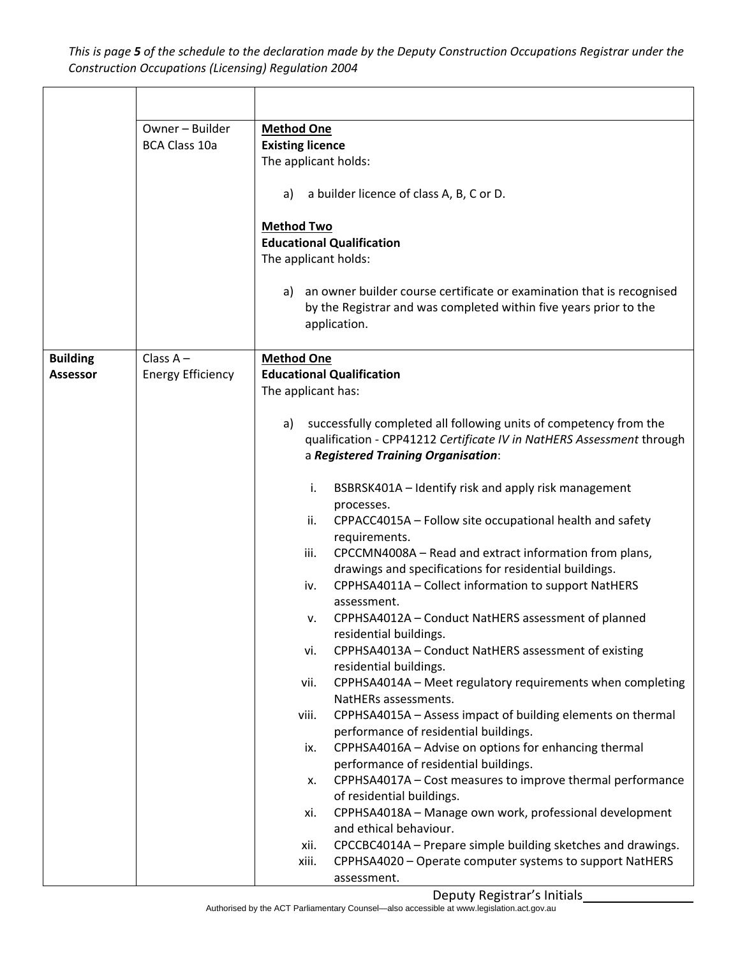This is page 5 of the schedule to the declaration made by the Deputy Construction Occupations Registrar under the *Construction Occupations (Licensing) Regulation 2004*

|                                    | Owner - Builder<br><b>BCA Class 10a</b> | <b>Method One</b><br><b>Existing licence</b><br>The applicant holds:<br>a builder licence of class A, B, C or D.<br>a)<br><b>Method Two</b><br><b>Educational Qualification</b><br>The applicant holds:<br>an owner builder course certificate or examination that is recognised<br>a)<br>by the Registrar and was completed within five years prior to the<br>application.                                                                                                                                                                                                                                                                                                                                                                                                                                                                                                                                                                                                                                                                                                                                                                                                                                                                                                                                                                                                                                                                                                                                       |
|------------------------------------|-----------------------------------------|-------------------------------------------------------------------------------------------------------------------------------------------------------------------------------------------------------------------------------------------------------------------------------------------------------------------------------------------------------------------------------------------------------------------------------------------------------------------------------------------------------------------------------------------------------------------------------------------------------------------------------------------------------------------------------------------------------------------------------------------------------------------------------------------------------------------------------------------------------------------------------------------------------------------------------------------------------------------------------------------------------------------------------------------------------------------------------------------------------------------------------------------------------------------------------------------------------------------------------------------------------------------------------------------------------------------------------------------------------------------------------------------------------------------------------------------------------------------------------------------------------------------|
| <b>Building</b><br><b>Assessor</b> | Class $A -$<br><b>Energy Efficiency</b> | <b>Method One</b><br><b>Educational Qualification</b><br>The applicant has:<br>successfully completed all following units of competency from the<br>a)<br>qualification - CPP41212 Certificate IV in NatHERS Assessment through<br>a Registered Training Organisation:<br>BSBRSK401A - Identify risk and apply risk management<br>i.<br>processes.<br>CPPACC4015A - Follow site occupational health and safety<br>ii.<br>requirements.<br>CPCCMN4008A - Read and extract information from plans,<br>iii.<br>drawings and specifications for residential buildings.<br>CPPHSA4011A - Collect information to support NatHERS<br>iv.<br>assessment.<br>CPPHSA4012A - Conduct NatHERS assessment of planned<br>v.<br>residential buildings.<br>CPPHSA4013A - Conduct NatHERS assessment of existing<br>vi.<br>residential buildings.<br>CPPHSA4014A - Meet regulatory requirements when completing<br>vii.<br>NatHERs assessments.<br>CPPHSA4015A - Assess impact of building elements on thermal<br>viii.<br>performance of residential buildings.<br>CPPHSA4016A - Advise on options for enhancing thermal<br>ix.<br>performance of residential buildings.<br>CPPHSA4017A - Cost measures to improve thermal performance<br>х.<br>of residential buildings.<br>CPPHSA4018A - Manage own work, professional development<br>xi.<br>and ethical behaviour.<br>CPCCBC4014A - Prepare simple building sketches and drawings.<br>xii.<br>CPPHSA4020 - Operate computer systems to support NatHERS<br>xiii.<br>assessment. |

Deputy Registrar's Initials\_\_\_\_\_\_\_\_\_\_\_\_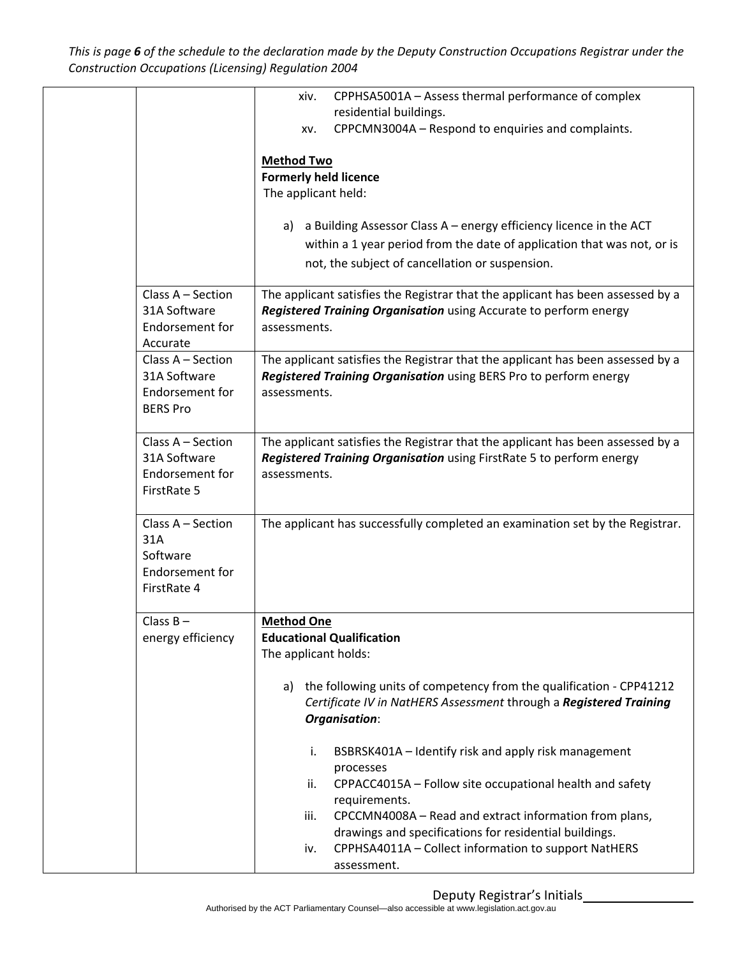This is page 6 of the schedule to the declaration made by the Deputy Construction Occupations Registrar under the *Construction Occupations (Licensing) Regulation 2004*

|                          | CPPHSA5001A - Assess thermal performance of complex<br>xiv.                                                                                     |
|--------------------------|-------------------------------------------------------------------------------------------------------------------------------------------------|
|                          | residential buildings.                                                                                                                          |
|                          | CPPCMN3004A - Respond to enquiries and complaints.<br>XV.                                                                                       |
|                          | <b>Method Two</b>                                                                                                                               |
|                          | <b>Formerly held licence</b>                                                                                                                    |
|                          | The applicant held:                                                                                                                             |
|                          |                                                                                                                                                 |
|                          | a Building Assessor Class A - energy efficiency licence in the ACT<br>a)                                                                        |
|                          | within a 1 year period from the date of application that was not, or is                                                                         |
|                          | not, the subject of cancellation or suspension.                                                                                                 |
| Class A - Section        | The applicant satisfies the Registrar that the applicant has been assessed by a                                                                 |
| 31A Software             | Registered Training Organisation using Accurate to perform energy                                                                               |
| Endorsement for          | assessments.                                                                                                                                    |
| Accurate                 |                                                                                                                                                 |
| Class A - Section        | The applicant satisfies the Registrar that the applicant has been assessed by a                                                                 |
| 31A Software             | Registered Training Organisation using BERS Pro to perform energy                                                                               |
| Endorsement for          | assessments.                                                                                                                                    |
| <b>BERS Pro</b>          |                                                                                                                                                 |
| Class A - Section        | The applicant satisfies the Registrar that the applicant has been assessed by a                                                                 |
| 31A Software             | Registered Training Organisation using FirstRate 5 to perform energy                                                                            |
| Endorsement for          | assessments.                                                                                                                                    |
| FirstRate 5              |                                                                                                                                                 |
|                          |                                                                                                                                                 |
| Class A - Section<br>31A | The applicant has successfully completed an examination set by the Registrar.                                                                   |
| Software                 |                                                                                                                                                 |
| Endorsement for          |                                                                                                                                                 |
| FirstRate 4              |                                                                                                                                                 |
|                          |                                                                                                                                                 |
| Class $B -$              | <b>Method One</b>                                                                                                                               |
| energy efficiency        | <b>Educational Qualification</b>                                                                                                                |
|                          | The applicant holds:                                                                                                                            |
|                          |                                                                                                                                                 |
|                          | the following units of competency from the qualification - CPP41212<br>a)<br>Certificate IV in NatHERS Assessment through a Registered Training |
|                          | <b>Organisation:</b>                                                                                                                            |
|                          |                                                                                                                                                 |
|                          | BSBRSK401A - Identify risk and apply risk management<br>i.                                                                                      |
|                          | processes                                                                                                                                       |
|                          | CPPACC4015A - Follow site occupational health and safety<br>ii.                                                                                 |
|                          | requirements.                                                                                                                                   |
|                          | CPCCMN4008A - Read and extract information from plans,<br>iii.                                                                                  |
|                          | drawings and specifications for residential buildings.<br>CPPHSA4011A - Collect information to support NatHERS<br>iv.                           |
|                          | assessment.                                                                                                                                     |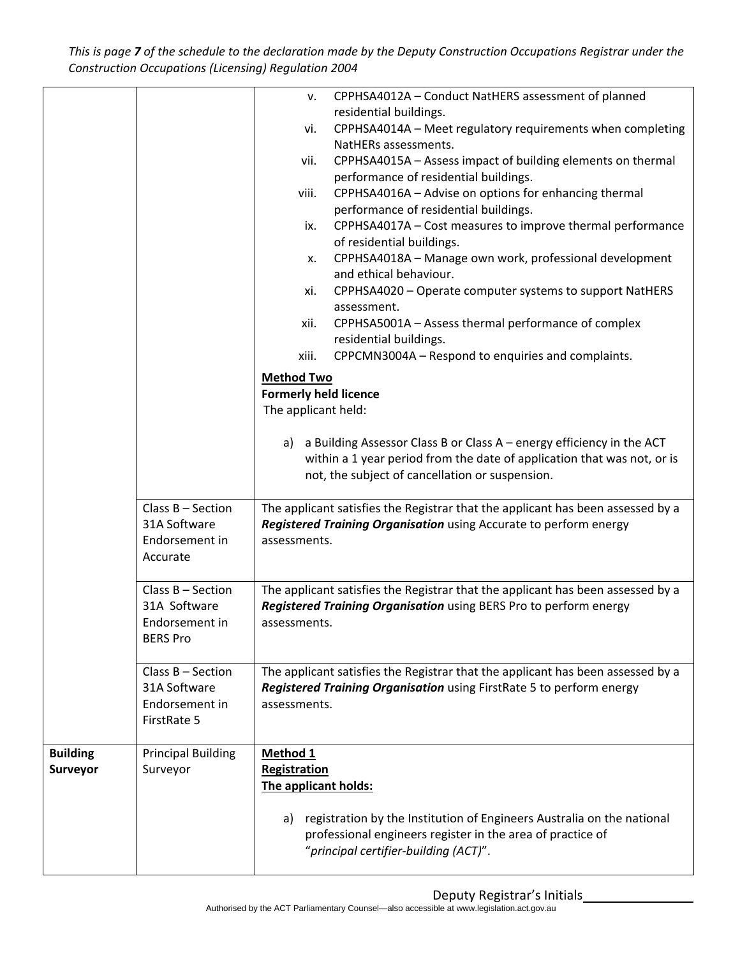This is page 7 of the schedule to the declaration made by the Deputy Construction Occupations Registrar under the *Construction Occupations (Licensing) Regulation 2004*

|                 |                                     | CPPHSA4012A - Conduct NatHERS assessment of planned<br>v.                                           |
|-----------------|-------------------------------------|-----------------------------------------------------------------------------------------------------|
|                 |                                     | residential buildings.<br>CPPHSA4014A - Meet regulatory requirements when completing<br>vi.         |
|                 |                                     | NatHERs assessments.                                                                                |
|                 |                                     | CPPHSA4015A - Assess impact of building elements on thermal<br>vii.                                 |
|                 |                                     | performance of residential buildings.                                                               |
|                 |                                     | CPPHSA4016A - Advise on options for enhancing thermal<br>viii.                                      |
|                 |                                     | performance of residential buildings.                                                               |
|                 |                                     | CPPHSA4017A - Cost measures to improve thermal performance<br>ix.<br>of residential buildings.      |
|                 |                                     | CPPHSA4018A - Manage own work, professional development<br>х.                                       |
|                 |                                     | and ethical behaviour.                                                                              |
|                 |                                     | CPPHSA4020 - Operate computer systems to support NatHERS<br>xi.<br>assessment.                      |
|                 |                                     | CPPHSA5001A - Assess thermal performance of complex<br>xii.<br>residential buildings.               |
|                 |                                     | CPPCMN3004A - Respond to enquiries and complaints.<br>xiii.                                         |
|                 |                                     |                                                                                                     |
|                 |                                     | <b>Method Two</b><br><b>Formerly held licence</b>                                                   |
|                 |                                     | The applicant held:                                                                                 |
|                 |                                     |                                                                                                     |
|                 |                                     | a Building Assessor Class B or Class $A$ – energy efficiency in the ACT<br>a)                       |
|                 |                                     | within a 1 year period from the date of application that was not, or is                             |
|                 |                                     | not, the subject of cancellation or suspension.                                                     |
|                 |                                     |                                                                                                     |
|                 | Class $B -$ Section                 | The applicant satisfies the Registrar that the applicant has been assessed by a                     |
|                 | 31A Software                        | Registered Training Organisation using Accurate to perform energy                                   |
|                 | Endorsement in<br>Accurate          | assessments.                                                                                        |
|                 |                                     |                                                                                                     |
|                 | Class $B -$ Section                 | The applicant satisfies the Registrar that the applicant has been assessed by a                     |
|                 | 31A Software                        | Registered Training Organisation using BERS Pro to perform energy                                   |
|                 | Endorsement in                      | assessments.                                                                                        |
|                 | <b>BERS Pro</b>                     |                                                                                                     |
|                 |                                     |                                                                                                     |
|                 | Class $B -$ Section<br>31A Software | The applicant satisfies the Registrar that the applicant has been assessed by a                     |
|                 | Endorsement in                      | Registered Training Organisation using FirstRate 5 to perform energy<br>assessments.                |
|                 | FirstRate 5                         |                                                                                                     |
|                 |                                     |                                                                                                     |
| <b>Building</b> | <b>Principal Building</b>           | Method 1                                                                                            |
| Surveyor        | Surveyor                            | Registration                                                                                        |
|                 |                                     | The applicant holds:                                                                                |
|                 |                                     |                                                                                                     |
|                 |                                     | registration by the Institution of Engineers Australia on the national<br>a)                        |
|                 |                                     | professional engineers register in the area of practice of<br>"principal certifier-building (ACT)". |
|                 |                                     |                                                                                                     |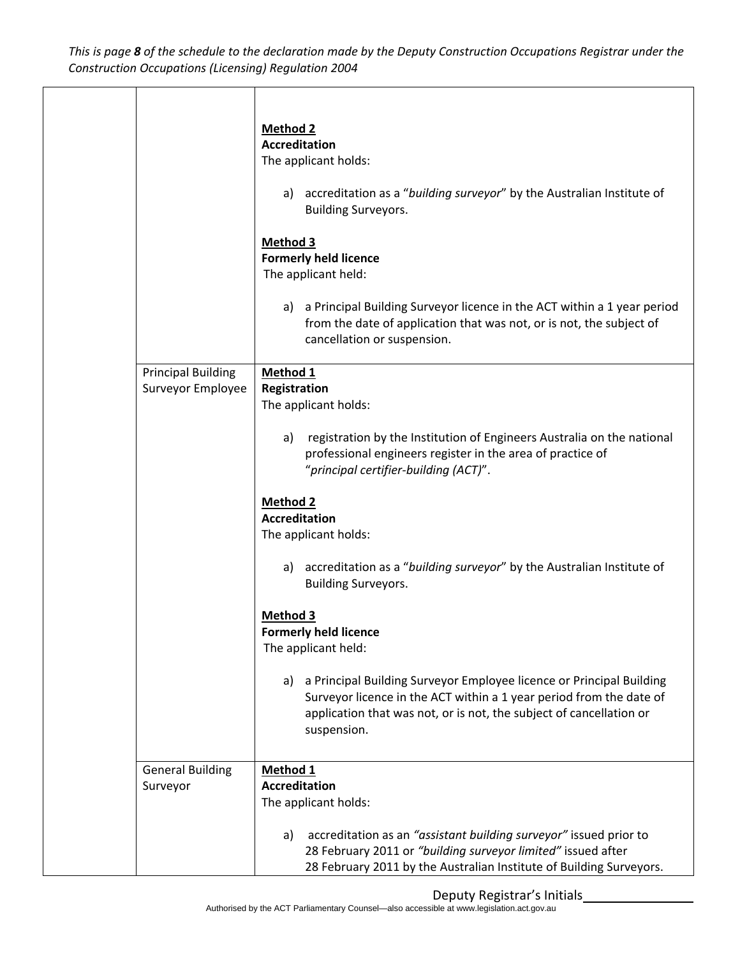This is page 8 of the schedule to the declaration made by the Deputy Construction Occupations Registrar under the *Construction Occupations (Licensing) Regulation 2004*

|                                                | <b>Method 2</b><br><b>Accreditation</b><br>The applicant holds:<br>a) accreditation as a "building surveyor" by the Australian Institute of<br><b>Building Surveyors.</b><br><b>Method 3</b><br><b>Formerly held licence</b><br>The applicant held:<br>a Principal Building Surveyor licence in the ACT within a 1 year period<br>a)<br>from the date of application that was not, or is not, the subject of<br>cancellation or suspension. |
|------------------------------------------------|---------------------------------------------------------------------------------------------------------------------------------------------------------------------------------------------------------------------------------------------------------------------------------------------------------------------------------------------------------------------------------------------------------------------------------------------|
| <b>Principal Building</b><br>Surveyor Employee | Method 1<br>Registration<br>The applicant holds:<br>registration by the Institution of Engineers Australia on the national<br>a)<br>professional engineers register in the area of practice of<br>"principal certifier-building (ACT)".                                                                                                                                                                                                     |
|                                                | <b>Method 2</b><br><b>Accreditation</b><br>The applicant holds:<br>accreditation as a "building surveyor" by the Australian Institute of<br>a)<br><b>Building Surveyors.</b>                                                                                                                                                                                                                                                                |
|                                                | <b>Method 3</b><br><b>Formerly held licence</b><br>The applicant held:<br>a Principal Building Surveyor Employee licence or Principal Building<br>a)<br>Surveyor licence in the ACT within a 1 year period from the date of<br>application that was not, or is not, the subject of cancellation or<br>suspension.                                                                                                                           |
| <b>General Building</b><br>Surveyor            | Method 1<br><b>Accreditation</b><br>The applicant holds:<br>accreditation as an "assistant building surveyor" issued prior to<br>a)<br>28 February 2011 or "building surveyor limited" issued after<br>28 February 2011 by the Australian Institute of Building Surveyors.                                                                                                                                                                  |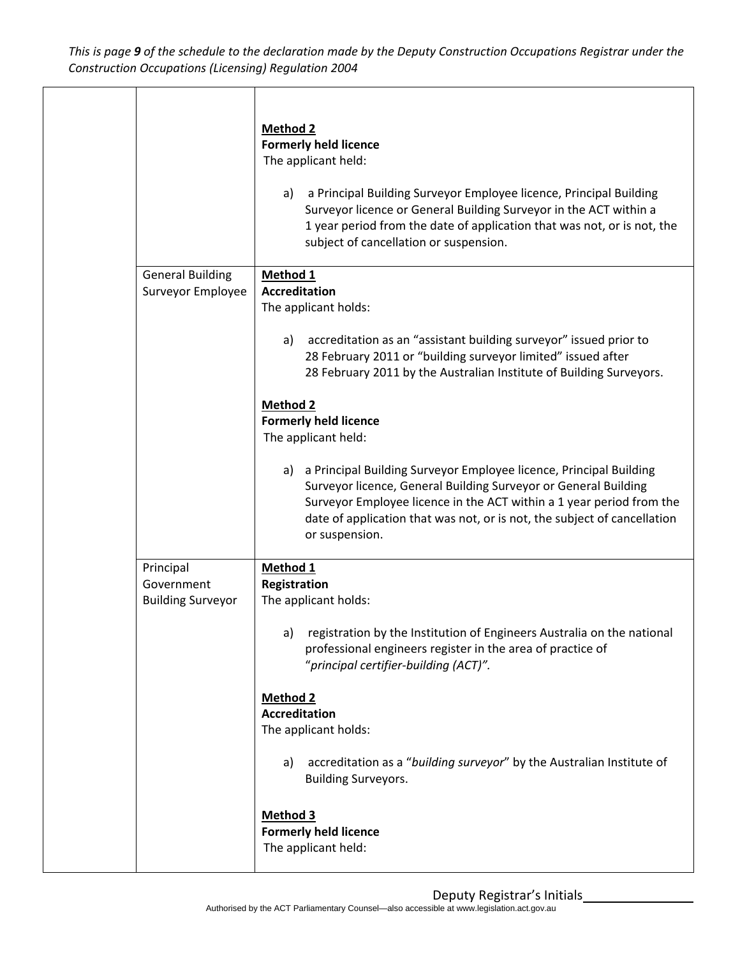This is page 9 of the schedule to the declaration made by the Deputy Construction Occupations Registrar under the *Construction Occupations (Licensing) Regulation 2004*

|                                                     | <b>Method 2</b><br><b>Formerly held licence</b><br>The applicant held:<br>a Principal Building Surveyor Employee licence, Principal Building<br>a)<br>Surveyor licence or General Building Surveyor in the ACT within a<br>1 year period from the date of application that was not, or is not, the<br>subject of cancellation or suspension.                                                                                                                       |
|-----------------------------------------------------|--------------------------------------------------------------------------------------------------------------------------------------------------------------------------------------------------------------------------------------------------------------------------------------------------------------------------------------------------------------------------------------------------------------------------------------------------------------------|
| <b>General Building</b><br>Surveyor Employee        | Method 1<br><b>Accreditation</b><br>The applicant holds:<br>accreditation as an "assistant building surveyor" issued prior to<br>a)<br>28 February 2011 or "building surveyor limited" issued after                                                                                                                                                                                                                                                                |
|                                                     | 28 February 2011 by the Australian Institute of Building Surveyors.<br><b>Method 2</b><br><b>Formerly held licence</b><br>The applicant held:<br>a Principal Building Surveyor Employee licence, Principal Building<br>a)<br>Surveyor licence, General Building Surveyor or General Building<br>Surveyor Employee licence in the ACT within a 1 year period from the<br>date of application that was not, or is not, the subject of cancellation<br>or suspension. |
| Principal<br>Government<br><b>Building Surveyor</b> | Method 1<br>Registration<br>The applicant holds:<br>registration by the Institution of Engineers Australia on the national<br>a)<br>professional engineers register in the area of practice of<br>"principal certifier-building (ACT)".<br><b>Method 2</b>                                                                                                                                                                                                         |
|                                                     | <b>Accreditation</b><br>The applicant holds:<br>accreditation as a "building surveyor" by the Australian Institute of<br>a)<br><b>Building Surveyors.</b><br><b>Method 3</b><br><b>Formerly held licence</b><br>The applicant held:                                                                                                                                                                                                                                |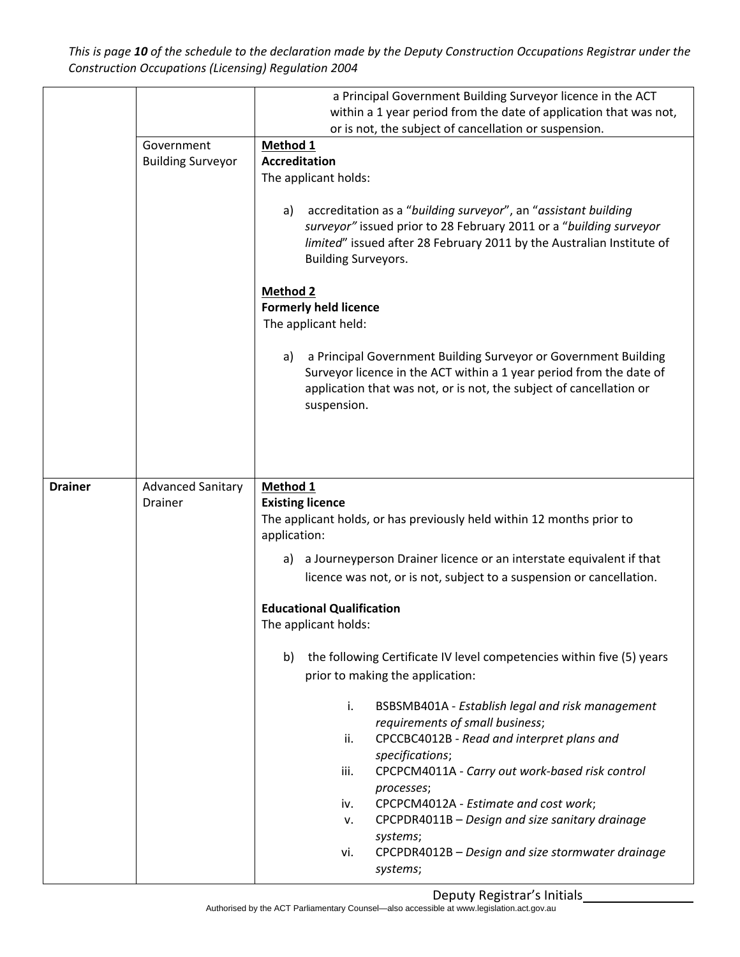This is page 10 of the schedule to the declaration made by the Deputy Construction Occupations Registrar under the *Construction Occupations (Licensing) Regulation 2004*

|                | Government<br><b>Building Surveyor</b>     | a Principal Government Building Surveyor licence in the ACT<br>within a 1 year period from the date of application that was not,<br>or is not, the subject of cancellation or suspension.<br>Method 1<br><b>Accreditation</b><br>The applicant holds:<br>accreditation as a "building surveyor", an "assistant building<br>a)<br>surveyor" issued prior to 28 February 2011 or a "building surveyor<br>limited" issued after 28 February 2011 by the Australian Institute of<br><b>Building Surveyors.</b><br><b>Method 2</b><br><b>Formerly held licence</b>                                                                                                                                                                                                                                                                                                                                               |
|----------------|--------------------------------------------|-------------------------------------------------------------------------------------------------------------------------------------------------------------------------------------------------------------------------------------------------------------------------------------------------------------------------------------------------------------------------------------------------------------------------------------------------------------------------------------------------------------------------------------------------------------------------------------------------------------------------------------------------------------------------------------------------------------------------------------------------------------------------------------------------------------------------------------------------------------------------------------------------------------|
|                |                                            | The applicant held:<br>a Principal Government Building Surveyor or Government Building<br>a)<br>Surveyor licence in the ACT within a 1 year period from the date of<br>application that was not, or is not, the subject of cancellation or<br>suspension.                                                                                                                                                                                                                                                                                                                                                                                                                                                                                                                                                                                                                                                   |
| <b>Drainer</b> | <b>Advanced Sanitary</b><br><b>Drainer</b> | Method 1<br><b>Existing licence</b><br>The applicant holds, or has previously held within 12 months prior to<br>application:<br>a Journeyperson Drainer licence or an interstate equivalent if that<br>a)<br>licence was not, or is not, subject to a suspension or cancellation.<br><b>Educational Qualification</b><br>The applicant holds:<br>b)<br>the following Certificate IV level competencies within five (5) years<br>prior to making the application:<br>i.<br>BSBSMB401A - Establish legal and risk management<br>requirements of small business;<br>CPCCBC4012B - Read and interpret plans and<br>ii.<br>specifications;<br>CPCPCM4011A - Carry out work-based risk control<br>iii.<br>processes;<br>CPCPCM4012A - Estimate and cost work;<br>iv.<br>CPCPDR4011B - Design and size sanitary drainage<br>۷.<br>systems;<br>CPCPDR4012B - Design and size stormwater drainage<br>vi.<br>systems; |

Deputy Registrar's Initials\_\_\_\_\_\_\_\_\_\_\_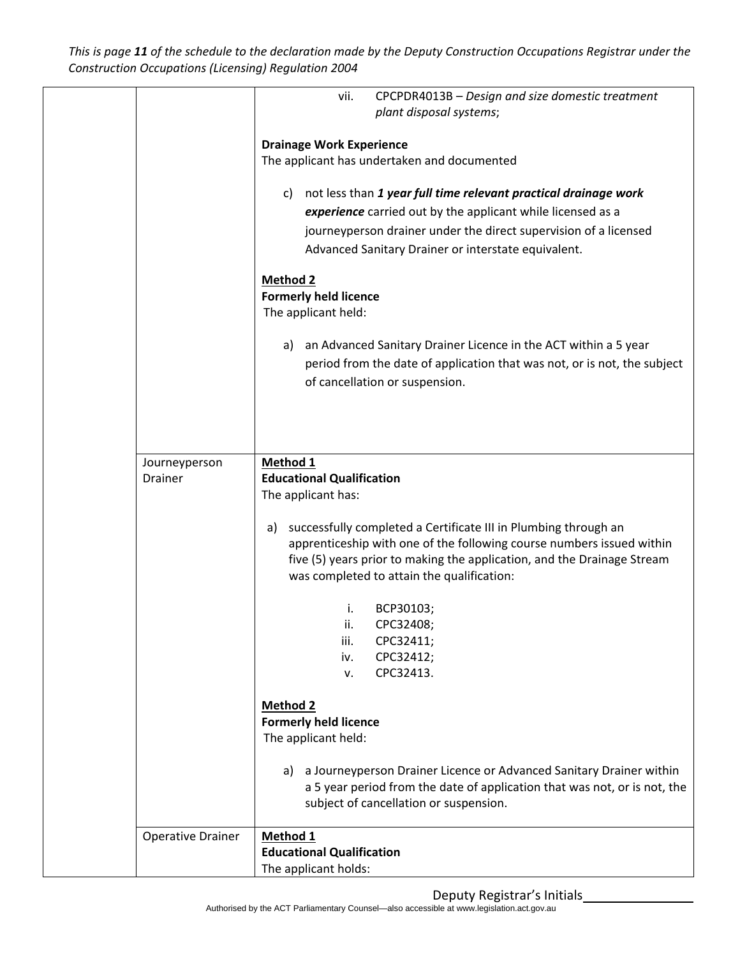This is page 11 of the schedule to the declaration made by the Deputy Construction Occupations Registrar under the *Construction Occupations (Licensing) Regulation 2004*

|                                 | CPCPDR4013B - Design and size domestic treatment<br>vii.                  |
|---------------------------------|---------------------------------------------------------------------------|
|                                 | plant disposal systems;                                                   |
|                                 |                                                                           |
|                                 | <b>Drainage Work Experience</b>                                           |
|                                 | The applicant has undertaken and documented                               |
|                                 |                                                                           |
|                                 | not less than 1 year full time relevant practical drainage work<br>C)     |
|                                 | experience carried out by the applicant while licensed as a               |
|                                 | journeyperson drainer under the direct supervision of a licensed          |
|                                 | Advanced Sanitary Drainer or interstate equivalent.                       |
|                                 | <b>Method 2</b>                                                           |
|                                 | <b>Formerly held licence</b>                                              |
|                                 | The applicant held:                                                       |
|                                 |                                                                           |
|                                 | an Advanced Sanitary Drainer Licence in the ACT within a 5 year<br>a)     |
|                                 | period from the date of application that was not, or is not, the subject  |
|                                 | of cancellation or suspension.                                            |
|                                 |                                                                           |
|                                 |                                                                           |
|                                 |                                                                           |
|                                 |                                                                           |
| Journeyperson<br><b>Drainer</b> | Method 1                                                                  |
|                                 | <b>Educational Qualification</b>                                          |
|                                 | The applicant has:                                                        |
|                                 | successfully completed a Certificate III in Plumbing through an<br>a)     |
|                                 | apprenticeship with one of the following course numbers issued within     |
|                                 | five (5) years prior to making the application, and the Drainage Stream   |
|                                 | was completed to attain the qualification:                                |
|                                 |                                                                           |
|                                 | i.<br>BCP30103;                                                           |
|                                 | CPC32408;<br>ii.                                                          |
|                                 | CPC32411;<br>iii.                                                         |
|                                 | CPC32412;<br>iv.                                                          |
|                                 | CPC32413.<br>ν.                                                           |
|                                 | <b>Method 2</b>                                                           |
|                                 | <b>Formerly held licence</b>                                              |
|                                 | The applicant held:                                                       |
|                                 |                                                                           |
|                                 | a Journeyperson Drainer Licence or Advanced Sanitary Drainer within<br>a) |
|                                 | a 5 year period from the date of application that was not, or is not, the |
|                                 | subject of cancellation or suspension.                                    |
|                                 |                                                                           |
| <b>Operative Drainer</b>        | Method 1                                                                  |
|                                 | <b>Educational Qualification</b><br>The applicant holds:                  |
|                                 |                                                                           |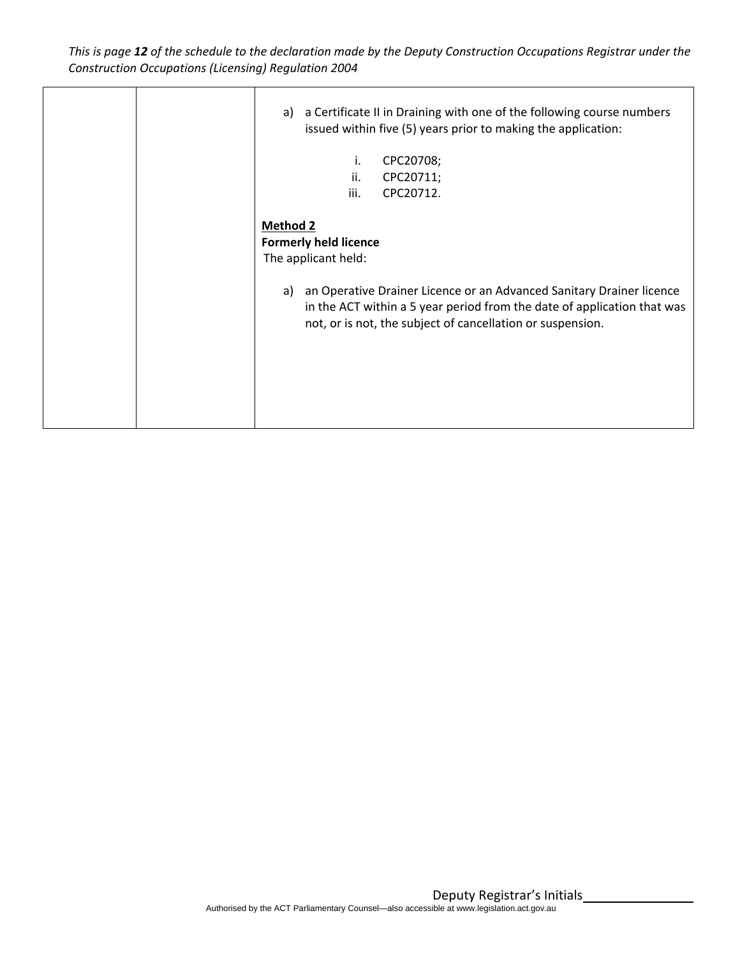This is page 12 of the schedule to the declaration made by the Deputy Construction Occupations Registrar under the *Construction Occupations (Licensing) Regulation 2004*

| a Certificate II in Draining with one of the following course numbers<br>a)<br>issued within five (5) years prior to making the application:<br>CPC20708;<br>i.<br>ii.<br>CPC20711;                                                                                                           |
|-----------------------------------------------------------------------------------------------------------------------------------------------------------------------------------------------------------------------------------------------------------------------------------------------|
| iii.<br>CPC20712.                                                                                                                                                                                                                                                                             |
| <b>Method 2</b><br><b>Formerly held licence</b><br>The applicant held:<br>an Operative Drainer Licence or an Advanced Sanitary Drainer licence<br>a)<br>in the ACT within a 5 year period from the date of application that was<br>not, or is not, the subject of cancellation or suspension. |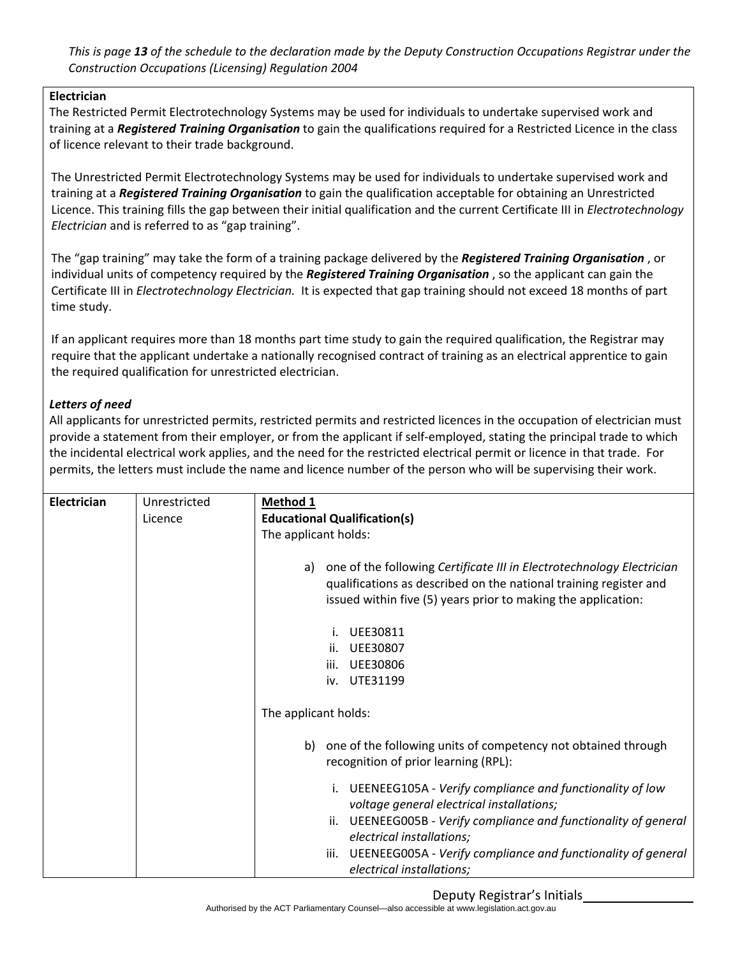This is page 13 of the schedule to the declaration made by the Deputy Construction Occupations Registrar under the *Construction Occupations (Licensing) Regulation 2004*

#### **Electrician**

The Restricted Permit Electrotechnology Systems may be used for individuals to undertake supervised work and training at a *Registered Training Organisation* to gain the qualifications required for a Restricted Licence in the class of licence relevant to their trade background.

The Unrestricted Permit Electrotechnology Systems may be used for individuals to undertake supervised work and training at a *Registered Training Organisation* to gain the qualification acceptable for obtaining an Unrestricted Licence. This training fills the gap between their initial qualification and the current Certificate III in *Electrotechnology Electrician* and is referred to as "gap training".

The "gap training" may take the form of a training package delivered by the *Registered Training Organisation* , or individual units of competency required by the *Registered Training Organisation* , so the applicant can gain the Certificate III in *Electrotechnology Electrician.* It is expected that gap training should not exceed 18 months of part time study.

If an applicant requires more than 18 months part time study to gain the required qualification, the Registrar may require that the applicant undertake a nationally recognised contract of training as an electrical apprentice to gain the required qualification for unrestricted electrician.

#### *Letters of need*

All applicants for unrestricted permits, restricted permits and restricted licences in the occupation of electrician must provide a statement from their employer, or from the applicant if self-employed, stating the principal trade to which the incidental electrical work applies, and the need for the restricted electrical permit or licence in that trade. For permits, the letters must include the name and licence number of the person who will be supervising their work.

| Electrician | Unrestricted | Method 1                                                                                                 |
|-------------|--------------|----------------------------------------------------------------------------------------------------------|
|             | Licence      | <b>Educational Qualification(s)</b>                                                                      |
|             |              | The applicant holds:                                                                                     |
|             |              |                                                                                                          |
|             |              | one of the following Certificate III in Electrotechnology Electrician<br>a)                              |
|             |              | qualifications as described on the national training register and                                        |
|             |              | issued within five (5) years prior to making the application:                                            |
|             |              | <b>UEE30811</b><br>i.                                                                                    |
|             |              | <b>UEE30807</b><br>ii.                                                                                   |
|             |              | UEE30806<br>iii.                                                                                         |
|             |              | UTE31199<br>iv.                                                                                          |
|             |              |                                                                                                          |
|             |              | The applicant holds:                                                                                     |
|             |              |                                                                                                          |
|             |              | one of the following units of competency not obtained through<br>b)                                      |
|             |              | recognition of prior learning (RPL):                                                                     |
|             |              | i. UEENEEG105A - Verify compliance and functionality of low<br>voltage general electrical installations; |
|             |              | ii. UEENEEG005B - Verify compliance and functionality of general                                         |
|             |              | electrical installations;                                                                                |
|             |              | iii. UEENEEG005A - Verify compliance and functionality of general                                        |
|             |              |                                                                                                          |
|             |              | electrical installations;                                                                                |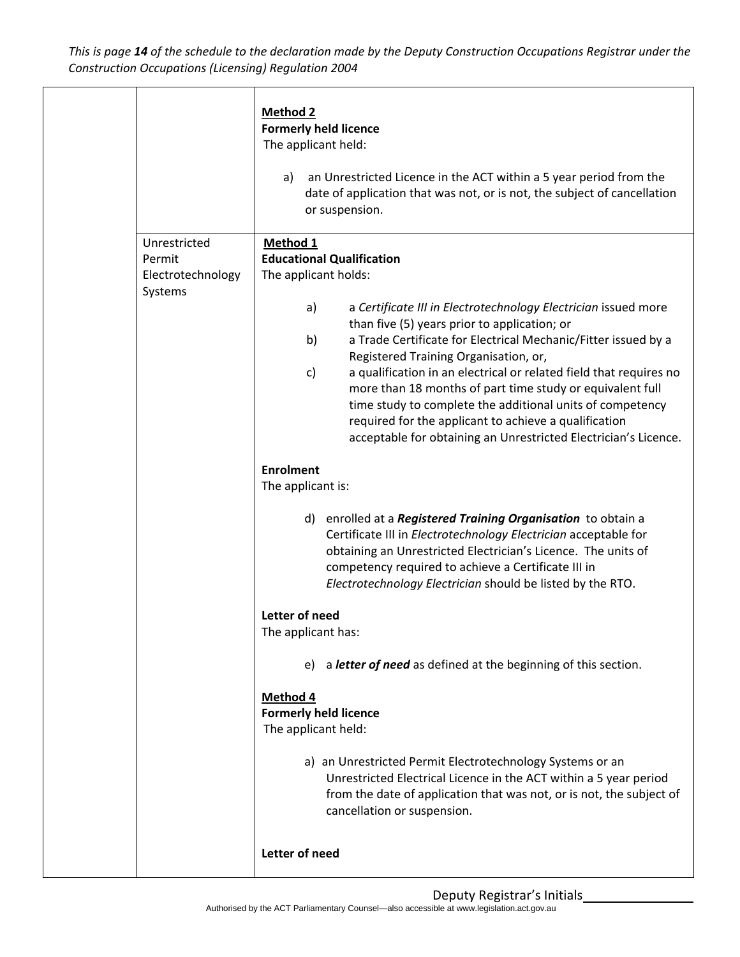This is page 14 of the schedule to the declaration made by the Deputy Construction Occupations Registrar under the *Construction Occupations (Licensing) Regulation 2004*

|                   | <b>Method 2</b><br>a)                                                     | <b>Formerly held licence</b><br>The applicant held:<br>an Unrestricted Licence in the ACT within a 5 year period from the<br>date of application that was not, or is not, the subject of cancellation<br>or suspension.                                                                                                                                                                                                                                                                                                                                                                                           |
|-------------------|---------------------------------------------------------------------------|-------------------------------------------------------------------------------------------------------------------------------------------------------------------------------------------------------------------------------------------------------------------------------------------------------------------------------------------------------------------------------------------------------------------------------------------------------------------------------------------------------------------------------------------------------------------------------------------------------------------|
| Permit<br>Systems | Unrestricted<br>Method 1<br>Electrotechnology<br>a)<br>b)<br>$\mathsf{c}$ | <b>Educational Qualification</b><br>The applicant holds:<br>a Certificate III in Electrotechnology Electrician issued more<br>than five (5) years prior to application; or<br>a Trade Certificate for Electrical Mechanic/Fitter issued by a<br>Registered Training Organisation, or,<br>a qualification in an electrical or related field that requires no<br>more than 18 months of part time study or equivalent full<br>time study to complete the additional units of competency<br>required for the applicant to achieve a qualification<br>acceptable for obtaining an Unrestricted Electrician's Licence. |
|                   | <b>Enrolment</b><br>The applicant is:<br>d)                               | enrolled at a Registered Training Organisation to obtain a<br>Certificate III in Electrotechnology Electrician acceptable for<br>obtaining an Unrestricted Electrician's Licence. The units of<br>competency required to achieve a Certificate III in<br>Electrotechnology Electrician should be listed by the RTO.                                                                                                                                                                                                                                                                                               |
|                   | Letter of need<br>The applicant has:<br>Method <sub>4</sub>               | e) a letter of need as defined at the beginning of this section.<br><b>Formerly held licence</b><br>The applicant held:<br>a) an Unrestricted Permit Electrotechnology Systems or an<br>Unrestricted Electrical Licence in the ACT within a 5 year period<br>from the date of application that was not, or is not, the subject of<br>cancellation or suspension.                                                                                                                                                                                                                                                  |
|                   | Letter of need                                                            |                                                                                                                                                                                                                                                                                                                                                                                                                                                                                                                                                                                                                   |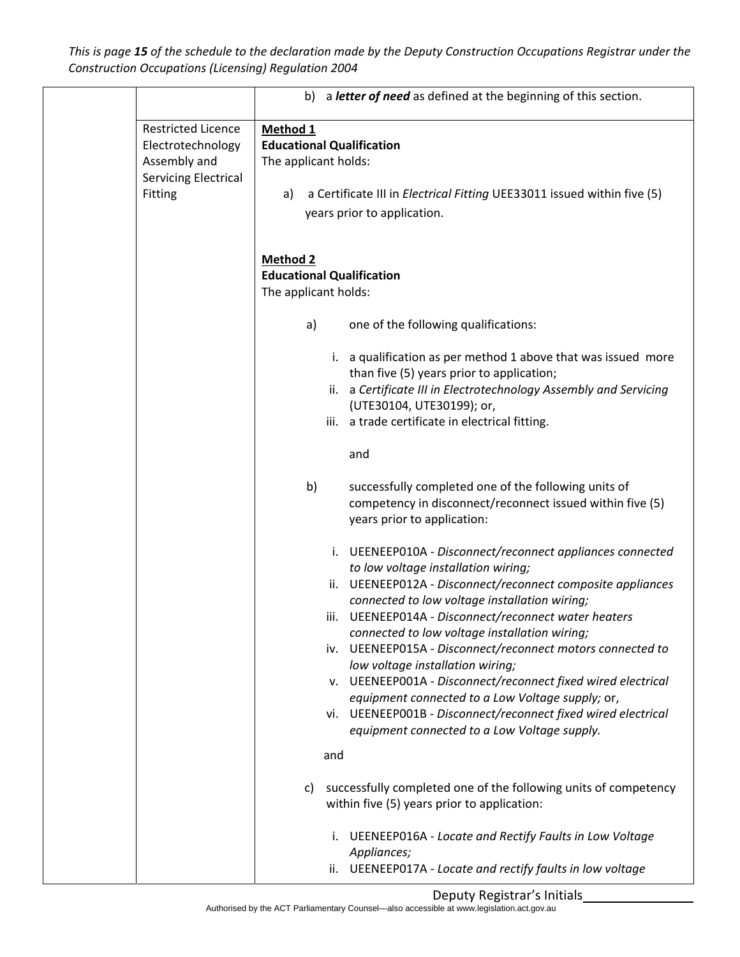This is page 15 of the schedule to the declaration made by the Deputy Construction Occupations Registrar under the *Construction Occupations (Licensing) Regulation 2004*

|                                                                                                          | b) a letter of need as defined at the beginning of this section.                                                                                                                                                                                                                        |
|----------------------------------------------------------------------------------------------------------|-----------------------------------------------------------------------------------------------------------------------------------------------------------------------------------------------------------------------------------------------------------------------------------------|
| <b>Restricted Licence</b><br>Electrotechnology<br>Assembly and<br><b>Servicing Electrical</b><br>Fitting | Method 1<br><b>Educational Qualification</b><br>The applicant holds:<br>a Certificate III in <i>Electrical Fitting</i> UEE33011 issued within five (5)<br>a)<br>years prior to application.                                                                                             |
|                                                                                                          | <b>Method 2</b><br><b>Educational Qualification</b><br>The applicant holds:                                                                                                                                                                                                             |
|                                                                                                          | one of the following qualifications:<br>a)<br>i. a qualification as per method 1 above that was issued more<br>than five (5) years prior to application;<br>ii. a Certificate III in Electrotechnology Assembly and Servicing<br>(UTE30104, UTE30199); or,                              |
|                                                                                                          | iii. a trade certificate in electrical fitting.<br>and<br>b)<br>successfully completed one of the following units of                                                                                                                                                                    |
|                                                                                                          | competency in disconnect/reconnect issued within five (5)<br>years prior to application:<br>i. UEENEEP010A - Disconnect/reconnect appliances connected<br>to low voltage installation wiring;                                                                                           |
|                                                                                                          | UEENEEP012A - Disconnect/reconnect composite appliances<br>ii.<br>connected to low voltage installation wiring;<br>iii. UEENEEP014A - Disconnect/reconnect water heaters<br>connected to low voltage installation wiring;<br>iv. UEENEEP015A - Disconnect/reconnect motors connected to |
|                                                                                                          | low voltage installation wiring;<br>v. UEENEEP001A - Disconnect/reconnect fixed wired electrical<br>equipment connected to a Low Voltage supply; or,<br>vi. UEENEEP001B - Disconnect/reconnect fixed wired electrical<br>equipment connected to a Low Voltage supply.                   |
|                                                                                                          | and<br>successfully completed one of the following units of competency<br>C)<br>within five (5) years prior to application:                                                                                                                                                             |
|                                                                                                          | i. UEENEEP016A - Locate and Rectify Faults in Low Voltage<br>Appliances;<br>ii. UEENEEP017A - Locate and rectify faults in low voltage                                                                                                                                                  |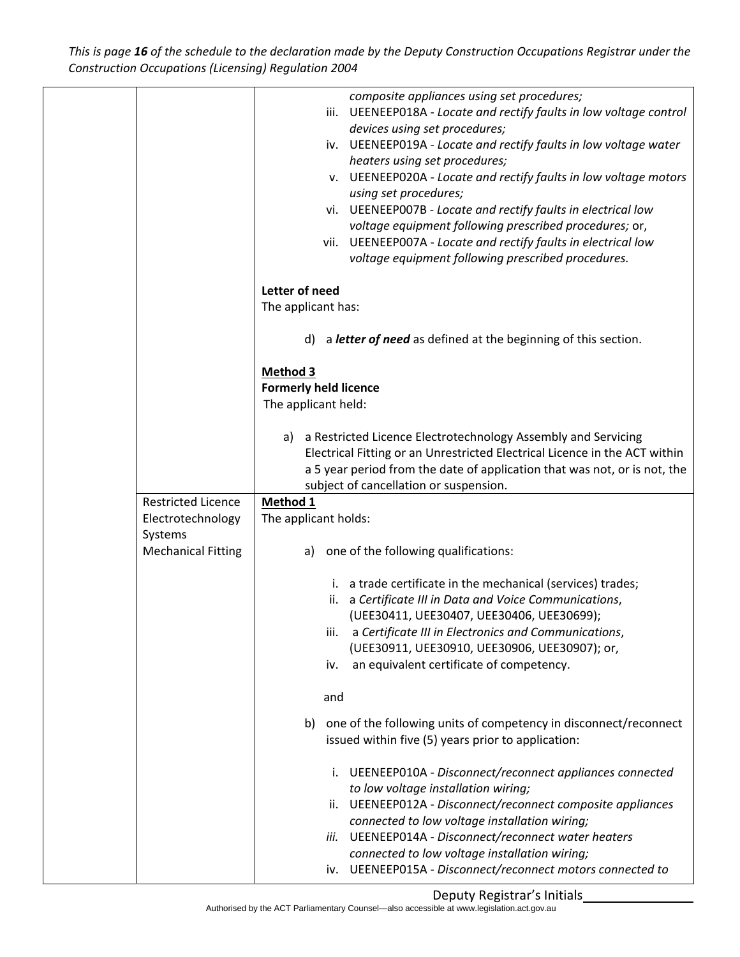This is page 16 of the schedule to the declaration made by the Deputy Construction Occupations Registrar under the *Construction Occupations (Licensing) Regulation 2004*

|                           | composite appliances using set procedures;                                                                               |
|---------------------------|--------------------------------------------------------------------------------------------------------------------------|
|                           | iii. UEENEEP018A - Locate and rectify faults in low voltage control                                                      |
|                           | devices using set procedures;<br>iv. UEENEEP019A - Locate and rectify faults in low voltage water                        |
|                           | heaters using set procedures;                                                                                            |
|                           | v. UEENEEP020A - Locate and rectify faults in low voltage motors                                                         |
|                           | using set procedures;                                                                                                    |
|                           | vi. UEENEEP007B - Locate and rectify faults in electrical low                                                            |
|                           | voltage equipment following prescribed procedures; or,<br>vii. UEENEEP007A - Locate and rectify faults in electrical low |
|                           | voltage equipment following prescribed procedures.                                                                       |
|                           |                                                                                                                          |
|                           | Letter of need                                                                                                           |
|                           | The applicant has:                                                                                                       |
|                           | a letter of need as defined at the beginning of this section.<br>d)                                                      |
|                           |                                                                                                                          |
|                           | <b>Method 3</b><br><b>Formerly held licence</b>                                                                          |
|                           | The applicant held:                                                                                                      |
|                           |                                                                                                                          |
|                           | a Restricted Licence Electrotechnology Assembly and Servicing<br>a)                                                      |
|                           | Electrical Fitting or an Unrestricted Electrical Licence in the ACT within                                               |
|                           | a 5 year period from the date of application that was not, or is not, the                                                |
| <b>Restricted Licence</b> | subject of cancellation or suspension.<br>Method 1                                                                       |
| Electrotechnology         | The applicant holds:                                                                                                     |
| Systems                   |                                                                                                                          |
| <b>Mechanical Fitting</b> | one of the following qualifications:<br>a)                                                                               |
|                           |                                                                                                                          |
|                           | i. a trade certificate in the mechanical (services) trades;<br>ii. a Certificate III in Data and Voice Communications,   |
|                           | (UEE30411, UEE30407, UEE30406, UEE30699);                                                                                |
|                           | a Certificate III in Electronics and Communications,<br>iii.                                                             |
|                           | (UEE30911, UEE30910, UEE30906, UEE30907); or,                                                                            |
|                           | an equivalent certificate of competency.<br>iv.                                                                          |
|                           | and                                                                                                                      |
|                           | one of the following units of competency in disconnect/reconnect<br>b)                                                   |
|                           | issued within five (5) years prior to application:                                                                       |
|                           | i. UEENEEP010A - Disconnect/reconnect appliances connected                                                               |
|                           | to low voltage installation wiring;                                                                                      |
|                           | ii. UEENEEP012A - Disconnect/reconnect composite appliances                                                              |
|                           | connected to low voltage installation wiring;                                                                            |
|                           | UEENEEP014A - Disconnect/reconnect water heaters<br>iii.<br>connected to low voltage installation wiring;                |
|                           | iv. UEENEEP015A - Disconnect/reconnect motors connected to                                                               |
|                           |                                                                                                                          |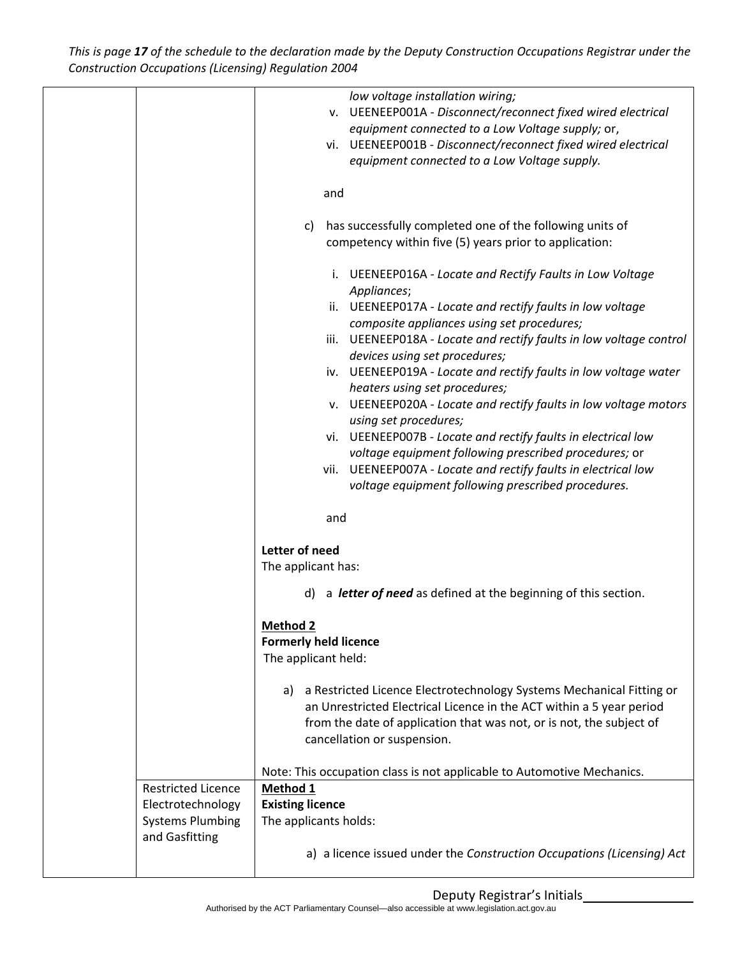This is page 17 of the schedule to the declaration made by the Deputy Construction Occupations Registrar under the *Construction Occupations (Licensing) Regulation 2004*

|                           | low voltage installation wiring;                                           |
|---------------------------|----------------------------------------------------------------------------|
|                           | v. UEENEEP001A - Disconnect/reconnect fixed wired electrical               |
|                           | equipment connected to a Low Voltage supply; or,                           |
|                           | vi. UEENEEP001B - Disconnect/reconnect fixed wired electrical              |
|                           | equipment connected to a Low Voltage supply.                               |
|                           |                                                                            |
|                           | and                                                                        |
|                           |                                                                            |
|                           |                                                                            |
|                           | has successfully completed one of the following units of<br>C)             |
|                           | competency within five (5) years prior to application:                     |
|                           |                                                                            |
|                           | i. UEENEEP016A - Locate and Rectify Faults in Low Voltage                  |
|                           | Appliances;                                                                |
|                           | ii. UEENEEP017A - Locate and rectify faults in low voltage                 |
|                           | composite appliances using set procedures;                                 |
|                           | iii. UEENEEP018A - Locate and rectify faults in low voltage control        |
|                           | devices using set procedures;                                              |
|                           | iv. UEENEEP019A - Locate and rectify faults in low voltage water           |
|                           | heaters using set procedures;                                              |
|                           | v. UEENEEP020A - Locate and rectify faults in low voltage motors           |
|                           | using set procedures;                                                      |
|                           | vi. UEENEEP007B - Locate and rectify faults in electrical low              |
|                           | voltage equipment following prescribed procedures; or                      |
|                           | vii. UEENEEP007A - Locate and rectify faults in electrical low             |
|                           | voltage equipment following prescribed procedures.                         |
|                           |                                                                            |
|                           | and                                                                        |
|                           |                                                                            |
|                           | Letter of need                                                             |
|                           | The applicant has:                                                         |
|                           | a letter of need as defined at the beginning of this section.<br>d)        |
|                           |                                                                            |
|                           |                                                                            |
|                           | <u>Method 2</u>                                                            |
|                           | <b>Formerly held licence</b><br>The applicant held:                        |
|                           |                                                                            |
|                           |                                                                            |
|                           | a Restricted Licence Electrotechnology Systems Mechanical Fitting or<br>a) |
|                           | an Unrestricted Electrical Licence in the ACT within a 5 year period       |
|                           | from the date of application that was not, or is not, the subject of       |
|                           | cancellation or suspension.                                                |
|                           |                                                                            |
|                           | Note: This occupation class is not applicable to Automotive Mechanics.     |
| <b>Restricted Licence</b> | Method 1                                                                   |
| Electrotechnology         | <b>Existing licence</b>                                                    |
| <b>Systems Plumbing</b>   | The applicants holds:                                                      |
| and Gasfitting            |                                                                            |
|                           | a) a licence issued under the Construction Occupations (Licensing) Act     |
|                           |                                                                            |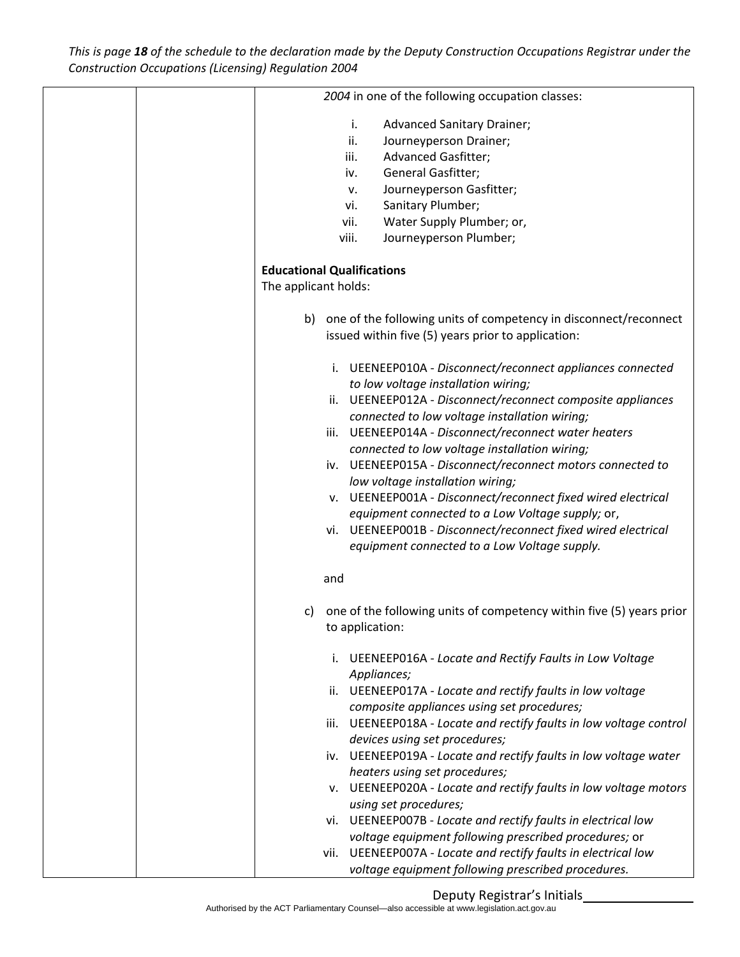This is page 18 of the schedule to the declaration made by the Deputy Construction Occupations Registrar under the *Construction Occupations (Licensing) Regulation 2004*

|  |                                   | 2004 in one of the following occupation classes:                                                         |
|--|-----------------------------------|----------------------------------------------------------------------------------------------------------|
|  |                                   |                                                                                                          |
|  | i.                                | <b>Advanced Sanitary Drainer;</b>                                                                        |
|  | ii.                               | Journeyperson Drainer;                                                                                   |
|  | iii.                              | <b>Advanced Gasfitter;</b>                                                                               |
|  | iv.                               | General Gasfitter;                                                                                       |
|  | v.                                | Journeyperson Gasfitter;                                                                                 |
|  | vi.                               | Sanitary Plumber;                                                                                        |
|  | vii.                              | Water Supply Plumber; or,                                                                                |
|  | viii.                             | Journeyperson Plumber;                                                                                   |
|  |                                   |                                                                                                          |
|  | <b>Educational Qualifications</b> |                                                                                                          |
|  | The applicant holds:              |                                                                                                          |
|  | b)                                | one of the following units of competency in disconnect/reconnect                                         |
|  |                                   | issued within five (5) years prior to application:                                                       |
|  |                                   | i. UEENEEP010A - Disconnect/reconnect appliances connected                                               |
|  |                                   | to low voltage installation wiring;                                                                      |
|  |                                   | ii. UEENEEP012A - Disconnect/reconnect composite appliances                                              |
|  |                                   | connected to low voltage installation wiring;                                                            |
|  |                                   | iii. UEENEEP014A - Disconnect/reconnect water heaters                                                    |
|  |                                   | connected to low voltage installation wiring;                                                            |
|  |                                   | iv. UEENEEP015A - Disconnect/reconnect motors connected to                                               |
|  |                                   | low voltage installation wiring;                                                                         |
|  |                                   | v. UEENEEP001A - Disconnect/reconnect fixed wired electrical                                             |
|  |                                   | equipment connected to a Low Voltage supply; or,                                                         |
|  |                                   | vi. UEENEEP001B - Disconnect/reconnect fixed wired electrical                                            |
|  |                                   | equipment connected to a Low Voltage supply.                                                             |
|  | and                               |                                                                                                          |
|  |                                   | one of the following units of competency within five (5) years prior                                     |
|  | C)                                |                                                                                                          |
|  |                                   | to application:                                                                                          |
|  |                                   | i. UEENEEP016A - Locate and Rectify Faults in Low Voltage                                                |
|  |                                   | Appliances;                                                                                              |
|  |                                   | ii. UEENEEP017A - Locate and rectify faults in low voltage<br>composite appliances using set procedures; |
|  |                                   | iii. UEENEEP018A - Locate and rectify faults in low voltage control                                      |
|  |                                   | devices using set procedures;                                                                            |
|  |                                   | iv. UEENEEP019A - Locate and rectify faults in low voltage water                                         |
|  |                                   | heaters using set procedures;<br>v. UEENEEP020A - Locate and rectify faults in low voltage motors        |
|  |                                   | using set procedures;                                                                                    |
|  |                                   | vi. UEENEEP007B - Locate and rectify faults in electrical low                                            |
|  |                                   | voltage equipment following prescribed procedures; or                                                    |
|  |                                   | vii. UEENEEP007A - Locate and rectify faults in electrical low                                           |
|  |                                   | voltage equipment following prescribed procedures.                                                       |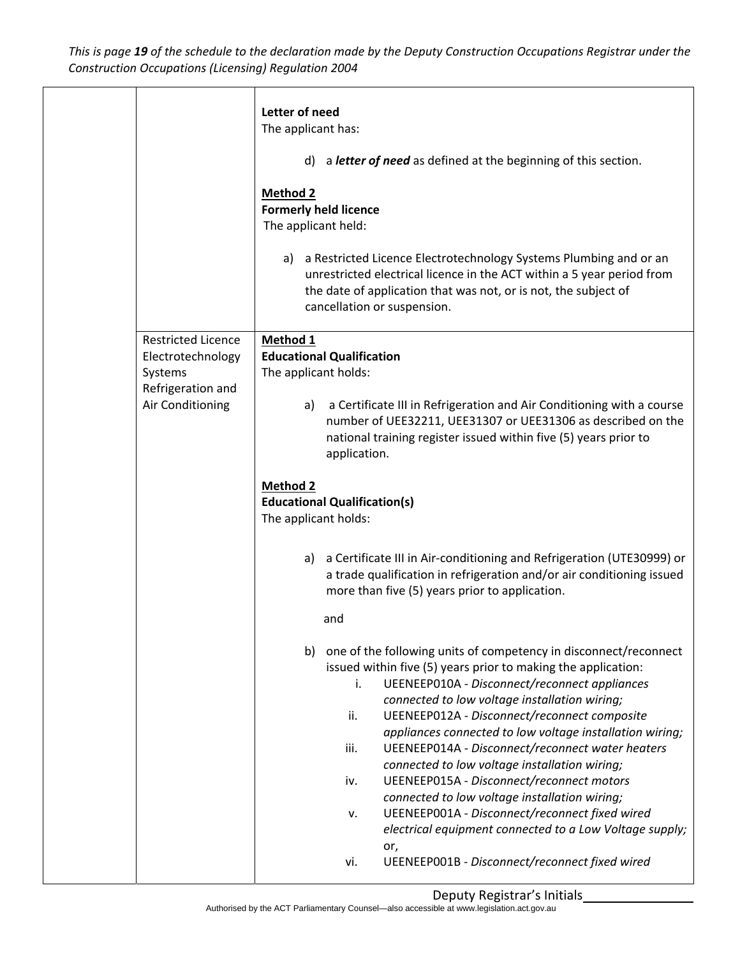This is page 19 of the schedule to the declaration made by the Deputy Construction Occupations Registrar under the *Construction Occupations (Licensing) Regulation 2004*

|                                                                                                    | Letter of need<br>The applicant has:<br>a letter of need as defined at the beginning of this section.<br>d)<br><b>Method 2</b><br><b>Formerly held licence</b><br>The applicant held:<br>a Restricted Licence Electrotechnology Systems Plumbing and or an<br>a)<br>unrestricted electrical licence in the ACT within a 5 year period from<br>the date of application that was not, or is not, the subject of<br>cancellation or suspension.                                                                                                                                                                                                                                                                                                                                                                                                                                                                                                                                                                                                                                                                                                                                                                                                                                                                                                                                              |
|----------------------------------------------------------------------------------------------------|-------------------------------------------------------------------------------------------------------------------------------------------------------------------------------------------------------------------------------------------------------------------------------------------------------------------------------------------------------------------------------------------------------------------------------------------------------------------------------------------------------------------------------------------------------------------------------------------------------------------------------------------------------------------------------------------------------------------------------------------------------------------------------------------------------------------------------------------------------------------------------------------------------------------------------------------------------------------------------------------------------------------------------------------------------------------------------------------------------------------------------------------------------------------------------------------------------------------------------------------------------------------------------------------------------------------------------------------------------------------------------------------|
| <b>Restricted Licence</b><br>Electrotechnology<br>Systems<br>Refrigeration and<br>Air Conditioning | Method 1<br><b>Educational Qualification</b><br>The applicant holds:<br>a Certificate III in Refrigeration and Air Conditioning with a course<br>a)<br>number of UEE32211, UEE31307 or UEE31306 as described on the<br>national training register issued within five (5) years prior to<br>application.<br><b>Method 2</b><br><b>Educational Qualification(s)</b><br>The applicant holds:<br>a) a Certificate III in Air-conditioning and Refrigeration (UTE30999) or<br>a trade qualification in refrigeration and/or air conditioning issued<br>more than five (5) years prior to application.<br>and<br>one of the following units of competency in disconnect/reconnect<br>b)<br>issued within five (5) years prior to making the application:<br><b>UEENEEP010A - Disconnect/reconnect appliances</b><br>i.<br>connected to low voltage installation wiring;<br>UEENEEP012A - Disconnect/reconnect composite<br>ii.<br>appliances connected to low voltage installation wiring;<br>UEENEEP014A - Disconnect/reconnect water heaters<br>iii.<br>connected to low voltage installation wiring;<br>UEENEEP015A - Disconnect/reconnect motors<br>iv.<br>connected to low voltage installation wiring;<br>UEENEEP001A - Disconnect/reconnect fixed wired<br>v.<br>electrical equipment connected to a Low Voltage supply;<br>or,<br>UEENEEP001B - Disconnect/reconnect fixed wired<br>vi. |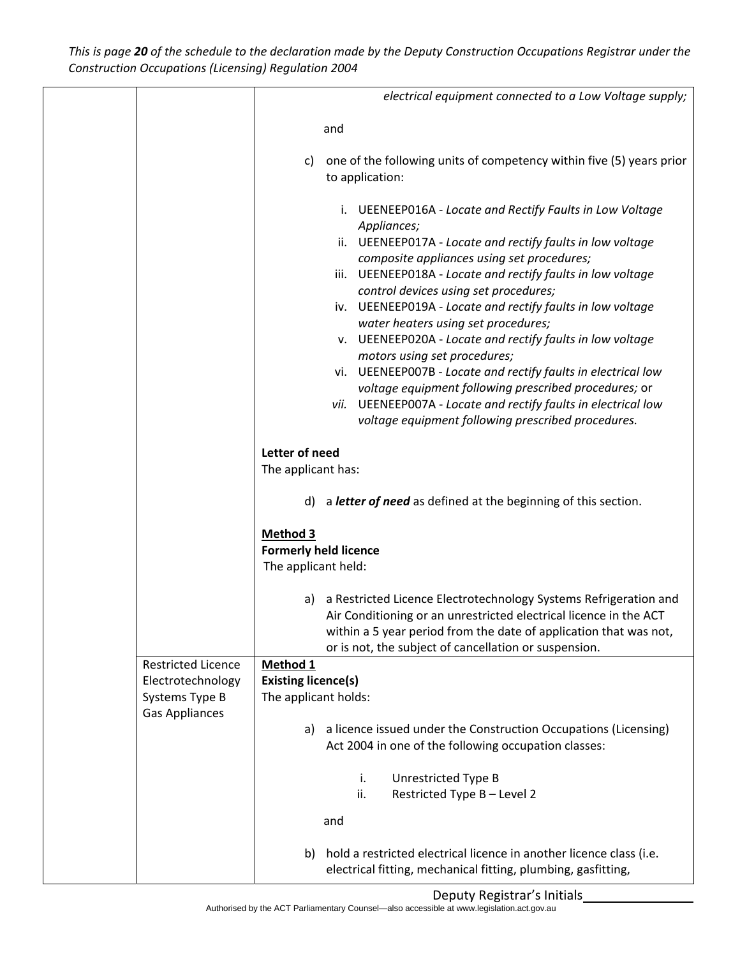This is page 20 of the schedule to the declaration made by the Deputy Construction Occupations Registrar under the *Construction Occupations (Licensing) Regulation 2004*

|                                                                                           | electrical equipment connected to a Low Voltage supply;                                                                                                                                                                                                                                                                                                                                           |
|-------------------------------------------------------------------------------------------|---------------------------------------------------------------------------------------------------------------------------------------------------------------------------------------------------------------------------------------------------------------------------------------------------------------------------------------------------------------------------------------------------|
|                                                                                           | and                                                                                                                                                                                                                                                                                                                                                                                               |
|                                                                                           |                                                                                                                                                                                                                                                                                                                                                                                                   |
|                                                                                           | one of the following units of competency within five (5) years prior<br>C)<br>to application:                                                                                                                                                                                                                                                                                                     |
|                                                                                           | i. UEENEEP016A - Locate and Rectify Faults in Low Voltage<br>Appliances;<br>ii. UEENEEP017A - Locate and rectify faults in low voltage<br>composite appliances using set procedures;<br>iii. UEENEEP018A - Locate and rectify faults in low voltage<br>control devices using set procedures;<br>iv. UEENEEP019A - Locate and rectify faults in low voltage<br>water heaters using set procedures; |
|                                                                                           | v. UEENEEP020A - Locate and rectify faults in low voltage                                                                                                                                                                                                                                                                                                                                         |
|                                                                                           | motors using set procedures;<br>vi. UEENEEP007B - Locate and rectify faults in electrical low<br>voltage equipment following prescribed procedures; or<br>vii. UEENEEP007A - Locate and rectify faults in electrical low<br>voltage equipment following prescribed procedures.                                                                                                                    |
|                                                                                           |                                                                                                                                                                                                                                                                                                                                                                                                   |
|                                                                                           | Letter of need<br>The applicant has:                                                                                                                                                                                                                                                                                                                                                              |
|                                                                                           | a letter of need as defined at the beginning of this section.<br>d)                                                                                                                                                                                                                                                                                                                               |
|                                                                                           | Method 3<br><b>Formerly held licence</b><br>The applicant held:                                                                                                                                                                                                                                                                                                                                   |
|                                                                                           | a Restricted Licence Electrotechnology Systems Refrigeration and<br>a)<br>Air Conditioning or an unrestricted electrical licence in the ACT<br>within a 5 year period from the date of application that was not,<br>or is not, the subject of cancellation or suspension.                                                                                                                         |
| <b>Restricted Licence</b><br>Electrotechnology<br>Systems Type B<br><b>Gas Appliances</b> | Method <sub>1</sub><br><b>Existing licence(s)</b><br>The applicant holds:                                                                                                                                                                                                                                                                                                                         |
|                                                                                           | a licence issued under the Construction Occupations (Licensing)<br>a)<br>Act 2004 in one of the following occupation classes:                                                                                                                                                                                                                                                                     |
|                                                                                           | i.<br>Unrestricted Type B<br>Restricted Type B - Level 2<br>ii.                                                                                                                                                                                                                                                                                                                                   |
|                                                                                           | and                                                                                                                                                                                                                                                                                                                                                                                               |
|                                                                                           | hold a restricted electrical licence in another licence class (i.e.<br>b)<br>electrical fitting, mechanical fitting, plumbing, gasfitting,                                                                                                                                                                                                                                                        |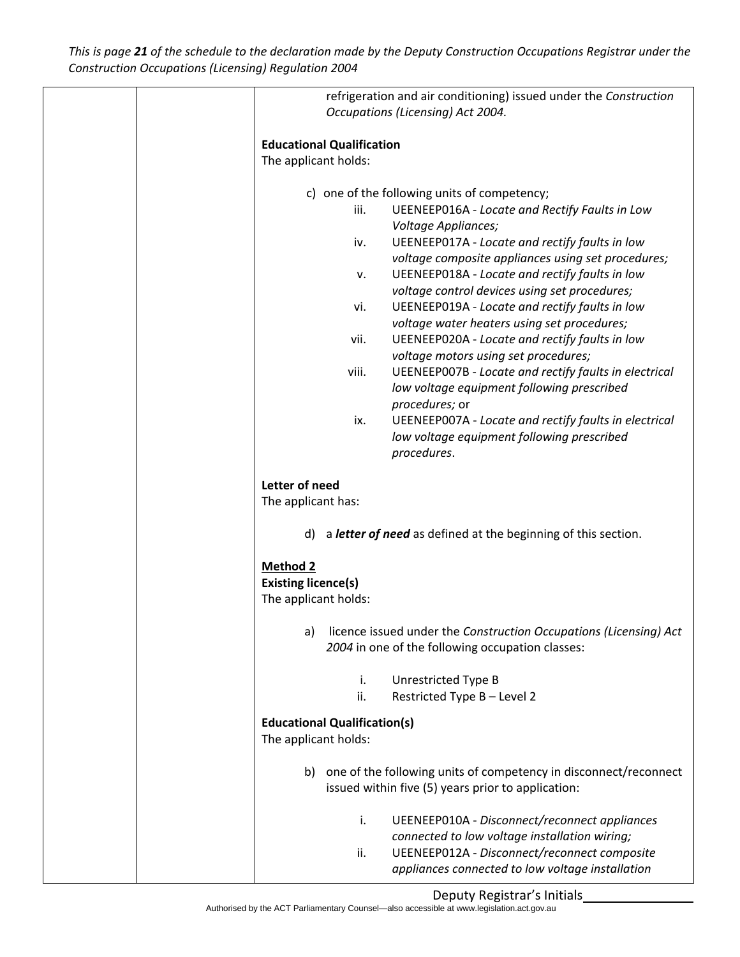This is page 21 of the schedule to the declaration made by the Deputy Construction Occupations Registrar under the *Construction Occupations (Licensing) Regulation 2004*

|                 | refrigeration and air conditioning) issued under the Construction       |
|-----------------|-------------------------------------------------------------------------|
|                 | Occupations (Licensing) Act 2004.                                       |
|                 |                                                                         |
|                 | <b>Educational Qualification</b>                                        |
|                 |                                                                         |
|                 | The applicant holds:                                                    |
|                 | c) one of the following units of competency;                            |
|                 | iii.<br><b>UEENEEP016A - Locate and Rectify Faults in Low</b>           |
|                 | Voltage Appliances;                                                     |
|                 |                                                                         |
|                 | UEENEEP017A - Locate and rectify faults in low<br>iv.                   |
|                 | voltage composite appliances using set procedures;                      |
|                 | UEENEEP018A - Locate and rectify faults in low<br>v.                    |
|                 | voltage control devices using set procedures;                           |
|                 | vi.<br>UEENEEP019A - Locate and rectify faults in low                   |
|                 | voltage water heaters using set procedures;                             |
|                 | UEENEEP020A - Locate and rectify faults in low<br>vii.                  |
|                 | voltage motors using set procedures;                                    |
|                 | UEENEEP007B - Locate and rectify faults in electrical<br>viii.          |
|                 | low voltage equipment following prescribed                              |
|                 | procedures; or                                                          |
|                 | UEENEEP007A - Locate and rectify faults in electrical<br>ix.            |
|                 | low voltage equipment following prescribed                              |
|                 | procedures.                                                             |
|                 |                                                                         |
| Letter of need  |                                                                         |
|                 | The applicant has:                                                      |
|                 |                                                                         |
|                 | a letter of need as defined at the beginning of this section.<br>d)     |
|                 |                                                                         |
| <b>Method 2</b> |                                                                         |
|                 | <b>Existing licence(s)</b>                                              |
|                 | The applicant holds:                                                    |
|                 |                                                                         |
|                 | licence issued under the Construction Occupations (Licensing) Act<br>a) |
|                 | 2004 in one of the following occupation classes:                        |
|                 |                                                                         |
|                 | i.<br>Unrestricted Type B                                               |
|                 | ii.<br>Restricted Type B - Level 2                                      |
|                 |                                                                         |
|                 | <b>Educational Qualification(s)</b>                                     |
|                 | The applicant holds:                                                    |
|                 |                                                                         |
|                 | b) one of the following units of competency in disconnect/reconnect     |
|                 | issued within five (5) years prior to application:                      |
|                 |                                                                         |
|                 | <b>UEENEEP010A - Disconnect/reconnect appliances</b><br>i.              |
|                 | connected to low voltage installation wiring;                           |
|                 | UEENEEP012A - Disconnect/reconnect composite<br>ii.                     |
|                 | appliances connected to low voltage installation                        |
|                 |                                                                         |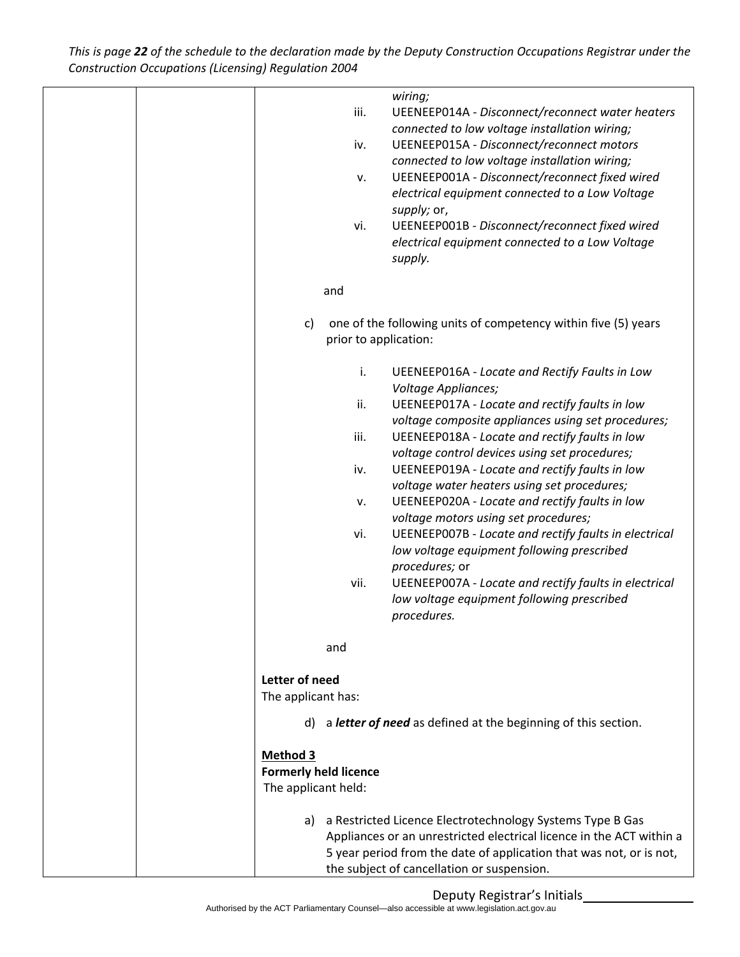This is page 22 of the schedule to the declaration made by the Deputy Construction Occupations Registrar under the *Construction Occupations (Licensing) Regulation 2004*

| wiring;                                                              |
|----------------------------------------------------------------------|
| iii.<br>UEENEEP014A - Disconnect/reconnect water heaters             |
| connected to low voltage installation wiring;                        |
| UEENEEP015A - Disconnect/reconnect motors<br>iv.                     |
| connected to low voltage installation wiring;                        |
| UEENEEP001A - Disconnect/reconnect fixed wired<br>v.                 |
| electrical equipment connected to a Low Voltage                      |
| supply; or,                                                          |
| UEENEEP001B - Disconnect/reconnect fixed wired<br>vi.                |
| electrical equipment connected to a Low Voltage                      |
| supply.                                                              |
|                                                                      |
| and                                                                  |
|                                                                      |
| one of the following units of competency within five (5) years<br>c) |
| prior to application:                                                |
|                                                                      |
| i.<br><b>UEENEEP016A - Locate and Rectify Faults in Low</b>          |
| Voltage Appliances;                                                  |
| ii.<br>UEENEEP017A - Locate and rectify faults in low                |
| voltage composite appliances using set procedures;                   |
| iii.<br>UEENEEP018A - Locate and rectify faults in low               |
| voltage control devices using set procedures;                        |
| UEENEEP019A - Locate and rectify faults in low                       |
| iv.                                                                  |
| voltage water heaters using set procedures;                          |
| UEENEEP020A - Locate and rectify faults in low<br>v.                 |
| voltage motors using set procedures;                                 |
| UEENEEP007B - Locate and rectify faults in electrical<br>vi.         |
| low voltage equipment following prescribed                           |
| procedures; or                                                       |
| UEENEEP007A - Locate and rectify faults in electrical<br>vii.        |
| low voltage equipment following prescribed                           |
| procedures.                                                          |
|                                                                      |
| and                                                                  |
|                                                                      |
| Letter of need                                                       |
| The applicant has:                                                   |
|                                                                      |
| d) a letter of need as defined at the beginning of this section.     |
|                                                                      |
| <b>Method 3</b>                                                      |
| <b>Formerly held licence</b>                                         |
| The applicant held:                                                  |
|                                                                      |
| a) a Restricted Licence Electrotechnology Systems Type B Gas         |
| Appliances or an unrestricted electrical licence in the ACT within a |
| 5 year period from the date of application that was not, or is not,  |
| the subject of cancellation or suspension.                           |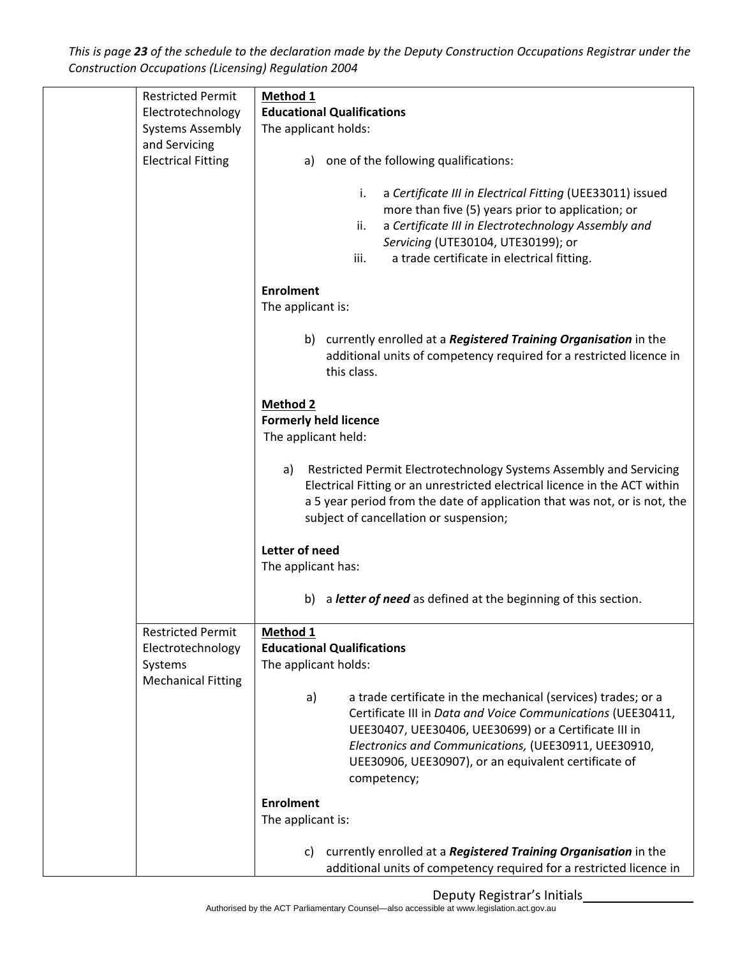This is page 23 of the schedule to the declaration made by the Deputy Construction Occupations Registrar under the *Construction Occupations (Licensing) Regulation 2004*

| <b>Restricted Permit</b>  | Method 1                                                                                                                                                                                          |
|---------------------------|---------------------------------------------------------------------------------------------------------------------------------------------------------------------------------------------------|
| Electrotechnology         | <b>Educational Qualifications</b>                                                                                                                                                                 |
| <b>Systems Assembly</b>   | The applicant holds:                                                                                                                                                                              |
| and Servicing             |                                                                                                                                                                                                   |
| <b>Electrical Fitting</b> | one of the following qualifications:<br>a)                                                                                                                                                        |
|                           | a Certificate III in Electrical Fitting (UEE33011) issued<br>i.                                                                                                                                   |
|                           | more than five (5) years prior to application; or                                                                                                                                                 |
|                           | a Certificate III in Electrotechnology Assembly and<br>ii.                                                                                                                                        |
|                           | Servicing (UTE30104, UTE30199); or                                                                                                                                                                |
|                           | iii.<br>a trade certificate in electrical fitting.                                                                                                                                                |
|                           | <b>Enrolment</b>                                                                                                                                                                                  |
|                           | The applicant is:                                                                                                                                                                                 |
|                           | b) currently enrolled at a <b>Registered Training Organisation</b> in the                                                                                                                         |
|                           | additional units of competency required for a restricted licence in<br>this class.                                                                                                                |
|                           | <b>Method 2</b>                                                                                                                                                                                   |
|                           | <b>Formerly held licence</b>                                                                                                                                                                      |
|                           | The applicant held:                                                                                                                                                                               |
|                           | Restricted Permit Electrotechnology Systems Assembly and Servicing<br>a)                                                                                                                          |
|                           | Electrical Fitting or an unrestricted electrical licence in the ACT within<br>a 5 year period from the date of application that was not, or is not, the<br>subject of cancellation or suspension; |
|                           | Letter of need                                                                                                                                                                                    |
|                           | The applicant has:                                                                                                                                                                                |
|                           | b) a letter of need as defined at the beginning of this section.                                                                                                                                  |
| <b>Restricted Permit</b>  | Method 1                                                                                                                                                                                          |
| Electrotechnology         | <b>Educational Qualifications</b>                                                                                                                                                                 |
| Systems                   | The applicant holds:                                                                                                                                                                              |
| <b>Mechanical Fitting</b> |                                                                                                                                                                                                   |
|                           | a trade certificate in the mechanical (services) trades; or a<br>a)<br>Certificate III in Data and Voice Communications (UEE30411,<br>UEE30407, UEE30406, UEE30699) or a Certificate III in       |
|                           | Electronics and Communications, (UEE30911, UEE30910,<br>UEE30906, UEE30907), or an equivalent certificate of<br>competency;                                                                       |
|                           | <b>Enrolment</b>                                                                                                                                                                                  |
|                           | The applicant is:                                                                                                                                                                                 |
|                           |                                                                                                                                                                                                   |
|                           | currently enrolled at a Registered Training Organisation in the<br>C)<br>additional units of competency required for a restricted licence in                                                      |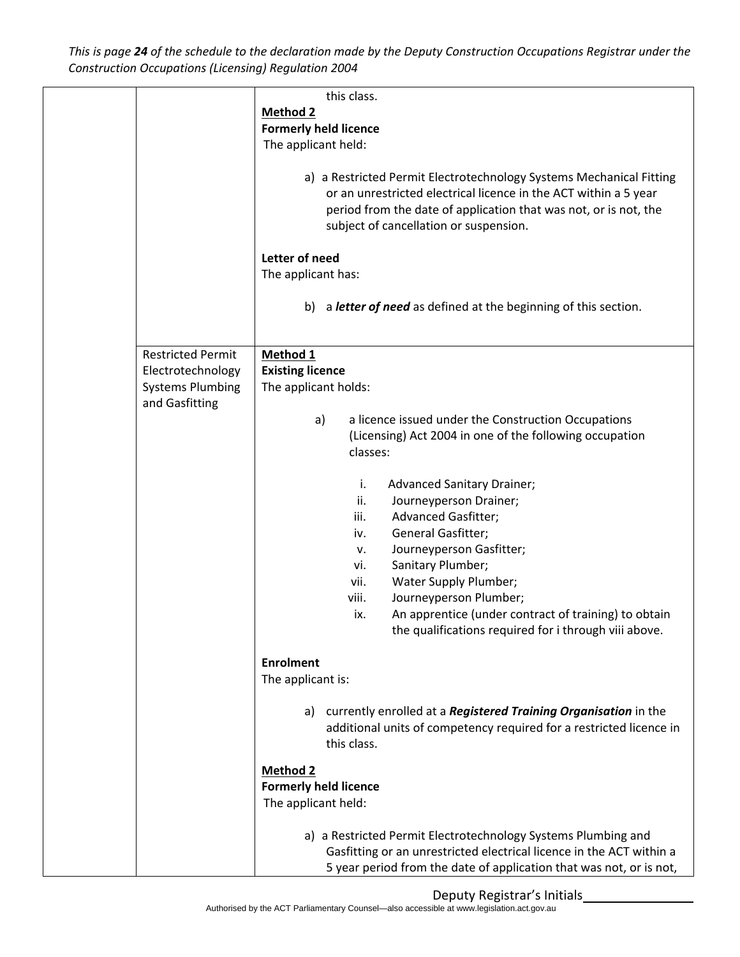This is page 24 of the schedule to the declaration made by the Deputy Construction Occupations Registrar under the *Construction Occupations (Licensing) Regulation 2004*

|                          | this class.                                                               |
|--------------------------|---------------------------------------------------------------------------|
|                          | <b>Method 2</b>                                                           |
|                          | <b>Formerly held licence</b>                                              |
|                          | The applicant held:                                                       |
|                          |                                                                           |
|                          | a) a Restricted Permit Electrotechnology Systems Mechanical Fitting       |
|                          | or an unrestricted electrical licence in the ACT within a 5 year          |
|                          | period from the date of application that was not, or is not, the          |
|                          | subject of cancellation or suspension.                                    |
|                          |                                                                           |
|                          | Letter of need                                                            |
|                          | The applicant has:                                                        |
|                          |                                                                           |
|                          | a letter of need as defined at the beginning of this section.<br>b)       |
|                          |                                                                           |
|                          |                                                                           |
| <b>Restricted Permit</b> | Method 1                                                                  |
| Electrotechnology        | <b>Existing licence</b>                                                   |
|                          |                                                                           |
| <b>Systems Plumbing</b>  | The applicant holds:                                                      |
| and Gasfitting           |                                                                           |
|                          | a licence issued under the Construction Occupations<br>a)                 |
|                          | (Licensing) Act 2004 in one of the following occupation                   |
|                          | classes:                                                                  |
|                          |                                                                           |
|                          | <b>Advanced Sanitary Drainer;</b><br>i.                                   |
|                          | ii.<br>Journeyperson Drainer;                                             |
|                          | Advanced Gasfitter;<br>iii.                                               |
|                          | General Gasfitter;<br>iv.                                                 |
|                          | Journeyperson Gasfitter;<br>v.                                            |
|                          | Sanitary Plumber;<br>vi.                                                  |
|                          | Water Supply Plumber;<br>vii.                                             |
|                          | Journeyperson Plumber;<br>viii.                                           |
|                          | An apprentice (under contract of training) to obtain<br>ix.               |
|                          | the qualifications required for i through viii above.                     |
|                          |                                                                           |
|                          | <b>Enrolment</b>                                                          |
|                          | The applicant is:                                                         |
|                          |                                                                           |
|                          | a) currently enrolled at a <b>Registered Training Organisation</b> in the |
|                          | additional units of competency required for a restricted licence in       |
|                          | this class.                                                               |
|                          |                                                                           |
|                          | <b>Method 2</b>                                                           |
|                          | <b>Formerly held licence</b>                                              |
|                          | The applicant held:                                                       |
|                          |                                                                           |
|                          | a) a Restricted Permit Electrotechnology Systems Plumbing and             |
|                          | Gasfitting or an unrestricted electrical licence in the ACT within a      |
|                          | 5 year period from the date of application that was not, or is not,       |
|                          |                                                                           |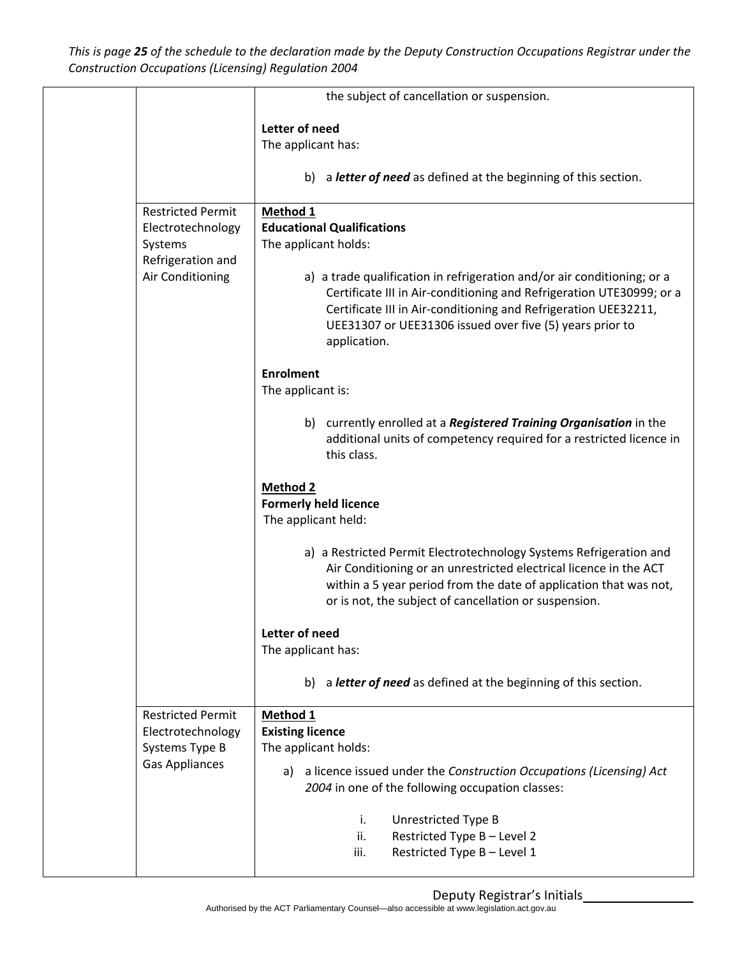This is page 25 of the schedule to the declaration made by the Deputy Construction Occupations Registrar under the *Construction Occupations (Licensing) Regulation 2004*

|                                                                                                   | the subject of cancellation or suspension.                                                                                                                                                                                                                                                                                                                              |
|---------------------------------------------------------------------------------------------------|-------------------------------------------------------------------------------------------------------------------------------------------------------------------------------------------------------------------------------------------------------------------------------------------------------------------------------------------------------------------------|
|                                                                                                   | Letter of need<br>The applicant has:<br>b) a letter of need as defined at the beginning of this section.                                                                                                                                                                                                                                                                |
|                                                                                                   |                                                                                                                                                                                                                                                                                                                                                                         |
| <b>Restricted Permit</b><br>Electrotechnology<br>Systems<br>Refrigeration and<br>Air Conditioning | Method 1<br><b>Educational Qualifications</b><br>The applicant holds:<br>a) a trade qualification in refrigeration and/or air conditioning; or a<br>Certificate III in Air-conditioning and Refrigeration UTE30999; or a<br>Certificate III in Air-conditioning and Refrigeration UEE32211,<br>UEE31307 or UEE31306 issued over five (5) years prior to<br>application. |
|                                                                                                   | <b>Enrolment</b><br>The applicant is:                                                                                                                                                                                                                                                                                                                                   |
|                                                                                                   | b) currently enrolled at a Registered Training Organisation in the<br>additional units of competency required for a restricted licence in<br>this class.                                                                                                                                                                                                                |
|                                                                                                   | <b>Method 2</b><br><b>Formerly held licence</b><br>The applicant held:                                                                                                                                                                                                                                                                                                  |
|                                                                                                   | a) a Restricted Permit Electrotechnology Systems Refrigeration and<br>Air Conditioning or an unrestricted electrical licence in the ACT<br>within a 5 year period from the date of application that was not,<br>or is not, the subject of cancellation or suspension.                                                                                                   |
|                                                                                                   | Letter of need<br>The applicant has:                                                                                                                                                                                                                                                                                                                                    |
|                                                                                                   | b) a letter of need as defined at the beginning of this section.                                                                                                                                                                                                                                                                                                        |
| <b>Restricted Permit</b><br>Electrotechnology<br>Systems Type B<br><b>Gas Appliances</b>          | Method 1<br><b>Existing licence</b><br>The applicant holds:<br>a) a licence issued under the Construction Occupations (Licensing) Act<br>2004 in one of the following occupation classes:                                                                                                                                                                               |
|                                                                                                   | Unrestricted Type B<br>i.<br>Restricted Type B - Level 2<br>ii.<br>Restricted Type B - Level 1<br>iii.                                                                                                                                                                                                                                                                  |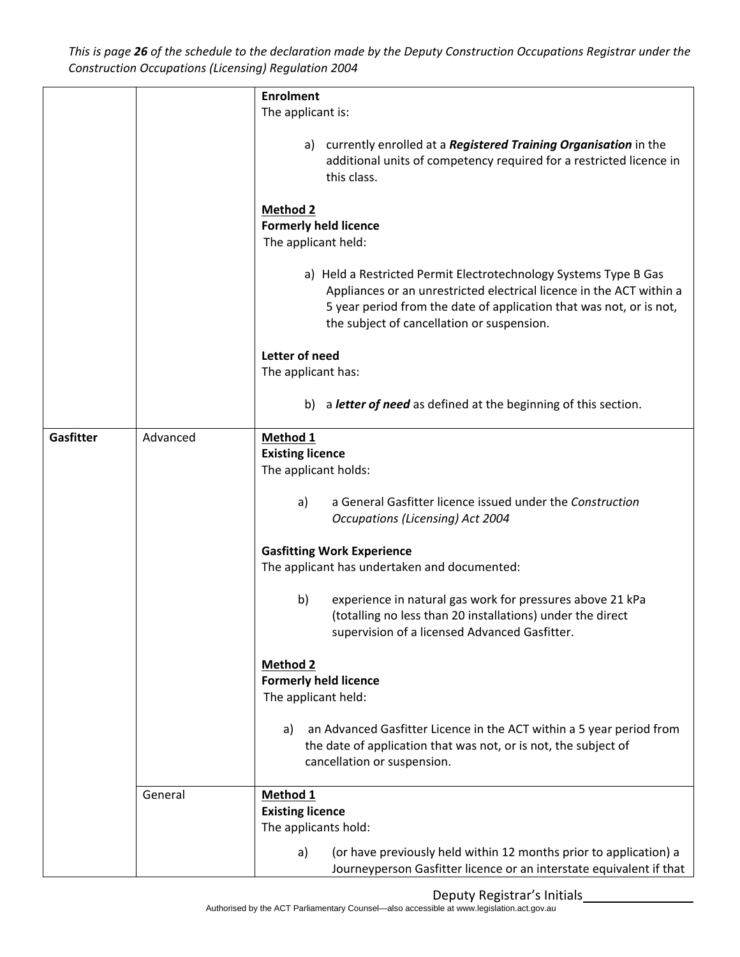This is page 26 of the schedule to the declaration made by the Deputy Construction Occupations Registrar under the *Construction Occupations (Licensing) Regulation 2004*

|           |          | <b>Enrolment</b>                                                                                                                                                                                                                                                                                                                                                                                                                                                                                                                                                                                                                                                                                           |  |
|-----------|----------|------------------------------------------------------------------------------------------------------------------------------------------------------------------------------------------------------------------------------------------------------------------------------------------------------------------------------------------------------------------------------------------------------------------------------------------------------------------------------------------------------------------------------------------------------------------------------------------------------------------------------------------------------------------------------------------------------------|--|
|           |          | The applicant is:                                                                                                                                                                                                                                                                                                                                                                                                                                                                                                                                                                                                                                                                                          |  |
|           |          | a) currently enrolled at a Registered Training Organisation in the<br>additional units of competency required for a restricted licence in<br>this class.                                                                                                                                                                                                                                                                                                                                                                                                                                                                                                                                                   |  |
|           |          | <b>Method 2</b><br><b>Formerly held licence</b><br>The applicant held:<br>a) Held a Restricted Permit Electrotechnology Systems Type B Gas<br>Appliances or an unrestricted electrical licence in the ACT within a<br>5 year period from the date of application that was not, or is not,<br>the subject of cancellation or suspension.<br>Letter of need<br>The applicant has:                                                                                                                                                                                                                                                                                                                            |  |
|           |          | b) a letter of need as defined at the beginning of this section.                                                                                                                                                                                                                                                                                                                                                                                                                                                                                                                                                                                                                                           |  |
|           |          |                                                                                                                                                                                                                                                                                                                                                                                                                                                                                                                                                                                                                                                                                                            |  |
| Gasfitter | Advanced | Method 1<br><b>Existing licence</b><br>The applicant holds:<br>a General Gasfitter licence issued under the Construction<br>a)<br><b>Occupations (Licensing) Act 2004</b><br><b>Gasfitting Work Experience</b><br>The applicant has undertaken and documented:<br>experience in natural gas work for pressures above 21 kPa<br>b)<br>(totalling no less than 20 installations) under the direct<br>supervision of a licensed Advanced Gasfitter.<br><b>Method 2</b><br><b>Formerly held licence</b><br>The applicant held:<br>an Advanced Gasfitter Licence in the ACT within a 5 year period from<br>a)<br>the date of application that was not, or is not, the subject of<br>cancellation or suspension. |  |
|           | General  | Method 1<br><b>Existing licence</b><br>The applicants hold:                                                                                                                                                                                                                                                                                                                                                                                                                                                                                                                                                                                                                                                |  |
|           |          | (or have previously held within 12 months prior to application) a<br>a)<br>Journeyperson Gasfitter licence or an interstate equivalent if that                                                                                                                                                                                                                                                                                                                                                                                                                                                                                                                                                             |  |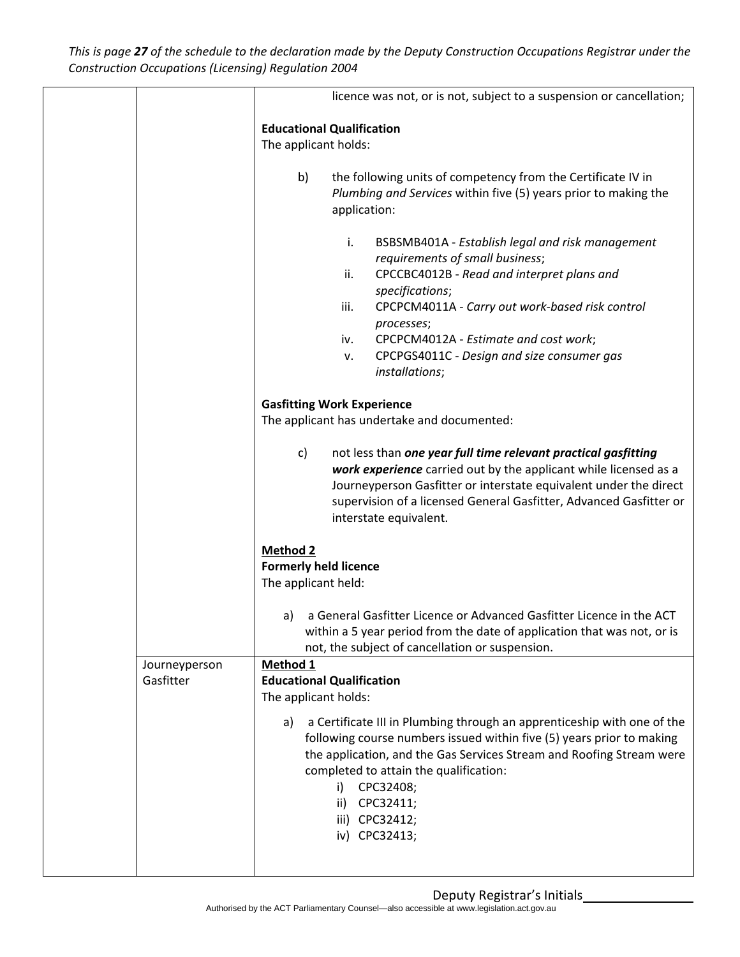This is page 27 of the schedule to the declaration made by the Deputy Construction Occupations Registrar under the *Construction Occupations (Licensing) Regulation 2004*

|                            | licence was not, or is not, subject to a suspension or cancellation;                                                                                                                                                                                                                                                                                             |  |
|----------------------------|------------------------------------------------------------------------------------------------------------------------------------------------------------------------------------------------------------------------------------------------------------------------------------------------------------------------------------------------------------------|--|
|                            | <b>Educational Qualification</b><br>The applicant holds:                                                                                                                                                                                                                                                                                                         |  |
|                            | b)<br>the following units of competency from the Certificate IV in<br>Plumbing and Services within five (5) years prior to making the<br>application:                                                                                                                                                                                                            |  |
|                            | i.<br>BSBSMB401A - Establish legal and risk management<br>requirements of small business;<br>CPCCBC4012B - Read and interpret plans and<br>ii.<br>specifications;<br>CPCPCM4011A - Carry out work-based risk control<br>iii.<br>processes;<br>CPCPCM4012A - Estimate and cost work;<br>iv.<br>CPCPGS4011C - Design and size consumer gas<br>ν.<br>installations; |  |
|                            | <b>Gasfitting Work Experience</b><br>The applicant has undertake and documented:                                                                                                                                                                                                                                                                                 |  |
|                            | not less than one year full time relevant practical gasfitting<br>c)<br>work experience carried out by the applicant while licensed as a<br>Journeyperson Gasfitter or interstate equivalent under the direct<br>supervision of a licensed General Gasfitter, Advanced Gasfitter or<br>interstate equivalent.                                                    |  |
|                            | <b>Method 2</b><br><b>Formerly held licence</b><br>The applicant held:                                                                                                                                                                                                                                                                                           |  |
|                            | a General Gasfitter Licence or Advanced Gasfitter Licence in the ACT<br>a)<br>within a 5 year period from the date of application that was not, or is<br>not, the subject of cancellation or suspension.                                                                                                                                                         |  |
| Journeyperson<br>Gasfitter | Method 1<br><b>Educational Qualification</b><br>The applicant holds:                                                                                                                                                                                                                                                                                             |  |
|                            | a Certificate III in Plumbing through an apprenticeship with one of the<br>a)<br>following course numbers issued within five (5) years prior to making<br>the application, and the Gas Services Stream and Roofing Stream were<br>completed to attain the qualification:<br>CPC32408;<br>i)<br>CPC32411;<br>ii)<br>iii) CPC32412;<br>iv) CPC32413;               |  |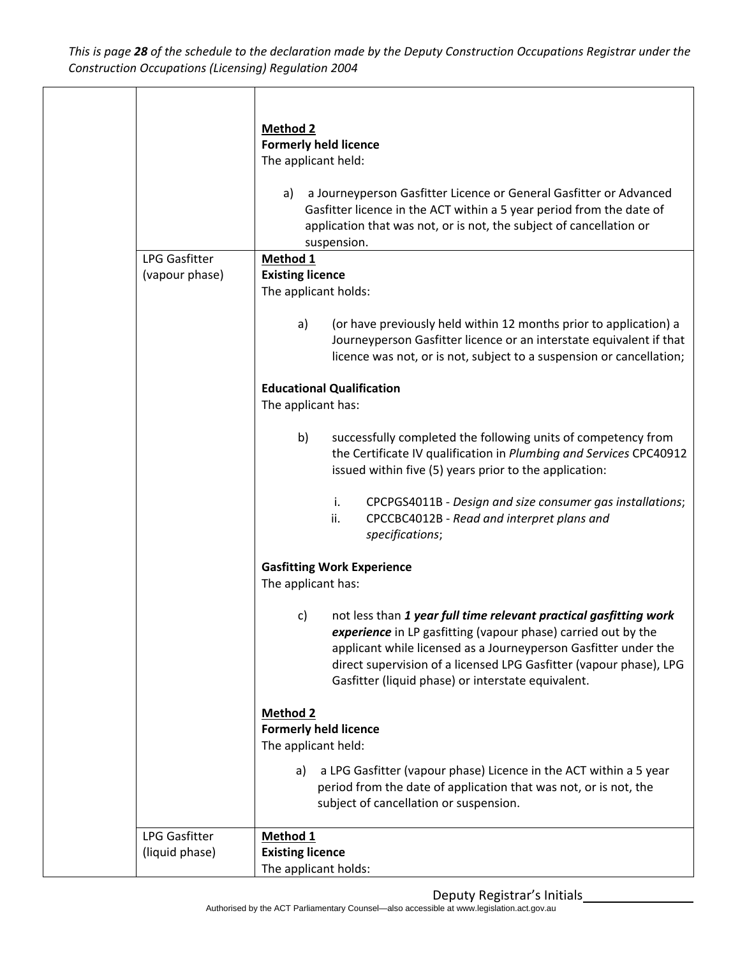This is page 28 of the schedule to the declaration made by the Deputy Construction Occupations Registrar under the *Construction Occupations (Licensing) Regulation 2004*

|                                        | <b>Method 2</b>                                                                                                                                                                                                                                                                                                                         |
|----------------------------------------|-----------------------------------------------------------------------------------------------------------------------------------------------------------------------------------------------------------------------------------------------------------------------------------------------------------------------------------------|
|                                        | <b>Formerly held licence</b><br>The applicant held:                                                                                                                                                                                                                                                                                     |
|                                        |                                                                                                                                                                                                                                                                                                                                         |
|                                        | a Journeyperson Gasfitter Licence or General Gasfitter or Advanced<br>a)<br>Gasfitter licence in the ACT within a 5 year period from the date of<br>application that was not, or is not, the subject of cancellation or                                                                                                                 |
|                                        | suspension.                                                                                                                                                                                                                                                                                                                             |
| <b>LPG Gasfitter</b><br>(vapour phase) | Method 1<br><b>Existing licence</b>                                                                                                                                                                                                                                                                                                     |
|                                        | The applicant holds:                                                                                                                                                                                                                                                                                                                    |
|                                        | (or have previously held within 12 months prior to application) a<br>a)<br>Journeyperson Gasfitter licence or an interstate equivalent if that<br>licence was not, or is not, subject to a suspension or cancellation;                                                                                                                  |
|                                        | <b>Educational Qualification</b><br>The applicant has:                                                                                                                                                                                                                                                                                  |
|                                        | b)<br>successfully completed the following units of competency from<br>the Certificate IV qualification in Plumbing and Services CPC40912<br>issued within five (5) years prior to the application:                                                                                                                                     |
|                                        | i.<br>CPCPGS4011B - Design and size consumer gas installations;<br>ii.<br>CPCCBC4012B - Read and interpret plans and<br>specifications;                                                                                                                                                                                                 |
|                                        | <b>Gasfitting Work Experience</b>                                                                                                                                                                                                                                                                                                       |
|                                        | The applicant has:                                                                                                                                                                                                                                                                                                                      |
|                                        | not less than 1 year full time relevant practical gasfitting work<br>c)<br>experience in LP gasfitting (vapour phase) carried out by the<br>applicant while licensed as a Journeyperson Gasfitter under the<br>direct supervision of a licensed LPG Gasfitter (vapour phase), LPG<br>Gasfitter (liquid phase) or interstate equivalent. |
|                                        | <b>Method 2</b><br><b>Formerly held licence</b>                                                                                                                                                                                                                                                                                         |
|                                        | The applicant held:                                                                                                                                                                                                                                                                                                                     |
|                                        | a LPG Gasfitter (vapour phase) Licence in the ACT within a 5 year<br>a)<br>period from the date of application that was not, or is not, the<br>subject of cancellation or suspension.                                                                                                                                                   |
| <b>LPG Gasfitter</b>                   | Method 1                                                                                                                                                                                                                                                                                                                                |
| (liquid phase)                         | <b>Existing licence</b><br>The applicant holds:                                                                                                                                                                                                                                                                                         |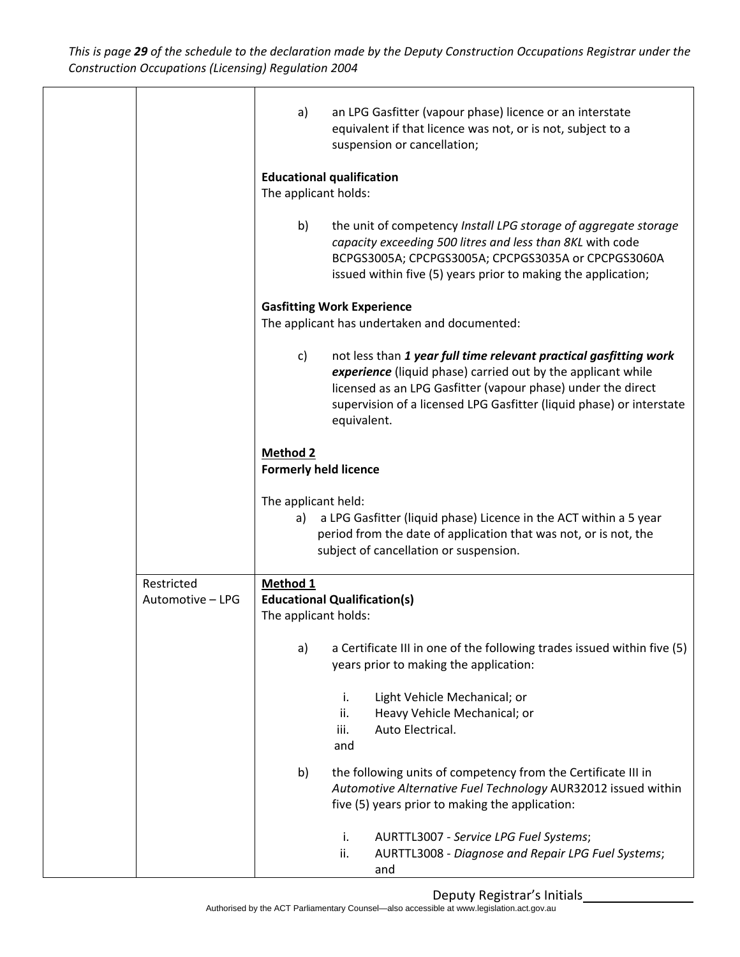This is page 29 of the schedule to the declaration made by the Deputy Construction Occupations Registrar under the *Construction Occupations (Licensing) Regulation 2004*

|                                | an LPG Gasfitter (vapour phase) licence or an interstate<br>a)<br>equivalent if that licence was not, or is not, subject to a<br>suspension or cancellation;                                                                                                                                   |
|--------------------------------|------------------------------------------------------------------------------------------------------------------------------------------------------------------------------------------------------------------------------------------------------------------------------------------------|
|                                | <b>Educational qualification</b><br>The applicant holds:                                                                                                                                                                                                                                       |
|                                | b)<br>the unit of competency Install LPG storage of aggregate storage<br>capacity exceeding 500 litres and less than 8KL with code<br>BCPGS3005A; CPCPGS3005A; CPCPGS3035A or CPCPGS3060A<br>issued within five (5) years prior to making the application;                                     |
|                                | <b>Gasfitting Work Experience</b><br>The applicant has undertaken and documented:                                                                                                                                                                                                              |
|                                |                                                                                                                                                                                                                                                                                                |
|                                | not less than 1 year full time relevant practical gasfitting work<br>c)<br>experience (liquid phase) carried out by the applicant while<br>licensed as an LPG Gasfitter (vapour phase) under the direct<br>supervision of a licensed LPG Gasfitter (liquid phase) or interstate<br>equivalent. |
|                                | Method 2<br><b>Formerly held licence</b>                                                                                                                                                                                                                                                       |
|                                | The applicant held:<br>a LPG Gasfitter (liquid phase) Licence in the ACT within a 5 year<br>a)<br>period from the date of application that was not, or is not, the<br>subject of cancellation or suspension.                                                                                   |
| Restricted<br>Automotive - LPG | Method 1<br><b>Educational Qualification(s)</b>                                                                                                                                                                                                                                                |
|                                | The applicant holds:                                                                                                                                                                                                                                                                           |
|                                | a Certificate III in one of the following trades issued within five (5)<br>a)<br>years prior to making the application:                                                                                                                                                                        |
|                                | Light Vehicle Mechanical; or<br>i.<br>Heavy Vehicle Mechanical; or<br>ii.<br>Auto Electrical.<br>iii.<br>and                                                                                                                                                                                   |
|                                | the following units of competency from the Certificate III in<br>b)<br>Automotive Alternative Fuel Technology AUR32012 issued within<br>five (5) years prior to making the application:                                                                                                        |
|                                | AURTTL3007 - Service LPG Fuel Systems;<br>i.<br>AURTTL3008 - Diagnose and Repair LPG Fuel Systems;<br>ii.<br>and                                                                                                                                                                               |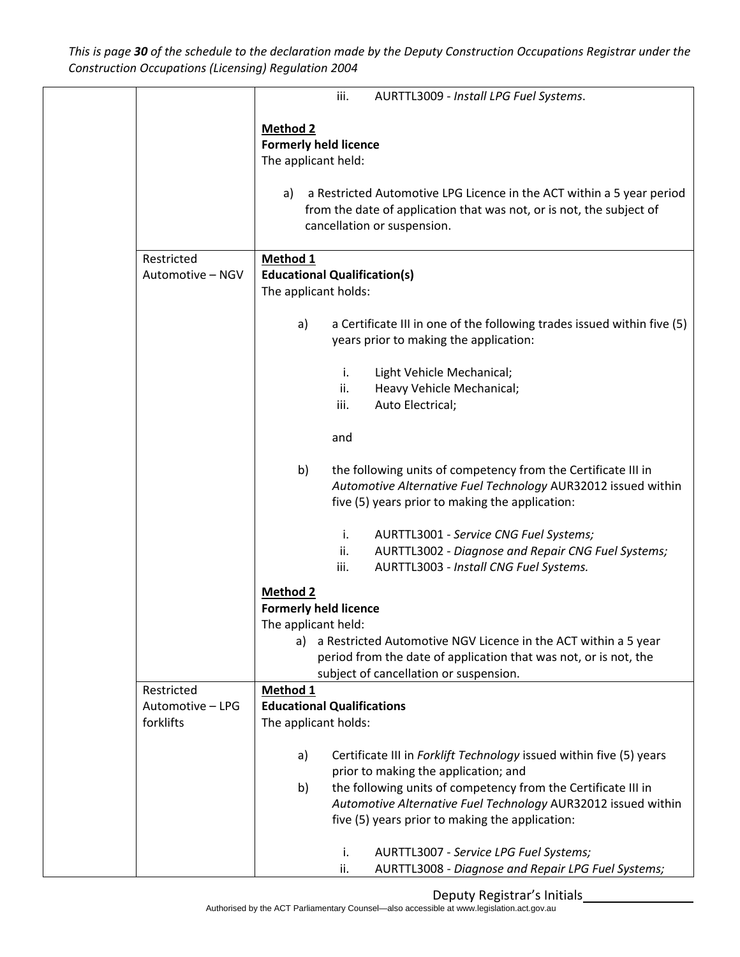This is page 30 of the schedule to the declaration made by the Deputy Construction Occupations Registrar under the *Construction Occupations (Licensing) Regulation 2004*

|                  | iii.<br>AURTTL3009 - Install LPG Fuel Systems.                                                                                                                                          |
|------------------|-----------------------------------------------------------------------------------------------------------------------------------------------------------------------------------------|
|                  | Method <sub>2</sub>                                                                                                                                                                     |
|                  | <b>Formerly held licence</b>                                                                                                                                                            |
|                  | The applicant held:                                                                                                                                                                     |
|                  | a Restricted Automotive LPG Licence in the ACT within a 5 year period<br>a)<br>from the date of application that was not, or is not, the subject of<br>cancellation or suspension.      |
| Restricted       | Method <sub>1</sub>                                                                                                                                                                     |
| Automotive - NGV | <b>Educational Qualification(s)</b>                                                                                                                                                     |
|                  | The applicant holds:                                                                                                                                                                    |
|                  | a Certificate III in one of the following trades issued within five (5)<br>a)<br>years prior to making the application:                                                                 |
|                  | Light Vehicle Mechanical;<br>i.                                                                                                                                                         |
|                  | ii.<br>Heavy Vehicle Mechanical;                                                                                                                                                        |
|                  | iii.<br>Auto Electrical;                                                                                                                                                                |
|                  | and                                                                                                                                                                                     |
|                  | b)<br>the following units of competency from the Certificate III in<br>Automotive Alternative Fuel Technology AUR32012 issued within<br>five (5) years prior to making the application: |
|                  | AURTTL3001 - Service CNG Fuel Systems;<br>i.<br>ii.<br>AURTTL3002 - Diagnose and Repair CNG Fuel Systems;<br>iii.<br>AURTTL3003 - Install CNG Fuel Systems.                             |
|                  | <b>Method 2</b><br><b>Formerly held licence</b>                                                                                                                                         |
|                  | The applicant held:                                                                                                                                                                     |
|                  | a Restricted Automotive NGV Licence in the ACT within a 5 year<br>a)<br>period from the date of application that was not, or is not, the<br>subject of cancellation or suspension.      |
| Restricted       | Method 1                                                                                                                                                                                |
| Automotive - LPG | <b>Educational Qualifications</b>                                                                                                                                                       |
| forklifts        | The applicant holds:                                                                                                                                                                    |
|                  | a)<br>Certificate III in Forklift Technology issued within five (5) years                                                                                                               |
|                  | prior to making the application; and<br>the following units of competency from the Certificate III in<br>b)                                                                             |
|                  | Automotive Alternative Fuel Technology AUR32012 issued within                                                                                                                           |
|                  | five (5) years prior to making the application:                                                                                                                                         |
|                  | AURTTL3007 - Service LPG Fuel Systems;<br>i.<br>AURTTL3008 - Diagnose and Repair LPG Fuel Systems;<br>ii.                                                                               |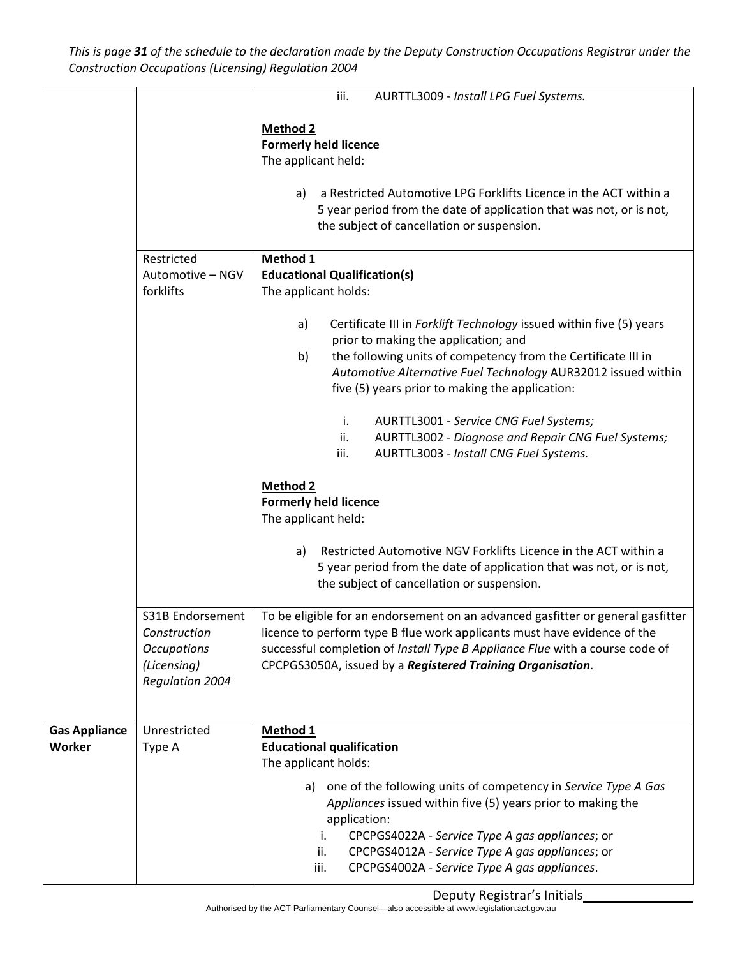This is page 31 of the schedule to the declaration made by the Deputy Construction Occupations Registrar under the *Construction Occupations (Licensing) Regulation 2004*

|                                |                                                                                                 | iii.<br>AURTTL3009 - Install LPG Fuel Systems.                                                                                                                                                                                                                                                                                 |  |  |
|--------------------------------|-------------------------------------------------------------------------------------------------|--------------------------------------------------------------------------------------------------------------------------------------------------------------------------------------------------------------------------------------------------------------------------------------------------------------------------------|--|--|
|                                |                                                                                                 | Method 2<br><b>Formerly held licence</b><br>The applicant held:                                                                                                                                                                                                                                                                |  |  |
|                                |                                                                                                 | a Restricted Automotive LPG Forklifts Licence in the ACT within a<br>a)<br>5 year period from the date of application that was not, or is not,<br>the subject of cancellation or suspension.                                                                                                                                   |  |  |
|                                | Restricted<br>Automotive - NGV<br>forklifts                                                     | Method 1<br><b>Educational Qualification(s)</b><br>The applicant holds:                                                                                                                                                                                                                                                        |  |  |
|                                |                                                                                                 | Certificate III in Forklift Technology issued within five (5) years<br>a)<br>prior to making the application; and<br>the following units of competency from the Certificate III in<br>b)<br>Automotive Alternative Fuel Technology AUR32012 issued within<br>five (5) years prior to making the application:                   |  |  |
|                                |                                                                                                 | AURTTL3001 - Service CNG Fuel Systems;<br>i.<br>AURTTL3002 - Diagnose and Repair CNG Fuel Systems;<br>ii.<br>iii.<br>AURTTL3003 - Install CNG Fuel Systems.                                                                                                                                                                    |  |  |
|                                |                                                                                                 | <b>Method 2</b><br><b>Formerly held licence</b><br>The applicant held:                                                                                                                                                                                                                                                         |  |  |
|                                |                                                                                                 | Restricted Automotive NGV Forklifts Licence in the ACT within a<br>a)<br>5 year period from the date of application that was not, or is not,<br>the subject of cancellation or suspension.                                                                                                                                     |  |  |
|                                | S31B Endorsement<br>Construction<br><b>Occupations</b><br>(Licensing)<br><b>Regulation 2004</b> | To be eligible for an endorsement on an advanced gasfitter or general gasfitter<br>licence to perform type B flue work applicants must have evidence of the<br>successful completion of Install Type B Appliance Flue with a course code of<br>CPCPGS3050A, issued by a Registered Training Organisation.                      |  |  |
| <b>Gas Appliance</b><br>Worker | Unrestricted<br>Type A                                                                          | Method 1<br><b>Educational qualification</b><br>The applicant holds:                                                                                                                                                                                                                                                           |  |  |
|                                |                                                                                                 | one of the following units of competency in Service Type A Gas<br>a)<br>Appliances issued within five (5) years prior to making the<br>application:<br>i.<br>CPCPGS4022A - Service Type A gas appliances; or<br>CPCPGS4012A - Service Type A gas appliances; or<br>ii.<br>iii.<br>CPCPGS4002A - Service Type A gas appliances. |  |  |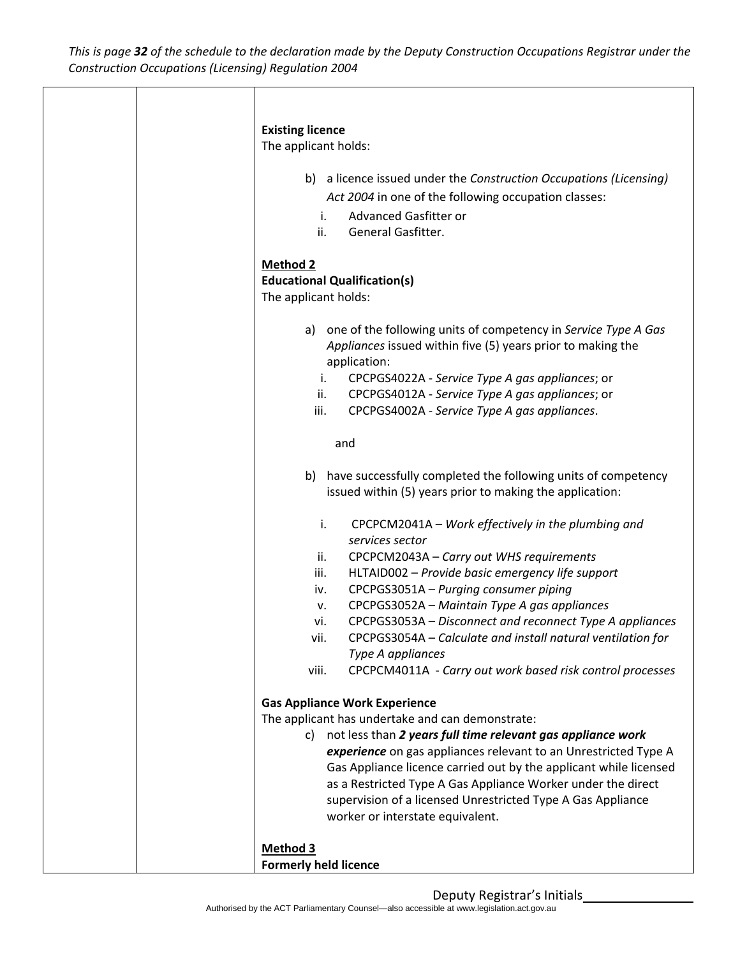|  | <b>Existing licence</b><br>The applicant holds:                                                                                                                         |
|--|-------------------------------------------------------------------------------------------------------------------------------------------------------------------------|
|  | b) a licence issued under the Construction Occupations (Licensing)<br>Act 2004 in one of the following occupation classes:<br>Advanced Gasfitter or<br>i.               |
|  | General Gasfitter.<br>ii.                                                                                                                                               |
|  | <b>Method 2</b><br><b>Educational Qualification(s)</b><br>The applicant holds:                                                                                          |
|  | one of the following units of competency in Service Type A Gas<br>a)<br>Appliances issued within five (5) years prior to making the<br>application:                     |
|  | CPCPGS4022A - Service Type A gas appliances; or<br>i.<br>CPCPGS4012A - Service Type A gas appliances; or<br>ii.<br>iii.<br>CPCPGS4002A - Service Type A gas appliances. |
|  | and                                                                                                                                                                     |
|  | b) have successfully completed the following units of competency<br>issued within (5) years prior to making the application:                                            |
|  | i.<br>CPCPCM2041A - Work effectively in the plumbing and<br>services sector                                                                                             |
|  | CPCPCM2043A - Carry out WHS requirements<br>ii.                                                                                                                         |
|  | iii.<br>HLTAID002 - Provide basic emergency life support<br>CPCPGS3051A - Purging consumer piping<br>iv.                                                                |
|  | CPCPGS3052A - Maintain Type A gas appliances<br>v.                                                                                                                      |
|  | CPCPGS3053A - Disconnect and reconnect Type A appliances<br>vi.<br>CPCPGS3054A – Calculate and install natural ventilation for<br>vii.                                  |
|  | Type A appliances                                                                                                                                                       |
|  | CPCPCM4011A - Carry out work based risk control processes<br>viii.                                                                                                      |
|  | <b>Gas Appliance Work Experience</b>                                                                                                                                    |
|  | The applicant has undertake and can demonstrate:<br>not less than 2 years full time relevant gas appliance work                                                         |
|  | C)<br>experience on gas appliances relevant to an Unrestricted Type A                                                                                                   |
|  | Gas Appliance licence carried out by the applicant while licensed                                                                                                       |
|  | as a Restricted Type A Gas Appliance Worker under the direct<br>supervision of a licensed Unrestricted Type A Gas Appliance                                             |
|  | worker or interstate equivalent.                                                                                                                                        |
|  | <b>Method 3</b>                                                                                                                                                         |
|  | <b>Formerly held licence</b>                                                                                                                                            |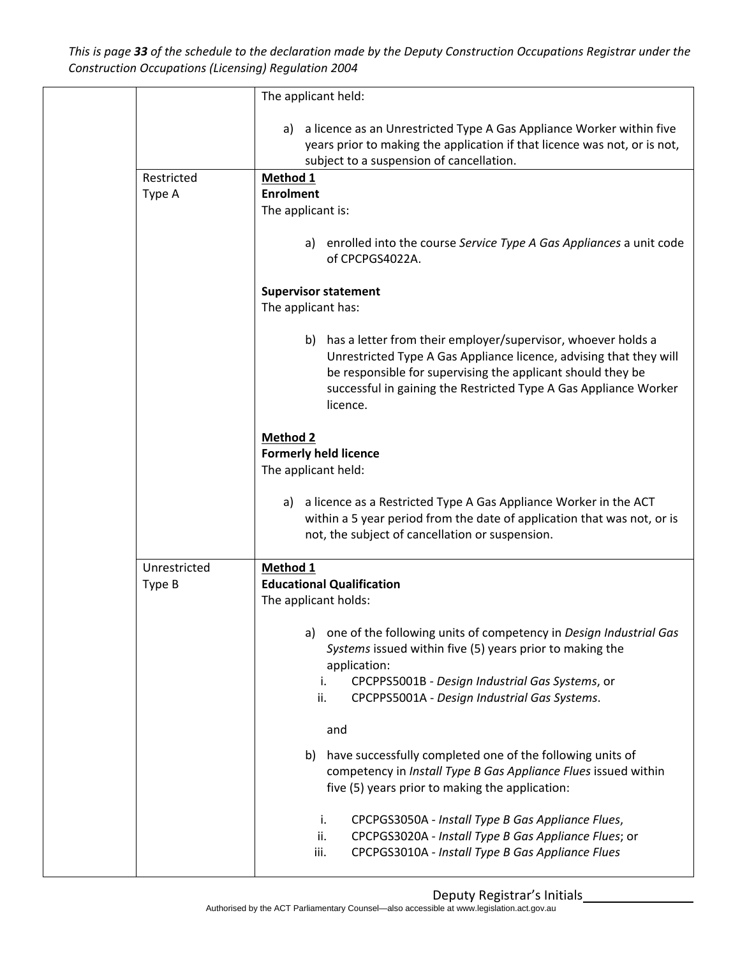This is page 33 of the schedule to the declaration made by the Deputy Construction Occupations Registrar under the *Construction Occupations (Licensing) Regulation 2004*

|              | The applicant held:                                                                                                                                                                                                                                                                  |  |
|--------------|--------------------------------------------------------------------------------------------------------------------------------------------------------------------------------------------------------------------------------------------------------------------------------------|--|
|              | a) a licence as an Unrestricted Type A Gas Appliance Worker within five<br>years prior to making the application if that licence was not, or is not,<br>subject to a suspension of cancellation.                                                                                     |  |
| Restricted   | Method 1                                                                                                                                                                                                                                                                             |  |
| Type A       | <b>Enrolment</b>                                                                                                                                                                                                                                                                     |  |
|              | The applicant is:                                                                                                                                                                                                                                                                    |  |
|              | a) enrolled into the course Service Type A Gas Appliances a unit code<br>of CPCPGS4022A.                                                                                                                                                                                             |  |
|              | <b>Supervisor statement</b><br>The applicant has:                                                                                                                                                                                                                                    |  |
|              | b) has a letter from their employer/supervisor, whoever holds a<br>Unrestricted Type A Gas Appliance licence, advising that they will<br>be responsible for supervising the applicant should they be<br>successful in gaining the Restricted Type A Gas Appliance Worker<br>licence. |  |
|              | <b>Method 2</b><br><b>Formerly held licence</b><br>The applicant held:                                                                                                                                                                                                               |  |
|              | a) a licence as a Restricted Type A Gas Appliance Worker in the ACT<br>within a 5 year period from the date of application that was not, or is<br>not, the subject of cancellation or suspension.                                                                                    |  |
| Unrestricted | Method 1                                                                                                                                                                                                                                                                             |  |
| Type B       | <b>Educational Qualification</b>                                                                                                                                                                                                                                                     |  |
|              | The applicant holds:                                                                                                                                                                                                                                                                 |  |
|              | one of the following units of competency in Design Industrial Gas<br>a)<br>Systems issued within five (5) years prior to making the<br>application:<br>CPCPPS5001B - Design Industrial Gas Systems, or<br>i.<br>ii.<br>CPCPPS5001A - Design Industrial Gas Systems.                  |  |
|              | and                                                                                                                                                                                                                                                                                  |  |
|              | have successfully completed one of the following units of<br>b)<br>competency in Install Type B Gas Appliance Flues issued within<br>five (5) years prior to making the application:                                                                                                 |  |
|              | i.<br>CPCPGS3050A - Install Type B Gas Appliance Flues,<br>ii.<br>CPCPGS3020A - Install Type B Gas Appliance Flues; or<br>CPCPGS3010A - Install Type B Gas Appliance Flues<br>iii.                                                                                                   |  |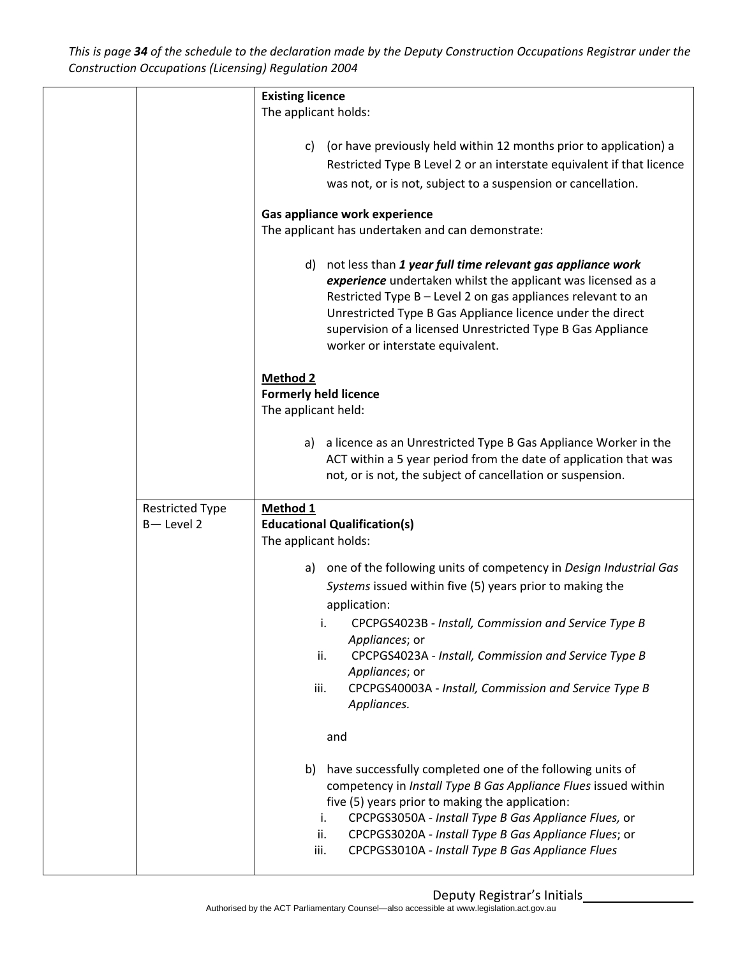This is page 34 of the schedule to the declaration made by the Deputy Construction Occupations Registrar under the *Construction Occupations (Licensing) Regulation 2004*

|                                     | <b>Existing licence</b><br>The applicant holds:                                                                                                                                                                                                                                                                                                                               |  |
|-------------------------------------|-------------------------------------------------------------------------------------------------------------------------------------------------------------------------------------------------------------------------------------------------------------------------------------------------------------------------------------------------------------------------------|--|
|                                     | (or have previously held within 12 months prior to application) a<br>C)<br>Restricted Type B Level 2 or an interstate equivalent if that licence<br>was not, or is not, subject to a suspension or cancellation.                                                                                                                                                              |  |
|                                     | Gas appliance work experience<br>The applicant has undertaken and can demonstrate:                                                                                                                                                                                                                                                                                            |  |
|                                     | not less than 1 year full time relevant gas appliance work<br>d)<br>experience undertaken whilst the applicant was licensed as a<br>Restricted Type B - Level 2 on gas appliances relevant to an<br>Unrestricted Type B Gas Appliance licence under the direct<br>supervision of a licensed Unrestricted Type B Gas Appliance<br>worker or interstate equivalent.             |  |
|                                     | <b>Method 2</b><br><b>Formerly held licence</b><br>The applicant held:                                                                                                                                                                                                                                                                                                        |  |
|                                     | a licence as an Unrestricted Type B Gas Appliance Worker in the<br>a)<br>ACT within a 5 year period from the date of application that was<br>not, or is not, the subject of cancellation or suspension.                                                                                                                                                                       |  |
| <b>Restricted Type</b><br>B-Level 2 | Method 1<br><b>Educational Qualification(s)</b><br>The applicant holds:                                                                                                                                                                                                                                                                                                       |  |
|                                     | one of the following units of competency in Design Industrial Gas<br>a)<br>Systems issued within five (5) years prior to making the<br>application:                                                                                                                                                                                                                           |  |
|                                     | CPCPGS4023B - Install, Commission and Service Type B<br>i.<br>Appliances; or<br>CPCPGS4023A - Install, Commission and Service Type B<br>ii.<br>Appliances; or<br>CPCPGS40003A - Install, Commission and Service Type B<br>iii.<br>Appliances.                                                                                                                                 |  |
|                                     | and                                                                                                                                                                                                                                                                                                                                                                           |  |
|                                     | b)<br>have successfully completed one of the following units of<br>competency in Install Type B Gas Appliance Flues issued within<br>five (5) years prior to making the application:<br>CPCPGS3050A - Install Type B Gas Appliance Flues, or<br>i.<br>CPCPGS3020A - Install Type B Gas Appliance Flues; or<br>ii.<br>CPCPGS3010A - Install Type B Gas Appliance Flues<br>iii. |  |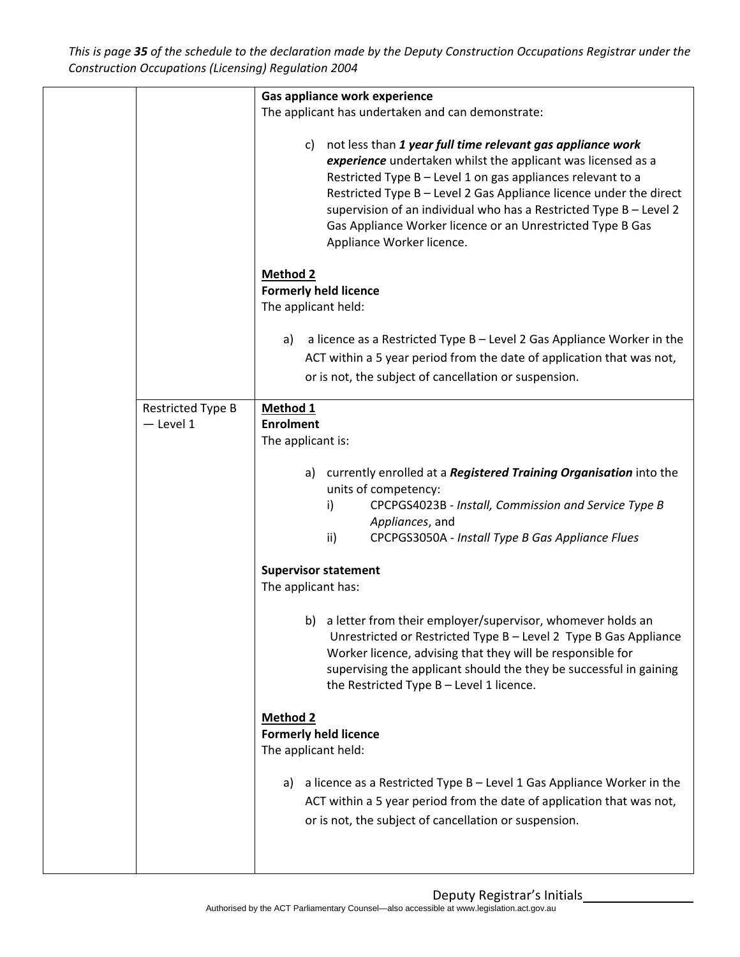This is page 35 of the schedule to the declaration made by the Deputy Construction Occupations Registrar under the *Construction Occupations (Licensing) Regulation 2004*

|                                         | Gas appliance work experience<br>The applicant has undertaken and can demonstrate:<br>not less than 1 year full time relevant gas appliance work<br>C)<br>experience undertaken whilst the applicant was licensed as a<br>Restricted Type B - Level 1 on gas appliances relevant to a<br>Restricted Type B - Level 2 Gas Appliance licence under the direct<br>supervision of an individual who has a Restricted Type B - Level 2<br>Gas Appliance Worker licence or an Unrestricted Type B Gas<br>Appliance Worker licence.                                                                                                                                                                                                     |
|-----------------------------------------|----------------------------------------------------------------------------------------------------------------------------------------------------------------------------------------------------------------------------------------------------------------------------------------------------------------------------------------------------------------------------------------------------------------------------------------------------------------------------------------------------------------------------------------------------------------------------------------------------------------------------------------------------------------------------------------------------------------------------------|
|                                         | <b>Method 2</b><br><b>Formerly held licence</b><br>The applicant held:<br>a licence as a Restricted Type B - Level 2 Gas Appliance Worker in the<br>a)<br>ACT within a 5 year period from the date of application that was not,<br>or is not, the subject of cancellation or suspension.                                                                                                                                                                                                                                                                                                                                                                                                                                         |
| <b>Restricted Type B</b><br>$-$ Level 1 | Method 1<br><b>Enrolment</b><br>The applicant is:<br>currently enrolled at a Registered Training Organisation into the<br>a)<br>units of competency:<br>i)<br>CPCPGS4023B - Install, Commission and Service Type B<br>Appliances, and<br>ii)<br>CPCPGS3050A - Install Type B Gas Appliance Flues<br><b>Supervisor statement</b><br>The applicant has:<br>a letter from their employer/supervisor, whomever holds an<br>b)<br>Unrestricted or Restricted Type B - Level 2 Type B Gas Appliance<br>Worker licence, advising that they will be responsible for<br>supervising the applicant should the they be successful in gaining<br>the Restricted Type B - Level 1 licence.<br><b>Method 2</b><br><b>Formerly held licence</b> |
|                                         | The applicant held:<br>a licence as a Restricted Type B - Level 1 Gas Appliance Worker in the<br>a)<br>ACT within a 5 year period from the date of application that was not,<br>or is not, the subject of cancellation or suspension.                                                                                                                                                                                                                                                                                                                                                                                                                                                                                            |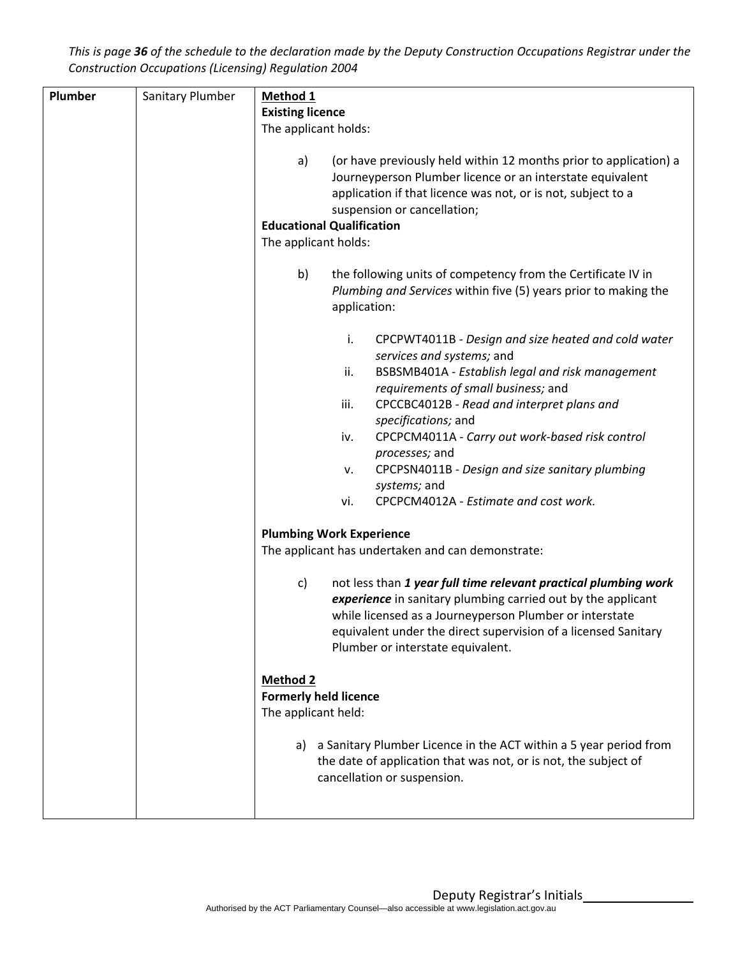This is page 36 of the schedule to the declaration made by the Deputy Construction Occupations Registrar under the *Construction Occupations (Licensing) Regulation 2004*

| Plumber | Sanitary Plumber | Method 1                                                                                                                                                                                                                                                                                                                                                                                                                                                                                                                                                                                                                                                                                                                                                                                                                                                                      |  |  |
|---------|------------------|-------------------------------------------------------------------------------------------------------------------------------------------------------------------------------------------------------------------------------------------------------------------------------------------------------------------------------------------------------------------------------------------------------------------------------------------------------------------------------------------------------------------------------------------------------------------------------------------------------------------------------------------------------------------------------------------------------------------------------------------------------------------------------------------------------------------------------------------------------------------------------|--|--|
|         |                  | <b>Existing licence</b>                                                                                                                                                                                                                                                                                                                                                                                                                                                                                                                                                                                                                                                                                                                                                                                                                                                       |  |  |
|         |                  | The applicant holds:                                                                                                                                                                                                                                                                                                                                                                                                                                                                                                                                                                                                                                                                                                                                                                                                                                                          |  |  |
|         |                  | (or have previously held within 12 months prior to application) a<br>a)<br>Journeyperson Plumber licence or an interstate equivalent<br>application if that licence was not, or is not, subject to a<br>suspension or cancellation;                                                                                                                                                                                                                                                                                                                                                                                                                                                                                                                                                                                                                                           |  |  |
|         |                  | <b>Educational Qualification</b>                                                                                                                                                                                                                                                                                                                                                                                                                                                                                                                                                                                                                                                                                                                                                                                                                                              |  |  |
|         |                  | The applicant holds:                                                                                                                                                                                                                                                                                                                                                                                                                                                                                                                                                                                                                                                                                                                                                                                                                                                          |  |  |
|         |                  | b)<br>the following units of competency from the Certificate IV in<br>Plumbing and Services within five (5) years prior to making the<br>application:                                                                                                                                                                                                                                                                                                                                                                                                                                                                                                                                                                                                                                                                                                                         |  |  |
|         |                  | i.<br>CPCPWT4011B - Design and size heated and cold water<br>services and systems; and<br>ii.<br>BSBSMB401A - Establish legal and risk management<br>requirements of small business; and<br>iii.<br>CPCCBC4012B - Read and interpret plans and<br>specifications; and<br>CPCPCM4011A - Carry out work-based risk control<br>iv.<br>processes; and<br>CPCPSN4011B - Design and size sanitary plumbing<br>v.<br>systems; and<br>CPCPCM4012A - Estimate and cost work.<br>vi.<br><b>Plumbing Work Experience</b><br>The applicant has undertaken and can demonstrate:<br>not less than 1 year full time relevant practical plumbing work<br>c)<br>experience in sanitary plumbing carried out by the applicant<br>while licensed as a Journeyperson Plumber or interstate<br>equivalent under the direct supervision of a licensed Sanitary<br>Plumber or interstate equivalent. |  |  |
|         |                  | <b>Method 2</b><br><b>Formerly held licence</b><br>The applicant held:                                                                                                                                                                                                                                                                                                                                                                                                                                                                                                                                                                                                                                                                                                                                                                                                        |  |  |
|         |                  | a) a Sanitary Plumber Licence in the ACT within a 5 year period from<br>the date of application that was not, or is not, the subject of<br>cancellation or suspension.                                                                                                                                                                                                                                                                                                                                                                                                                                                                                                                                                                                                                                                                                                        |  |  |
|         |                  |                                                                                                                                                                                                                                                                                                                                                                                                                                                                                                                                                                                                                                                                                                                                                                                                                                                                               |  |  |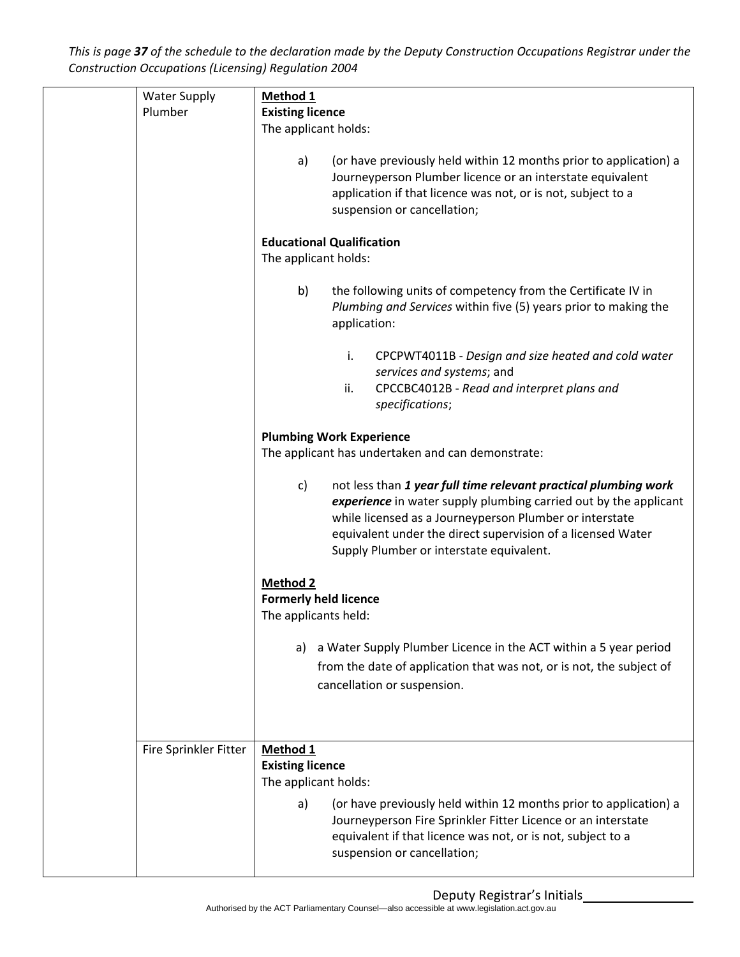This is page 37 of the schedule to the declaration made by the Deputy Construction Occupations Registrar under the *Construction Occupations (Licensing) Regulation 2004*

|  | <b>Water Supply</b><br>Plumber | Method 1<br><b>Existing licence</b>                              |                                                                                                                                                                                                                                                                                                           |
|--|--------------------------------|------------------------------------------------------------------|-----------------------------------------------------------------------------------------------------------------------------------------------------------------------------------------------------------------------------------------------------------------------------------------------------------|
|  |                                | The applicant holds:                                             |                                                                                                                                                                                                                                                                                                           |
|  |                                | a)                                                               | (or have previously held within 12 months prior to application) a<br>Journeyperson Plumber licence or an interstate equivalent<br>application if that licence was not, or is not, subject to a<br>suspension or cancellation;                                                                             |
|  |                                | The applicant holds:                                             | <b>Educational Qualification</b>                                                                                                                                                                                                                                                                          |
|  |                                | b)                                                               | the following units of competency from the Certificate IV in<br>Plumbing and Services within five (5) years prior to making the<br>application:                                                                                                                                                           |
|  |                                |                                                                  | i.<br>CPCPWT4011B - Design and size heated and cold water<br>services and systems; and<br>ii.<br>CPCCBC4012B - Read and interpret plans and<br>specifications;                                                                                                                                            |
|  |                                |                                                                  | <b>Plumbing Work Experience</b>                                                                                                                                                                                                                                                                           |
|  |                                |                                                                  | The applicant has undertaken and can demonstrate:                                                                                                                                                                                                                                                         |
|  |                                | c)                                                               | not less than 1 year full time relevant practical plumbing work<br>experience in water supply plumbing carried out by the applicant<br>while licensed as a Journeyperson Plumber or interstate<br>equivalent under the direct supervision of a licensed Water<br>Supply Plumber or interstate equivalent. |
|  |                                | Method 2<br><b>Formerly held licence</b><br>The applicants held: |                                                                                                                                                                                                                                                                                                           |
|  |                                | a)                                                               | a Water Supply Plumber Licence in the ACT within a 5 year period<br>from the date of application that was not, or is not, the subject of<br>cancellation or suspension.                                                                                                                                   |
|  |                                |                                                                  |                                                                                                                                                                                                                                                                                                           |
|  | Fire Sprinkler Fitter          | Method 1<br><b>Existing licence</b><br>The applicant holds:      |                                                                                                                                                                                                                                                                                                           |
|  |                                | a)                                                               | (or have previously held within 12 months prior to application) a<br>Journeyperson Fire Sprinkler Fitter Licence or an interstate<br>equivalent if that licence was not, or is not, subject to a<br>suspension or cancellation;                                                                           |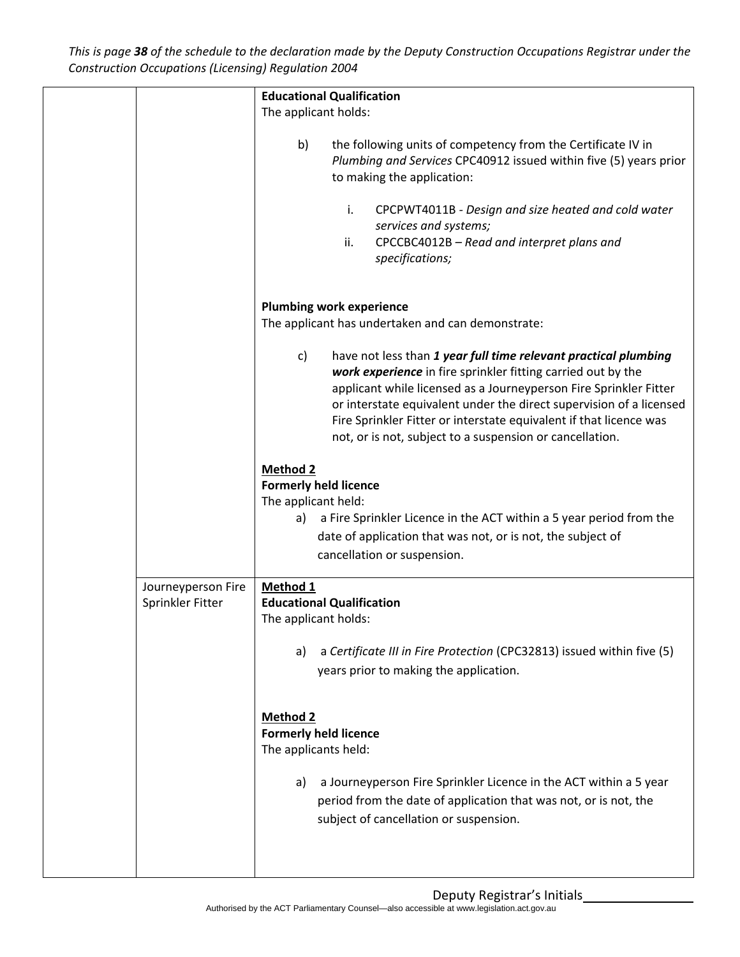This is page 38 of the schedule to the declaration made by the Deputy Construction Occupations Registrar under the *Construction Occupations (Licensing) Regulation 2004*

|                                        | <b>Educational Qualification</b>                                                                                                                                                                                                                                                                                                                                                                                    |
|----------------------------------------|---------------------------------------------------------------------------------------------------------------------------------------------------------------------------------------------------------------------------------------------------------------------------------------------------------------------------------------------------------------------------------------------------------------------|
|                                        | The applicant holds:                                                                                                                                                                                                                                                                                                                                                                                                |
|                                        | b)<br>the following units of competency from the Certificate IV in<br>Plumbing and Services CPC40912 issued within five (5) years prior<br>to making the application:                                                                                                                                                                                                                                               |
|                                        | i.<br>CPCPWT4011B - Design and size heated and cold water<br>services and systems;<br>CPCCBC4012B - Read and interpret plans and<br>ii.<br>specifications;                                                                                                                                                                                                                                                          |
|                                        | <b>Plumbing work experience</b><br>The applicant has undertaken and can demonstrate:                                                                                                                                                                                                                                                                                                                                |
|                                        | have not less than 1 year full time relevant practical plumbing<br>c)<br>work experience in fire sprinkler fitting carried out by the<br>applicant while licensed as a Journeyperson Fire Sprinkler Fitter<br>or interstate equivalent under the direct supervision of a licensed<br>Fire Sprinkler Fitter or interstate equivalent if that licence was<br>not, or is not, subject to a suspension or cancellation. |
|                                        | <b>Method 2</b><br><b>Formerly held licence</b><br>The applicant held:<br>a Fire Sprinkler Licence in the ACT within a 5 year period from the<br>a)<br>date of application that was not, or is not, the subject of<br>cancellation or suspension.                                                                                                                                                                   |
| Journeyperson Fire<br>Sprinkler Fitter | Method 1<br><b>Educational Qualification</b><br>The applicant holds:                                                                                                                                                                                                                                                                                                                                                |
|                                        | a Certificate III in Fire Protection (CPC32813) issued within five (5)<br>a)<br>years prior to making the application.                                                                                                                                                                                                                                                                                              |
|                                        | <b>Method 2</b><br><b>Formerly held licence</b><br>The applicants held:                                                                                                                                                                                                                                                                                                                                             |
|                                        | a Journeyperson Fire Sprinkler Licence in the ACT within a 5 year<br>a)<br>period from the date of application that was not, or is not, the<br>subject of cancellation or suspension.                                                                                                                                                                                                                               |
|                                        |                                                                                                                                                                                                                                                                                                                                                                                                                     |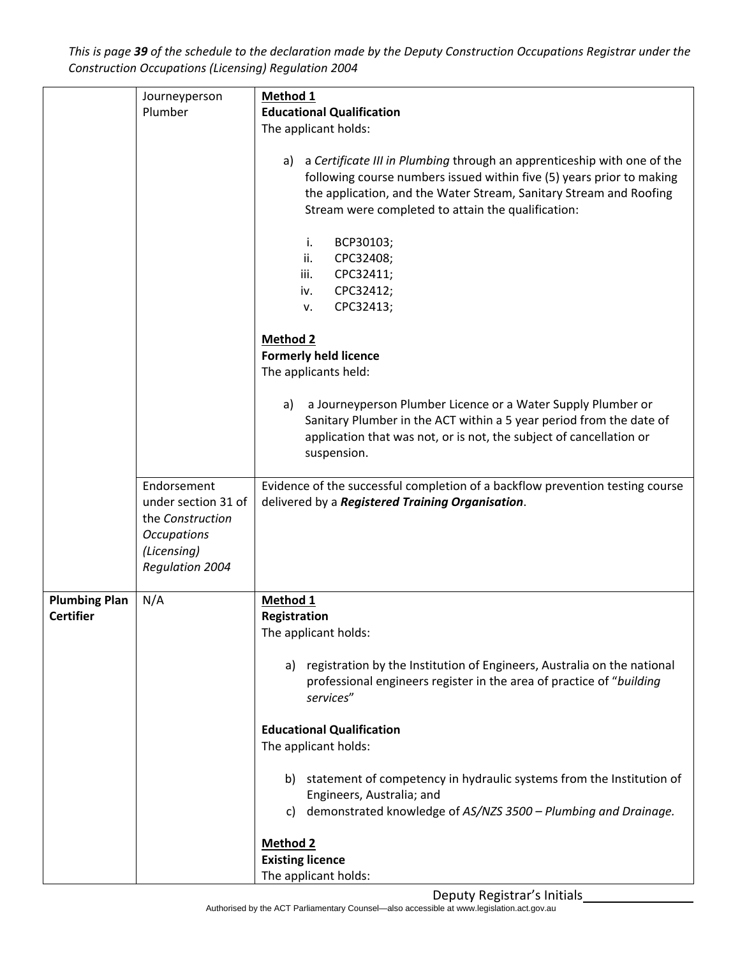This is page 39 of the schedule to the declaration made by the Deputy Construction Occupations Registrar under the *Construction Occupations (Licensing) Regulation 2004*

|                                          | Journeyperson<br>Plumber                                                                                              | Method 1<br><b>Educational Qualification</b>                                                                                                                                                                                                                                                          |
|------------------------------------------|-----------------------------------------------------------------------------------------------------------------------|-------------------------------------------------------------------------------------------------------------------------------------------------------------------------------------------------------------------------------------------------------------------------------------------------------|
|                                          |                                                                                                                       | The applicant holds:                                                                                                                                                                                                                                                                                  |
|                                          |                                                                                                                       | a Certificate III in Plumbing through an apprenticeship with one of the<br>a)<br>following course numbers issued within five (5) years prior to making<br>the application, and the Water Stream, Sanitary Stream and Roofing<br>Stream were completed to attain the qualification:<br>BCP30103;<br>i. |
|                                          |                                                                                                                       | ii.<br>CPC32408;<br>CPC32411;<br>iii.<br>CPC32412;<br>iv.                                                                                                                                                                                                                                             |
|                                          |                                                                                                                       | CPC32413;<br>v.                                                                                                                                                                                                                                                                                       |
|                                          |                                                                                                                       | <b>Method 2</b><br><b>Formerly held licence</b><br>The applicants held:                                                                                                                                                                                                                               |
|                                          |                                                                                                                       | a Journeyperson Plumber Licence or a Water Supply Plumber or<br>a)<br>Sanitary Plumber in the ACT within a 5 year period from the date of<br>application that was not, or is not, the subject of cancellation or<br>suspension.                                                                       |
|                                          | Endorsement<br>under section 31 of<br>the Construction<br><b>Occupations</b><br>(Licensing)<br><b>Regulation 2004</b> | Evidence of the successful completion of a backflow prevention testing course<br>delivered by a Registered Training Organisation.                                                                                                                                                                     |
| <b>Plumbing Plan</b><br><b>Certifier</b> | N/A                                                                                                                   | Method 1<br>Registration                                                                                                                                                                                                                                                                              |
|                                          |                                                                                                                       | The applicant holds:                                                                                                                                                                                                                                                                                  |
|                                          |                                                                                                                       | registration by the Institution of Engineers, Australia on the national<br>a)<br>professional engineers register in the area of practice of "building<br>services"                                                                                                                                    |
|                                          |                                                                                                                       | <b>Educational Qualification</b><br>The applicant holds:                                                                                                                                                                                                                                              |
|                                          |                                                                                                                       | b) statement of competency in hydraulic systems from the Institution of<br>Engineers, Australia; and<br>demonstrated knowledge of AS/NZS 3500 - Plumbing and Drainage.<br>C)                                                                                                                          |
|                                          |                                                                                                                       | <b>Method 2</b><br><b>Existing licence</b><br>The applicant holds:                                                                                                                                                                                                                                    |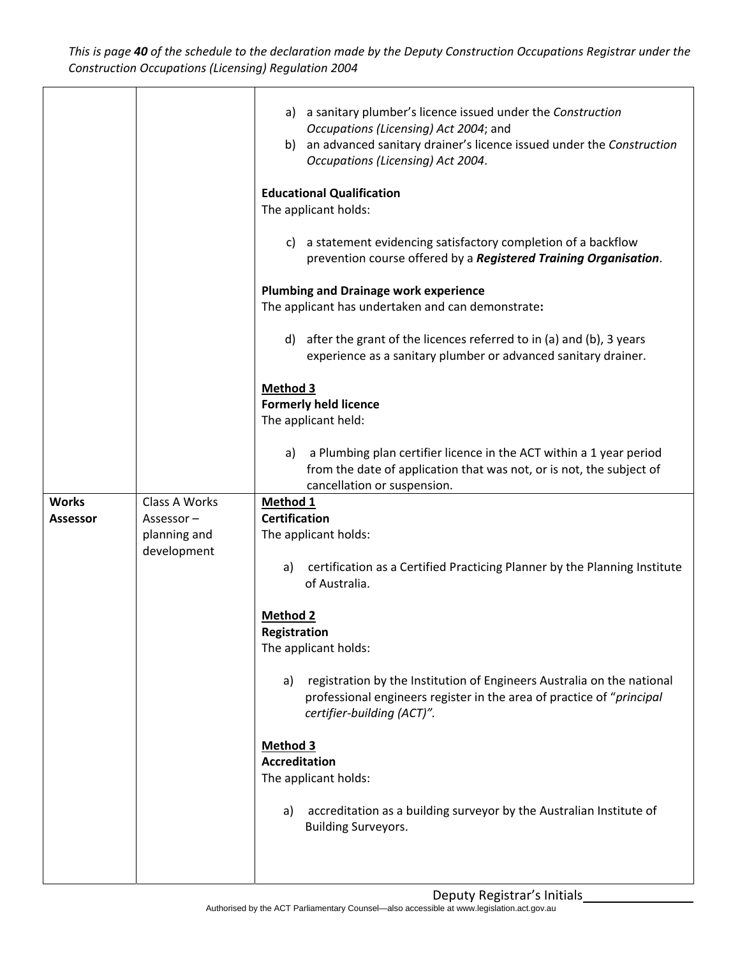This is page 40 of the schedule to the declaration made by the Deputy Construction Occupations Registrar under the *Construction Occupations (Licensing) Regulation 2004*

| <b>Works</b><br><b>Assessor</b> | Class A Works<br>Assessor $-$<br>planning and<br>development | a) a sanitary plumber's licence issued under the Construction<br>Occupations (Licensing) Act 2004; and<br>b) an advanced sanitary drainer's licence issued under the Construction<br>Occupations (Licensing) Act 2004.<br><b>Educational Qualification</b><br>The applicant holds:<br>c) a statement evidencing satisfactory completion of a backflow<br>prevention course offered by a Registered Training Organisation.<br><b>Plumbing and Drainage work experience</b><br>The applicant has undertaken and can demonstrate:<br>after the grant of the licences referred to in (a) and (b), 3 years<br>d)<br>experience as a sanitary plumber or advanced sanitary drainer.<br><b>Method 3</b><br><b>Formerly held licence</b><br>The applicant held:<br>a Plumbing plan certifier licence in the ACT within a 1 year period<br>a)<br>from the date of application that was not, or is not, the subject of<br>cancellation or suspension.<br>Method 1<br><b>Certification</b><br>The applicant holds:<br>certification as a Certified Practicing Planner by the Planning Institute<br>a) |
|---------------------------------|--------------------------------------------------------------|--------------------------------------------------------------------------------------------------------------------------------------------------------------------------------------------------------------------------------------------------------------------------------------------------------------------------------------------------------------------------------------------------------------------------------------------------------------------------------------------------------------------------------------------------------------------------------------------------------------------------------------------------------------------------------------------------------------------------------------------------------------------------------------------------------------------------------------------------------------------------------------------------------------------------------------------------------------------------------------------------------------------------------------------------------------------------------------------|
|                                 |                                                              | of Australia.<br><b>Method 2</b><br>Registration<br>The applicant holds:<br>registration by the Institution of Engineers Australia on the national<br>a)<br>professional engineers register in the area of practice of "principal<br>certifier-building (ACT)".<br>Method 3<br><b>Accreditation</b><br>The applicant holds:<br>accreditation as a building surveyor by the Australian Institute of<br>a)<br><b>Building Surveyors.</b>                                                                                                                                                                                                                                                                                                                                                                                                                                                                                                                                                                                                                                                     |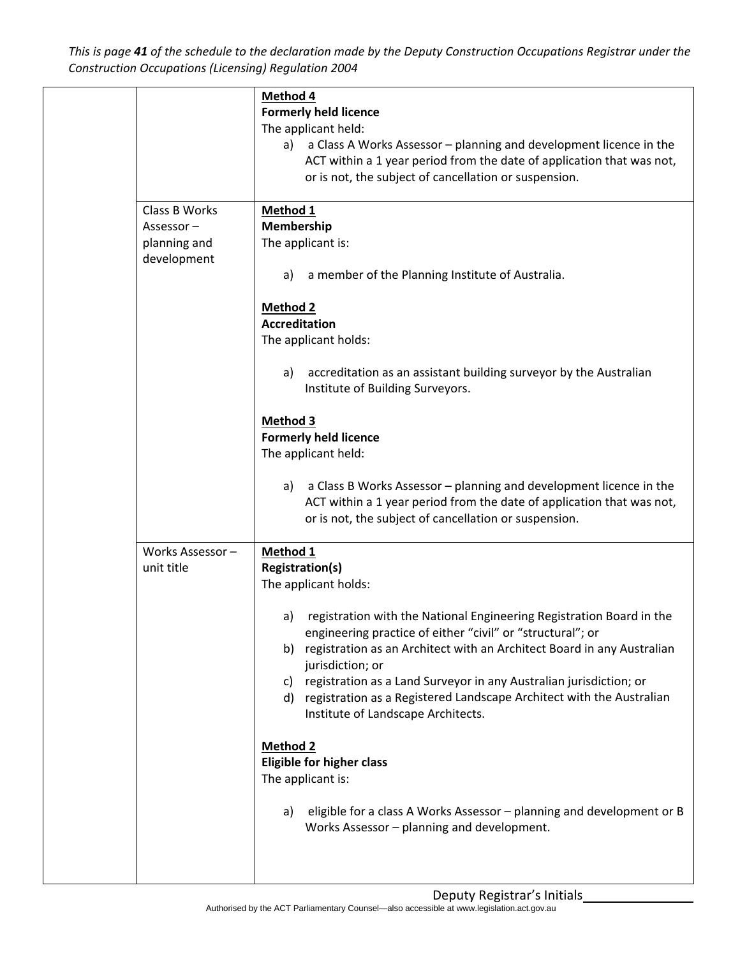This is page 41 of the schedule to the declaration made by the Deputy Construction Occupations Registrar under the *Construction Occupations (Licensing) Regulation 2004*

|                 | Method 4                                                                    |
|-----------------|-----------------------------------------------------------------------------|
|                 | <b>Formerly held licence</b>                                                |
|                 | The applicant held:                                                         |
|                 | a Class A Works Assessor - planning and development licence in the<br>a)    |
|                 | ACT within a 1 year period from the date of application that was not,       |
|                 | or is not, the subject of cancellation or suspension.                       |
|                 |                                                                             |
| Class B Works   | Method 1                                                                    |
| Assessor-       | Membership                                                                  |
| planning and    | The applicant is:                                                           |
| development     |                                                                             |
|                 | a member of the Planning Institute of Australia.<br>a)                      |
|                 |                                                                             |
|                 | Method 2                                                                    |
|                 | <b>Accreditation</b>                                                        |
|                 | The applicant holds:                                                        |
|                 |                                                                             |
|                 | accreditation as an assistant building surveyor by the Australian<br>a)     |
|                 | Institute of Building Surveyors.                                            |
|                 |                                                                             |
|                 | Method 3                                                                    |
|                 | <b>Formerly held licence</b>                                                |
|                 | The applicant held:                                                         |
|                 |                                                                             |
|                 | a Class B Works Assessor - planning and development licence in the<br>a)    |
|                 | ACT within a 1 year period from the date of application that was not,       |
|                 | or is not, the subject of cancellation or suspension.                       |
|                 |                                                                             |
| Works Assessor- | Method 1                                                                    |
| unit title      | <b>Registration(s)</b>                                                      |
|                 | The applicant holds:                                                        |
|                 |                                                                             |
|                 | registration with the National Engineering Registration Board in the<br>a)  |
|                 | engineering practice of either "civil" or "structural"; or                  |
|                 | b) registration as an Architect with an Architect Board in any Australian   |
|                 | jurisdiction; or                                                            |
|                 | registration as a Land Surveyor in any Australian jurisdiction; or<br>C)    |
|                 | d) registration as a Registered Landscape Architect with the Australian     |
|                 | Institute of Landscape Architects.                                          |
|                 |                                                                             |
|                 | <b>Method 2</b>                                                             |
|                 | Eligible for higher class                                                   |
|                 | The applicant is:                                                           |
|                 |                                                                             |
|                 | eligible for a class A Works Assessor - planning and development or B<br>a) |
|                 | Works Assessor - planning and development.                                  |
|                 |                                                                             |
|                 |                                                                             |
|                 |                                                                             |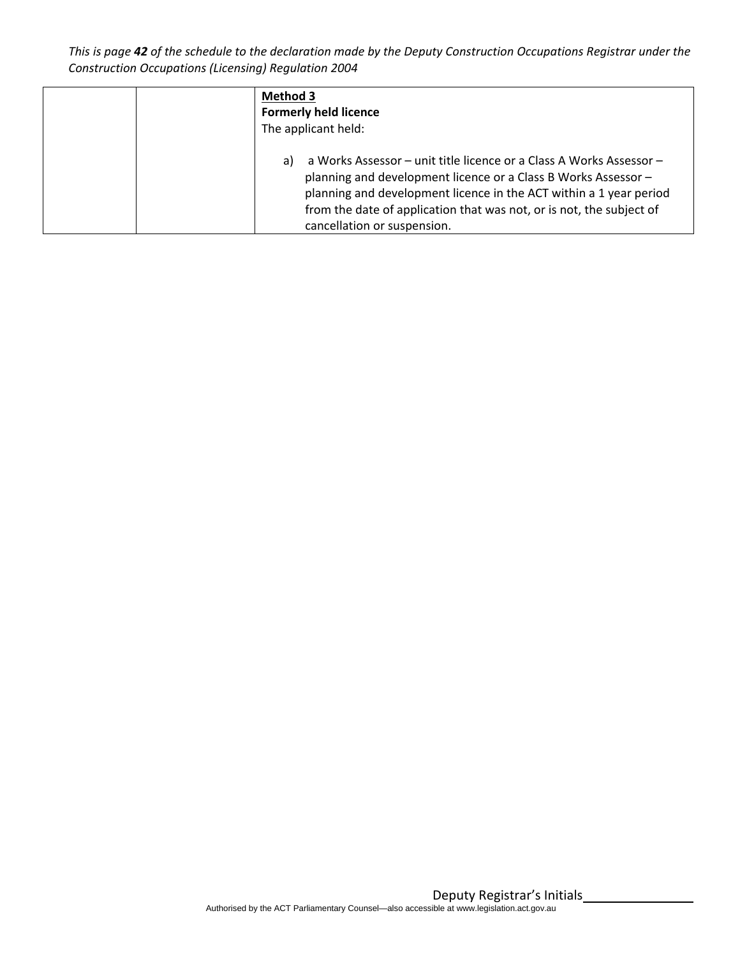This is page 42 of the schedule to the declaration made by the Deputy Construction Occupations Registrar under the *Construction Occupations (Licensing) Regulation 2004*

| <b>Method 3</b>                                                                                                                                                                                                                                                                                                          |
|--------------------------------------------------------------------------------------------------------------------------------------------------------------------------------------------------------------------------------------------------------------------------------------------------------------------------|
| <b>Formerly held licence</b>                                                                                                                                                                                                                                                                                             |
| The applicant held:                                                                                                                                                                                                                                                                                                      |
| a Works Assessor - unit title licence or a Class A Works Assessor -<br>a)<br>planning and development licence or a Class B Works Assessor -<br>planning and development licence in the ACT within a 1 year period<br>from the date of application that was not, or is not, the subject of<br>cancellation or suspension. |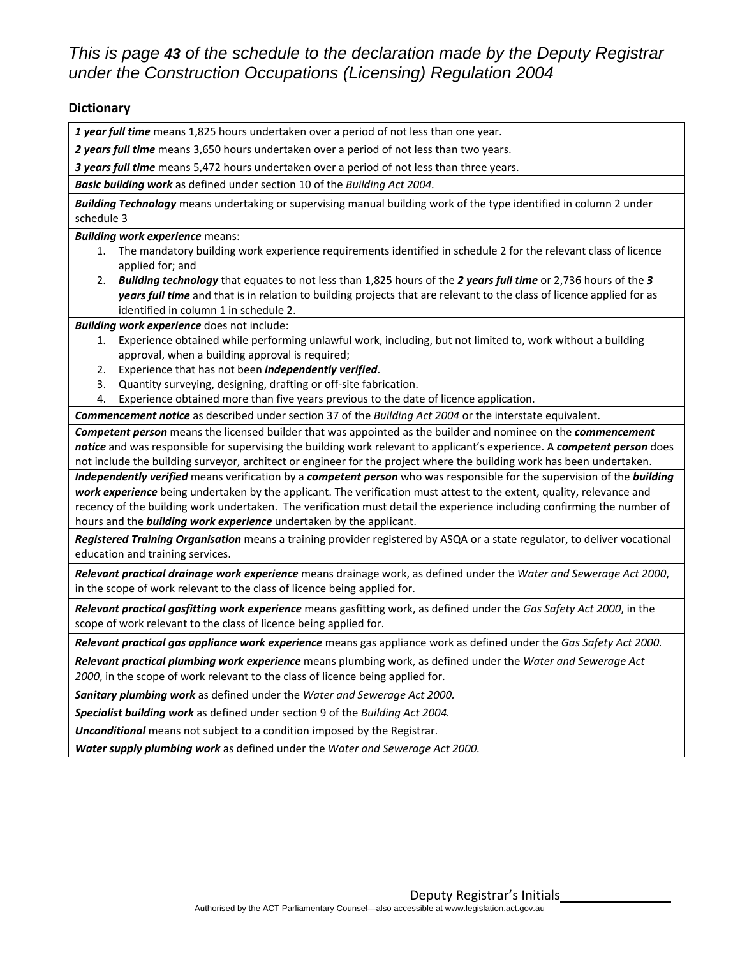# *This is page 43 of the schedule to the declaration made by the Deputy Registrar under the Construction Occupations (Licensing) Regulation 2004*

#### **Dictionary**

*1 year full time* means 1,825 hours undertaken over a period of not less than one year.

*2 years full time* means 3,650 hours undertaken over a period of not less than two years.

*3 years full time* means 5,472 hours undertaken over a period of not less than three years.

*Basic building work* as defined under section 10 of the *Building Act 2004.*

*Building Technology* means undertaking or supervising manual building work of the type identified in column 2 under schedule 3

*Building work experience* means:

- 1. The mandatory building work experience requirements identified in schedule 2 for the relevant class of licence applied for; and
- 2. *Building technology* that equates to not less than 1,825 hours of the *2 years full time* or 2,736 hours of the *3 years full time* and that is in relation to building projects that are relevant to the class of licence applied for as identified in column 1 in schedule 2.

*Building work experience* does not include:

- 1. Experience obtained while performing unlawful work, including, but not limited to, work without a building approval, when a building approval is required;
- 2. Experience that has not been *independently verified*.
- 3. Quantity surveying, designing, drafting or off‐site fabrication.
- 4. Experience obtained more than five years previous to the date of licence application.

*Commencement notice* as described under section 37 of the *Building Act 2004* or the interstate equivalent.

*Competent person* means the licensed builder that was appointed as the builder and nominee on the *commencement notice* and was responsible for supervising the building work relevant to applicant's experience. A *competent person* does not include the building surveyor, architect or engineer for the project where the building work has been undertaken.

*Independently verified* means verification by a *competent person* who was responsible for the supervision of the *building work experience* being undertaken by the applicant. The verification must attest to the extent, quality, relevance and recency of the building work undertaken. The verification must detail the experience including confirming the number of hours and the *building work experience* undertaken by the applicant.

*Registered Training Organisation* means a training provider registered by ASQA or a state regulator, to deliver vocational education and training services.

*Relevant practical drainage work experience* means drainage work, as defined under the *Water and Sewerage Act 2000*, in the scope of work relevant to the class of licence being applied for.

*Relevant practical gasfitting work experience* means gasfitting work, as defined under the *Gas Safety Act 2000*, in the scope of work relevant to the class of licence being applied for.

*Relevant practical gas appliance work experience* means gas appliance work as defined under the *Gas Safety Act 2000.*

*Relevant practical plumbing work experience* means plumbing work, as defined under the *Water and Sewerage Act 2000*, in the scope of work relevant to the class of licence being applied for.

*Sanitary plumbing work* as defined under the *Water and Sewerage Act 2000.*

*Specialist building work* as defined under section 9 of the *Building Act 2004.*

*Unconditional* means not subject to a condition imposed by the Registrar.

*Water supply plumbing work* as defined under the *Water and Sewerage Act 2000.*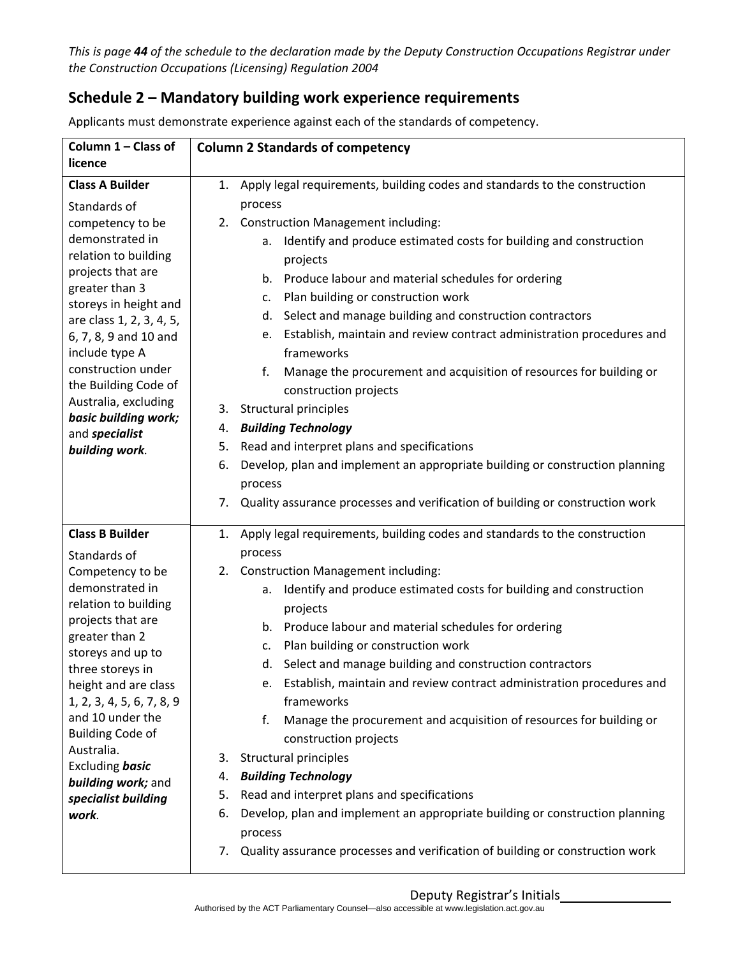This is page 44 of the schedule to the declaration made by the Deputy Construction Occupations Registrar under *the Construction Occupations (Licensing) Regulation 2004*

# **Schedule 2 – Mandatory building work experience requirements**

| Column 1 - Class of                       | <b>Column 2 Standards of competency</b>                                             |
|-------------------------------------------|-------------------------------------------------------------------------------------|
| licence                                   |                                                                                     |
| <b>Class A Builder</b>                    | 1. Apply legal requirements, building codes and standards to the construction       |
| Standards of                              | process                                                                             |
| competency to be                          | 2. Construction Management including:                                               |
| demonstrated in                           | Identify and produce estimated costs for building and construction<br>a.            |
| relation to building                      | projects                                                                            |
| projects that are<br>greater than 3       | Produce labour and material schedules for ordering<br>b.                            |
| storeys in height and                     | Plan building or construction work<br>c.                                            |
| are class 1, 2, 3, 4, 5,                  | Select and manage building and construction contractors<br>d.                       |
| 6, 7, 8, 9 and 10 and                     | Establish, maintain and review contract administration procedures and<br>e.         |
| include type A                            | frameworks                                                                          |
| construction under                        | f.<br>Manage the procurement and acquisition of resources for building or           |
| the Building Code of                      | construction projects                                                               |
| Australia, excluding                      | 3. Structural principles                                                            |
| basic building work;<br>and specialist    | <b>Building Technology</b><br>4.                                                    |
| building work.                            | Read and interpret plans and specifications<br>5.                                   |
|                                           | Develop, plan and implement an appropriate building or construction planning<br>6.  |
|                                           | process                                                                             |
|                                           | Quality assurance processes and verification of building or construction work<br>7. |
|                                           |                                                                                     |
| <b>Class B Builder</b>                    | 1. Apply legal requirements, building codes and standards to the construction       |
| Standards of                              | process                                                                             |
| Competency to be                          | 2. Construction Management including:                                               |
| demonstrated in                           | Identify and produce estimated costs for building and construction<br>a.            |
| relation to building<br>projects that are | projects                                                                            |
| greater than 2                            | Produce labour and material schedules for ordering<br>b.                            |
| storeys and up to                         | Plan building or construction work<br>c.                                            |
| three storeys in                          | Select and manage building and construction contractors<br>d.                       |
| height and are class                      | Establish, maintain and review contract administration procedures and               |
| 1, 2, 3, 4, 5, 6, 7, 8, 9                 | frameworks                                                                          |
| and 10 under the                          | f.<br>Manage the procurement and acquisition of resources for building or           |
| <b>Building Code of</b><br>Australia.     | construction projects                                                               |
| Excluding basic                           | Structural principles<br>3.                                                         |
| building work; and                        | <b>Building Technology</b><br>4.                                                    |
| specialist building                       | Read and interpret plans and specifications<br>5.                                   |
| work.                                     | Develop, plan and implement an appropriate building or construction planning<br>6.  |
|                                           | process                                                                             |
|                                           | 7. Quality assurance processes and verification of building or construction work    |
|                                           |                                                                                     |

Applicants must demonstrate experience against each of the standards of competency.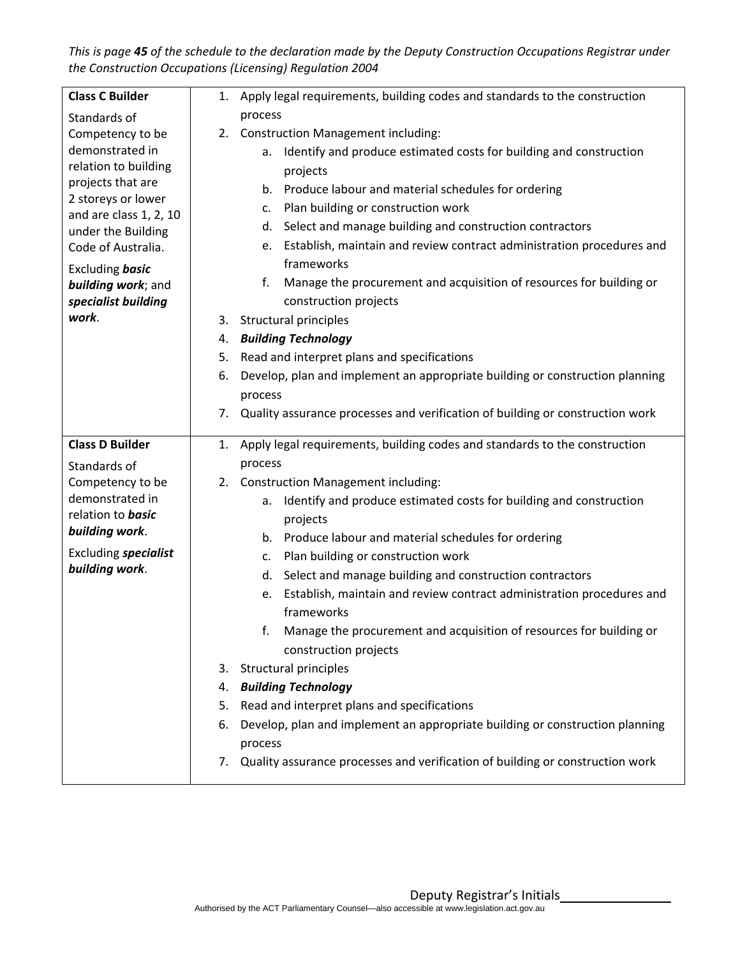This is page 45 of the schedule to the declaration made by the Deputy Construction Occupations Registrar under *the Construction Occupations (Licensing) Regulation 2004*

| <b>Class C Builder</b>                  | 1. | Apply legal requirements, building codes and standards to the construction               |
|-----------------------------------------|----|------------------------------------------------------------------------------------------|
| Standards of                            |    | process                                                                                  |
| Competency to be                        |    | 2. Construction Management including:                                                    |
| demonstrated in                         |    | Identify and produce estimated costs for building and construction<br>a.                 |
| relation to building                    |    | projects                                                                                 |
| projects that are<br>2 storeys or lower |    | Produce labour and material schedules for ordering<br>b.                                 |
| and are class 1, 2, 10                  |    | Plan building or construction work<br>c.                                                 |
| under the Building                      |    | Select and manage building and construction contractors<br>d.                            |
| Code of Australia.                      |    | Establish, maintain and review contract administration procedures and<br>е.              |
| Excluding <b>basic</b>                  |    | frameworks                                                                               |
| building work; and                      |    | f.<br>Manage the procurement and acquisition of resources for building or                |
| specialist building                     |    | construction projects                                                                    |
| work.                                   |    | 3. Structural principles                                                                 |
|                                         |    | 4. Building Technology                                                                   |
|                                         | 5. | Read and interpret plans and specifications                                              |
|                                         | 6. | Develop, plan and implement an appropriate building or construction planning             |
|                                         |    | process                                                                                  |
|                                         | 7. | Quality assurance processes and verification of building or construction work            |
|                                         |    |                                                                                          |
| <b>Class D Builder</b>                  | 1. | Apply legal requirements, building codes and standards to the construction               |
| Standards of                            |    | process                                                                                  |
| Competency to be                        |    | 2. Construction Management including:                                                    |
| demonstrated in                         |    | Identify and produce estimated costs for building and construction<br>a.                 |
| relation to <b>basic</b>                |    | projects                                                                                 |
| building work.                          |    | Produce labour and material schedules for ordering<br>b.                                 |
| Excluding specialist                    |    | Plan building or construction work<br>c.                                                 |
| building work.                          |    | Select and manage building and construction contractors<br>d.                            |
|                                         |    | Establish, maintain and review contract administration procedures and<br>e.              |
|                                         |    | frameworks                                                                               |
|                                         |    | Manage the procurement and acquisition of resources for building or                      |
|                                         |    | construction projects                                                                    |
|                                         | 3. | <b>Structural principles</b>                                                             |
|                                         | 4. | <b>Building Technology</b>                                                               |
|                                         | 5. | Read and interpret plans and specifications                                              |
|                                         | 6. | Develop, plan and implement an appropriate building or construction planning             |
|                                         |    | process<br>Quality assurance processes and verification of building or construction work |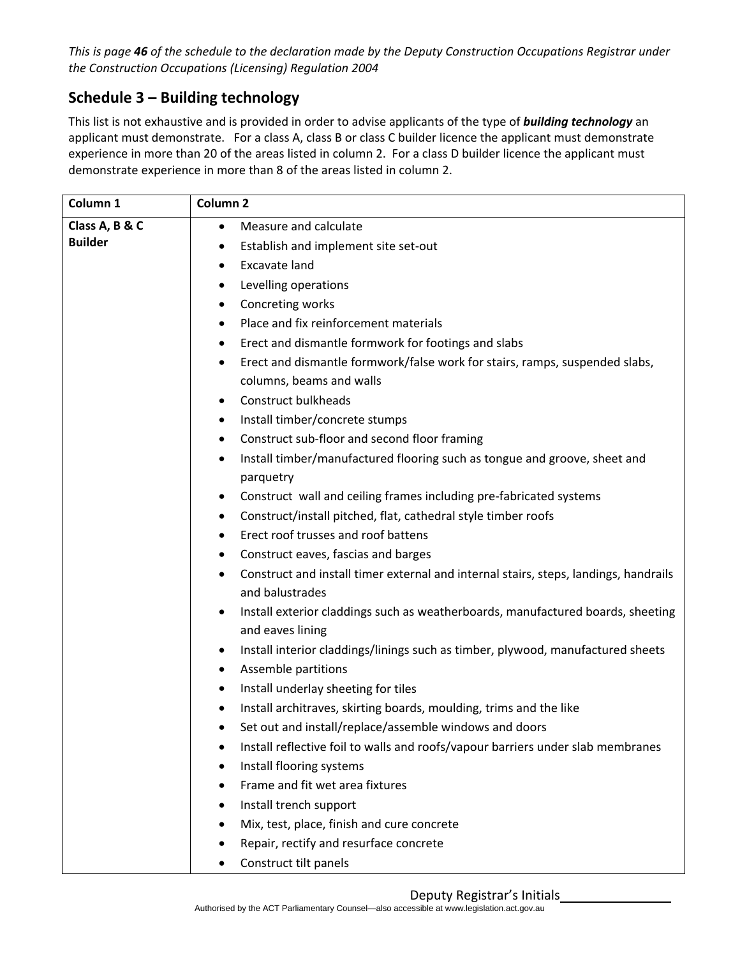This is page 46 of the schedule to the declaration made by the Deputy Construction Occupations Registrar under *the Construction Occupations (Licensing) Regulation 2004*

# **Schedule 3 – Building technology**

This list is not exhaustive and is provided in order to advise applicants of the type of *building technology* an applicant must demonstrate. For a class A, class B or class C builder licence the applicant must demonstrate experience in more than 20 of the areas listed in column 2. For a class D builder licence the applicant must demonstrate experience in more than 8 of the areas listed in column 2.

| Column 1       | Column <sub>2</sub>                                                                                                  |
|----------------|----------------------------------------------------------------------------------------------------------------------|
| Class A, B & C | Measure and calculate<br>$\bullet$                                                                                   |
| <b>Builder</b> | Establish and implement site set-out                                                                                 |
|                | Excavate land                                                                                                        |
|                | Levelling operations                                                                                                 |
|                | Concreting works<br>٠                                                                                                |
|                | Place and fix reinforcement materials                                                                                |
|                | Erect and dismantle formwork for footings and slabs                                                                  |
|                | Erect and dismantle formwork/false work for stairs, ramps, suspended slabs,<br>$\bullet$<br>columns, beams and walls |
|                | <b>Construct bulkheads</b>                                                                                           |
|                | Install timber/concrete stumps                                                                                       |
|                | Construct sub-floor and second floor framing                                                                         |
|                | Install timber/manufactured flooring such as tongue and groove, sheet and<br>parquetry                               |
|                | Construct wall and ceiling frames including pre-fabricated systems<br>$\bullet$                                      |
|                | Construct/install pitched, flat, cathedral style timber roofs<br>٠                                                   |
|                | Erect roof trusses and roof battens                                                                                  |
|                | Construct eaves, fascias and barges<br>$\bullet$                                                                     |
|                | Construct and install timer external and internal stairs, steps, landings, handrails<br>and balustrades              |
|                | Install exterior claddings such as weatherboards, manufactured boards, sheeting<br>and eaves lining                  |
|                | Install interior claddings/linings such as timber, plywood, manufactured sheets<br>Assemble partitions               |
|                | Install underlay sheeting for tiles<br>٠                                                                             |
|                | Install architraves, skirting boards, moulding, trims and the like                                                   |
|                | Set out and install/replace/assemble windows and doors                                                               |
|                | Install reflective foil to walls and roofs/vapour barriers under slab membranes<br>$\bullet$                         |
|                | Install flooring systems                                                                                             |
|                | Frame and fit wet area fixtures                                                                                      |
|                | Install trench support                                                                                               |
|                | Mix, test, place, finish and cure concrete                                                                           |
|                | Repair, rectify and resurface concrete                                                                               |
|                | Construct tilt panels                                                                                                |